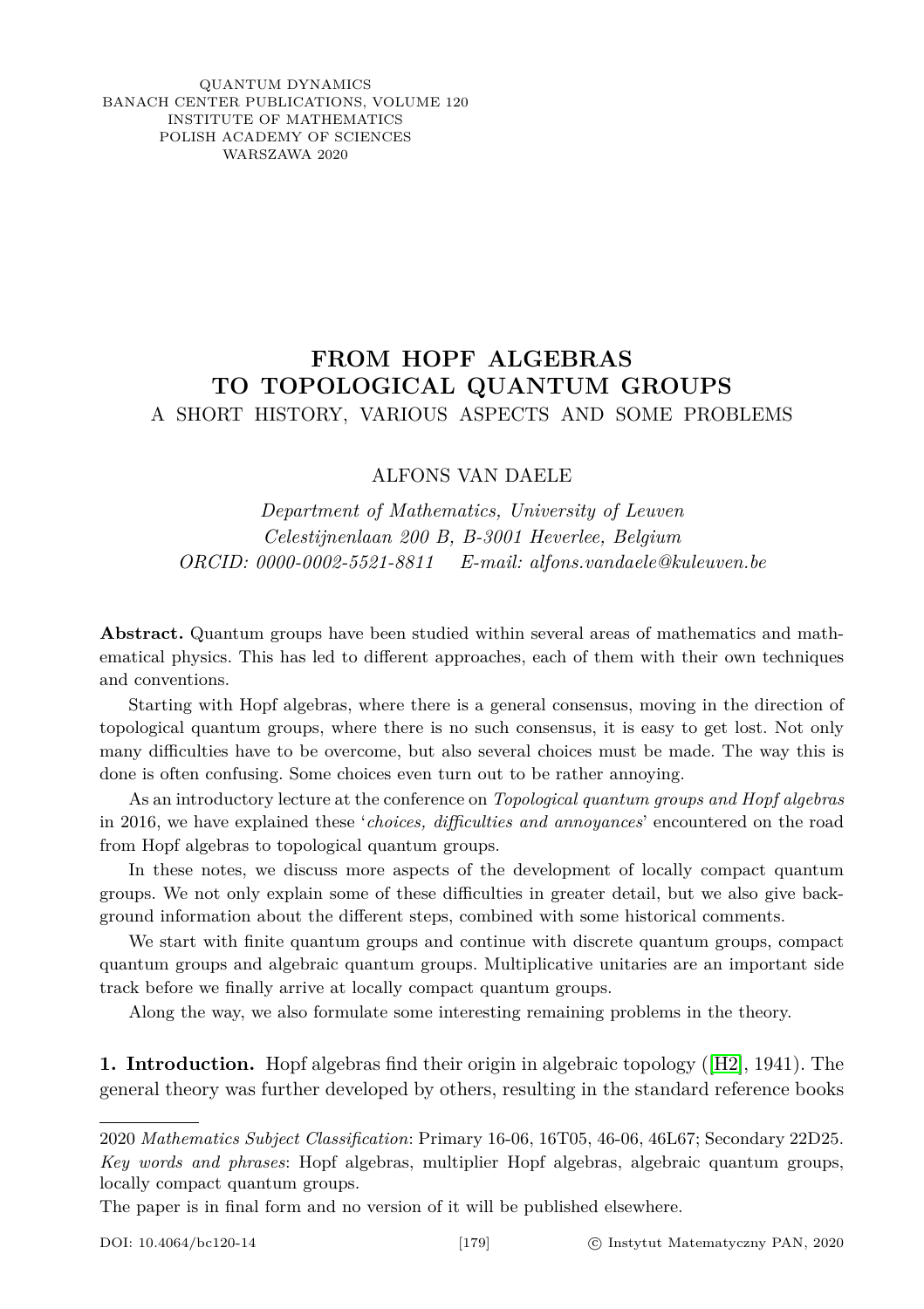#### QUANTUM DYNAMICS BANACH CENTER PUBLICATIONS, VOLUME 120 INSTITUTE OF MATHEMATICS POLISH ACADEMY OF SCIENCES WARSZAWA 2020

# **FROM HOPF ALGEBRAS TO TOPOLOGICAL QUANTUM GROUPS** A SHORT HISTORY, VARIOUS ASPECTS AND SOME PROBLEMS

# ALFONS VAN DAELE

*Department of Mathematics, University of Leuven Celestijnenlaan 200 B, B-3001 Heverlee, Belgium ORCID: 0000-0002-5521-8811 E-mail: alfons.vandaele@kuleuven.be*

**Abstract.** Quantum groups have been studied within several areas of mathematics and mathematical physics. This has led to different approaches, each of them with their own techniques and conventions.

Starting with Hopf algebras, where there is a general consensus, moving in the direction of topological quantum groups, where there is no such consensus, it is easy to get lost. Not only many difficulties have to be overcome, but also several choices must be made. The way this is done is often confusing. Some choices even turn out to be rather annoying.

As an introductory lecture at the conference on *Topological quantum groups and Hopf algebras* in 2016, we have explained these '*choices, difficulties and annoyances*' encountered on the road from Hopf algebras to topological quantum groups.

In these notes, we discuss more aspects of the development of locally compact quantum groups. We not only explain some of these difficulties in greater detail, but we also give background information about the different steps, combined with some historical comments.

We start with finite quantum groups and continue with discrete quantum groups, compact quantum groups and algebraic quantum groups. Multiplicative unitaries are an important side track before we finally arrive at locally compact quantum groups.

Along the way, we also formulate some interesting remaining problems in the theory.

**1. Introduction.** Hopf algebras find their origin in algebraic topology ([\[H2\]](#page-39-0), 1941). The general theory was further developed by others, resulting in the standard reference books

The paper is in final form and no version of it will be published elsewhere.

<sup>2020</sup> *Mathematics Subject Classification*: Primary 16-06, 16T05, 46-06, 46L67; Secondary 22D25. *Key words and phrases*: Hopf algebras, multiplier Hopf algebras, algebraic quantum groups, locally compact quantum groups.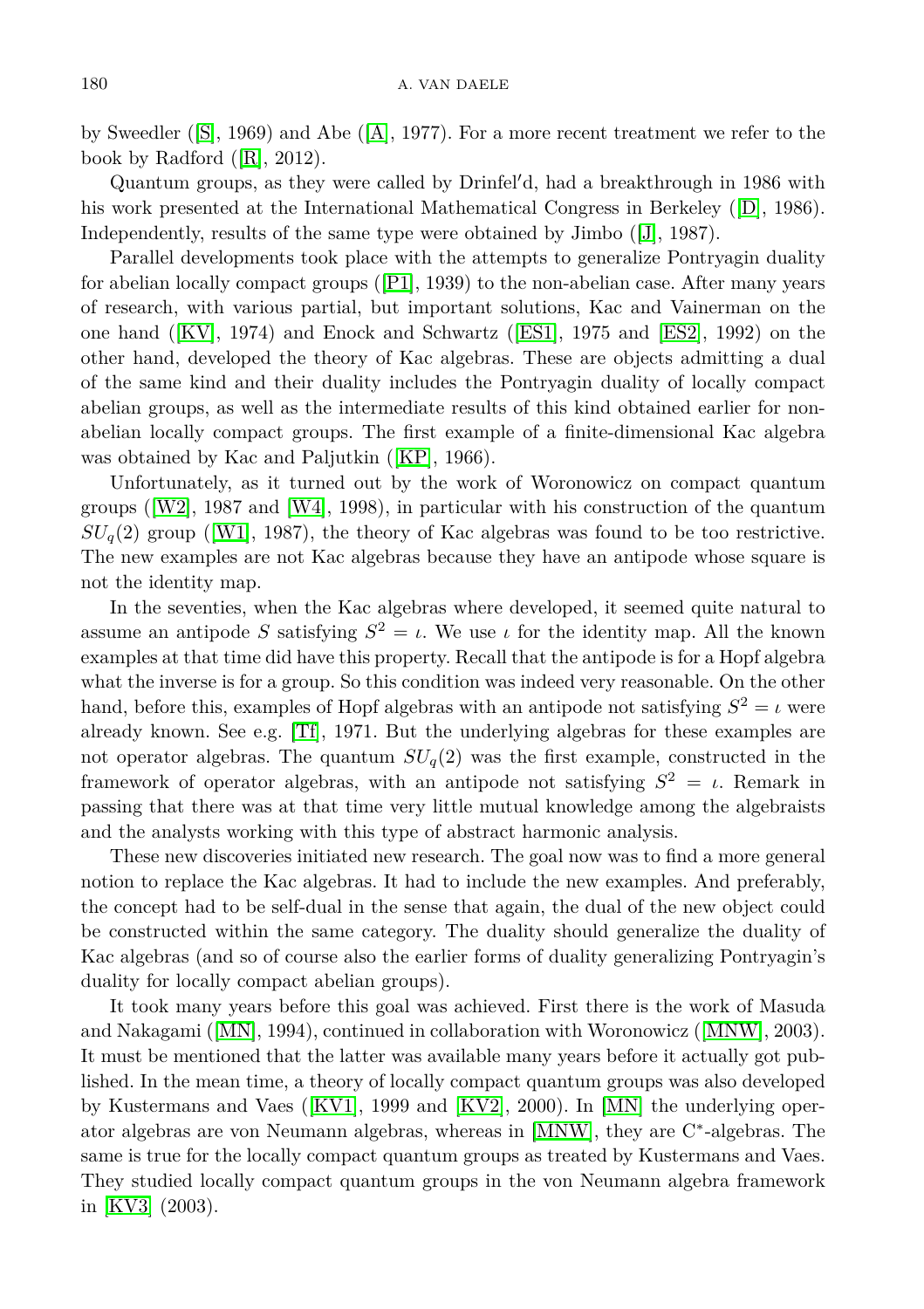by Sweedler ( $[S]$ , 1969) and Abe ( $[A]$ , 1977). For a more recent treatment we refer to the book by Radford ([\[R\]](#page-40-1), 2012).

Quantum groups, as they were called by  $Drinfeld'd$ , had a breakthrough in 1986 with his work presented at the International Mathematical Congress in Berkeley ([\[D\]](#page-39-1), 1986). Independently, results of the same type were obtained by Jimbo ([\[J\]](#page-39-2), 1987).

Parallel developments took place with the attempts to generalize Pontryagin duality for abelian locally compact groups ([\[P1\]](#page-40-2), 1939) to the non-abelian case. After many years of research, with various partial, but important solutions, Kac and Vainerman on the one hand ([\[KV\]](#page-39-3), 1974) and Enock and Schwartz ([\[ES1\]](#page-39-4), 1975 and [\[ES2\]](#page-39-5), 1992) on the other hand, developed the theory of Kac algebras. These are objects admitting a dual of the same kind and their duality includes the Pontryagin duality of locally compact abelian groups, as well as the intermediate results of this kind obtained earlier for nonabelian locally compact groups. The first example of a finite-dimensional Kac algebra was obtained by Kac and Paljutkin ([\[KP\]](#page-39-6), 1966).

Unfortunately, as it turned out by the work of Woronowicz on compact quantum groups ( $[W2]$ , 1987 and  $[W4]$ , 1998), in particular with his construction of the quantum  $SU_q(2)$  group ([\[W1\]](#page-41-2), 1987), the theory of Kac algebras was found to be too restrictive. The new examples are not Kac algebras because they have an antipode whose square is not the identity map.

In the seventies, when the Kac algebras where developed, it seemed quite natural to assume an antipode *S* satisfying  $S^2 = \iota$ . We use  $\iota$  for the identity map. All the known examples at that time did have this property. Recall that the antipode is for a Hopf algebra what the inverse is for a group. So this condition was indeed very reasonable. On the other hand, before this, examples of Hopf algebras with an antipode not satisfying  $S^2 = \iota$  were already known. See e.g. [\[Tf\]](#page-40-3), 1971. But the underlying algebras for these examples are not operator algebras. The quantum  $SU_q(2)$  was the first example, constructed in the framework of operator algebras, with an antipode not satisfying  $S^2 = \iota$ . Remark in passing that there was at that time very little mutual knowledge among the algebraists and the analysts working with this type of abstract harmonic analysis.

These new discoveries initiated new research. The goal now was to find a more general notion to replace the Kac algebras. It had to include the new examples. And preferably, the concept had to be self-dual in the sense that again, the dual of the new object could be constructed within the same category. The duality should generalize the duality of Kac algebras (and so of course also the earlier forms of duality generalizing Pontryagin's duality for locally compact abelian groups).

It took many years before this goal was achieved. First there is the work of Masuda and Nakagami ([\[MN\]](#page-40-4), 1994), continued in collaboration with Woronowicz ([\[MNW\]](#page-40-5), 2003). It must be mentioned that the latter was available many years before it actually got published. In the mean time, a theory of locally compact quantum groups was also developed by Kustermans and Vaes ([\[KV1\]](#page-39-7), 1999 and [\[KV2\]](#page-39-8), 2000). In [\[MN\]](#page-40-4) the underlying operator algebras are von Neumann algebras, whereas in [\[MNW\]](#page-40-5), they are C<sup>∗</sup> -algebras. The same is true for the locally compact quantum groups as treated by Kustermans and Vaes. They studied locally compact quantum groups in the von Neumann algebra framework in [\[KV3\]](#page-39-9) (2003).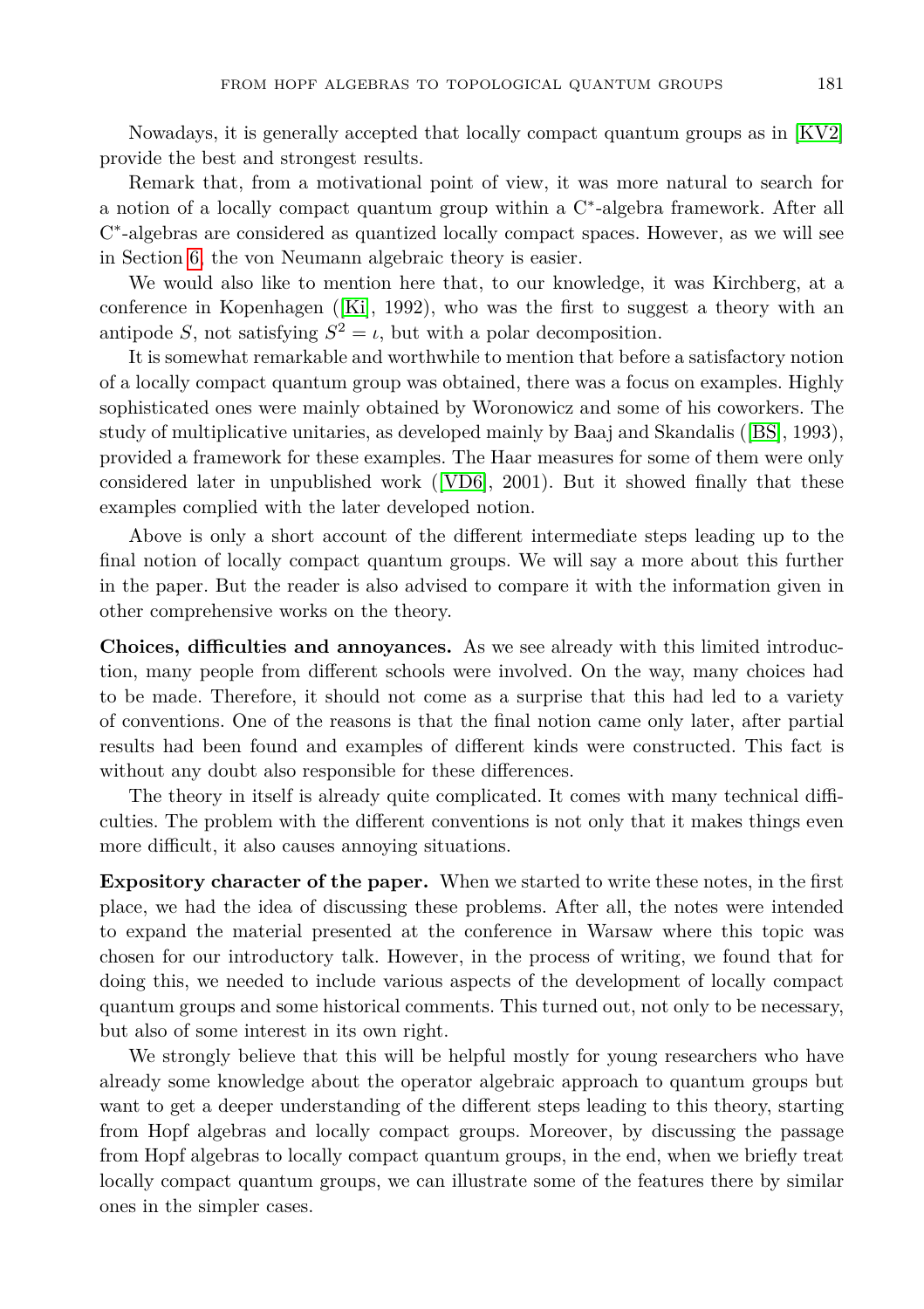Nowadays, it is generally accepted that locally compact quantum groups as in [\[KV2\]](#page-39-8) provide the best and strongest results.

Remark that, from a motivational point of view, it was more natural to search for a notion of a locally compact quantum group within a C<sup>∗</sup>-algebra framework. After all C<sup>\*</sup>-algebras are considered as quantized locally compact spaces. However, as we will see in Section [6,](#page-31-0) the von Neumann algebraic theory is easier.

We would also like to mention here that, to our knowledge, it was Kirchberg, at a conference in Kopenhagen ([\[Ki\]](#page-39-10), 1992), who was the first to suggest a theory with an antipode *S*, not satisfying  $S^2 = \iota$ , but with a polar decomposition.

It is somewhat remarkable and worthwhile to mention that before a satisfactory notion of a locally compact quantum group was obtained, there was a focus on examples. Highly sophisticated ones were mainly obtained by Woronowicz and some of his coworkers. The study of multiplicative unitaries, as developed mainly by Baaj and Skandalis ([\[BS\]](#page-38-1), 1993), provided a framework for these examples. The Haar measures for some of them were only considered later in unpublished work ([\[VD6\]](#page-40-6), 2001). But it showed finally that these examples complied with the later developed notion.

Above is only a short account of the different intermediate steps leading up to the final notion of locally compact quantum groups. We will say a more about this further in the paper. But the reader is also advised to compare it with the information given in other comprehensive works on the theory.

**Choices, difficulties and annoyances.** As we see already with this limited introduction, many people from different schools were involved. On the way, many choices had to be made. Therefore, it should not come as a surprise that this had led to a variety of conventions. One of the reasons is that the final notion came only later, after partial results had been found and examples of different kinds were constructed. This fact is without any doubt also responsible for these differences.

The theory in itself is already quite complicated. It comes with many technical difficulties. The problem with the different conventions is not only that it makes things even more difficult, it also causes annoying situations.

**Expository character of the paper.** When we started to write these notes, in the first place, we had the idea of discussing these problems. After all, the notes were intended to expand the material presented at the conference in Warsaw where this topic was chosen for our introductory talk. However, in the process of writing, we found that for doing this, we needed to include various aspects of the development of locally compact quantum groups and some historical comments. This turned out, not only to be necessary, but also of some interest in its own right.

We strongly believe that this will be helpful mostly for young researchers who have already some knowledge about the operator algebraic approach to quantum groups but want to get a deeper understanding of the different steps leading to this theory, starting from Hopf algebras and locally compact groups. Moreover, by discussing the passage from Hopf algebras to locally compact quantum groups, in the end, when we briefly treat locally compact quantum groups, we can illustrate some of the features there by similar ones in the simpler cases.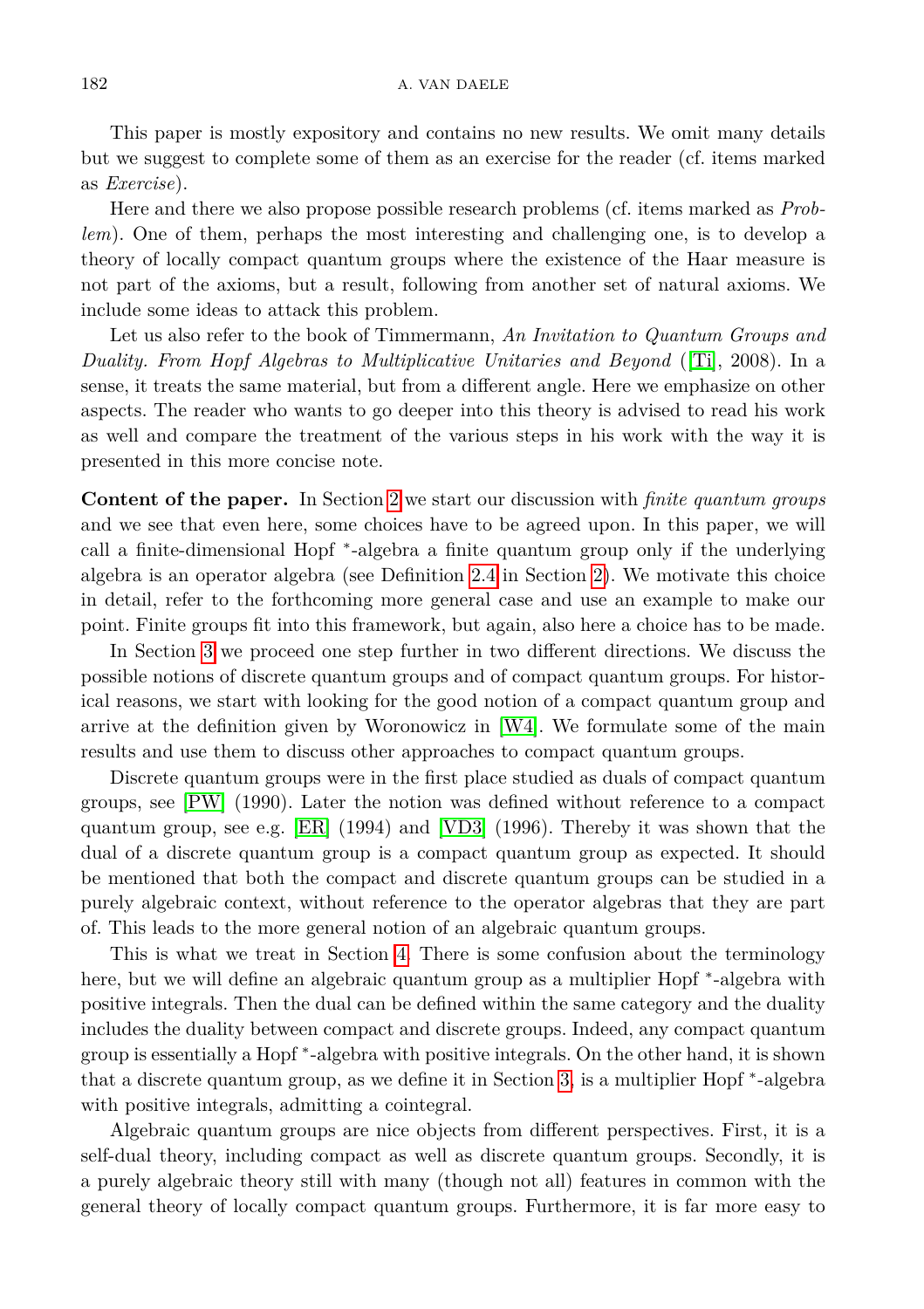#### 182 A. VAN DAELE

This paper is mostly expository and contains no new results. We omit many details but we suggest to complete some of them as an exercise for the reader (cf. items marked as *Exercise*).

Here and there we also propose possible research problems (cf. items marked as *Problem*). One of them, perhaps the most interesting and challenging one, is to develop a theory of locally compact quantum groups where the existence of the Haar measure is not part of the axioms, but a result, following from another set of natural axioms. We include some ideas to attack this problem.

Let us also refer to the book of Timmermann, *An Invitation to Quantum Groups and Duality. From Hopf Algebras to Multiplicative Unitaries and Beyond* ([\[Ti\]](#page-40-7), 2008). In a sense, it treats the same material, but from a different angle. Here we emphasize on other aspects. The reader who wants to go deeper into this theory is advised to read his work as well and compare the treatment of the various steps in his work with the way it is presented in this more concise note.

**Content of the paper.** In Section [2](#page-5-0) we start our discussion with *finite quantum groups* and we see that even here, some choices have to be agreed upon. In this paper, we will call a finite-dimensional Hopf <sup>∗</sup> -algebra a finite quantum group only if the underlying algebra is an operator algebra (see Definition [2.4](#page-6-0) in Section [2\)](#page-5-0). We motivate this choice in detail, refer to the forthcoming more general case and use an example to make our point. Finite groups fit into this framework, but again, also here a choice has to be made.

In Section [3](#page-8-0) we proceed one step further in two different directions. We discuss the possible notions of discrete quantum groups and of compact quantum groups. For historical reasons, we start with looking for the good notion of a compact quantum group and arrive at the definition given by Woronowicz in [\[W4\]](#page-41-1). We formulate some of the main results and use them to discuss other approaches to compact quantum groups.

Discrete quantum groups were in the first place studied as duals of compact quantum groups, see [\[PW\]](#page-40-8) (1990). Later the notion was defined without reference to a compact quantum group, see e.g. [\[ER\]](#page-39-11) (1994) and [\[VD3\]](#page-40-9) (1996). Thereby it was shown that the dual of a discrete quantum group is a compact quantum group as expected. It should be mentioned that both the compact and discrete quantum groups can be studied in a purely algebraic context, without reference to the operator algebras that they are part of. This leads to the more general notion of an algebraic quantum groups.

This is what we treat in Section [4.](#page-14-0) There is some confusion about the terminology here, but we will define an algebraic quantum group as a multiplier Hopf <sup>\*</sup>-algebra with positive integrals. Then the dual can be defined within the same category and the duality includes the duality between compact and discrete groups. Indeed, any compact quantum group is essentially a Hopf <sup>\*</sup>-algebra with positive integrals. On the other hand, it is shown that a discrete quantum group, as we define it in Section [3,](#page-8-0) is a multiplier Hopf <sup>∗</sup> -algebra with positive integrals, admitting a cointegral.

Algebraic quantum groups are nice objects from different perspectives. First, it is a self-dual theory, including compact as well as discrete quantum groups. Secondly, it is a purely algebraic theory still with many (though not all) features in common with the general theory of locally compact quantum groups. Furthermore, it is far more easy to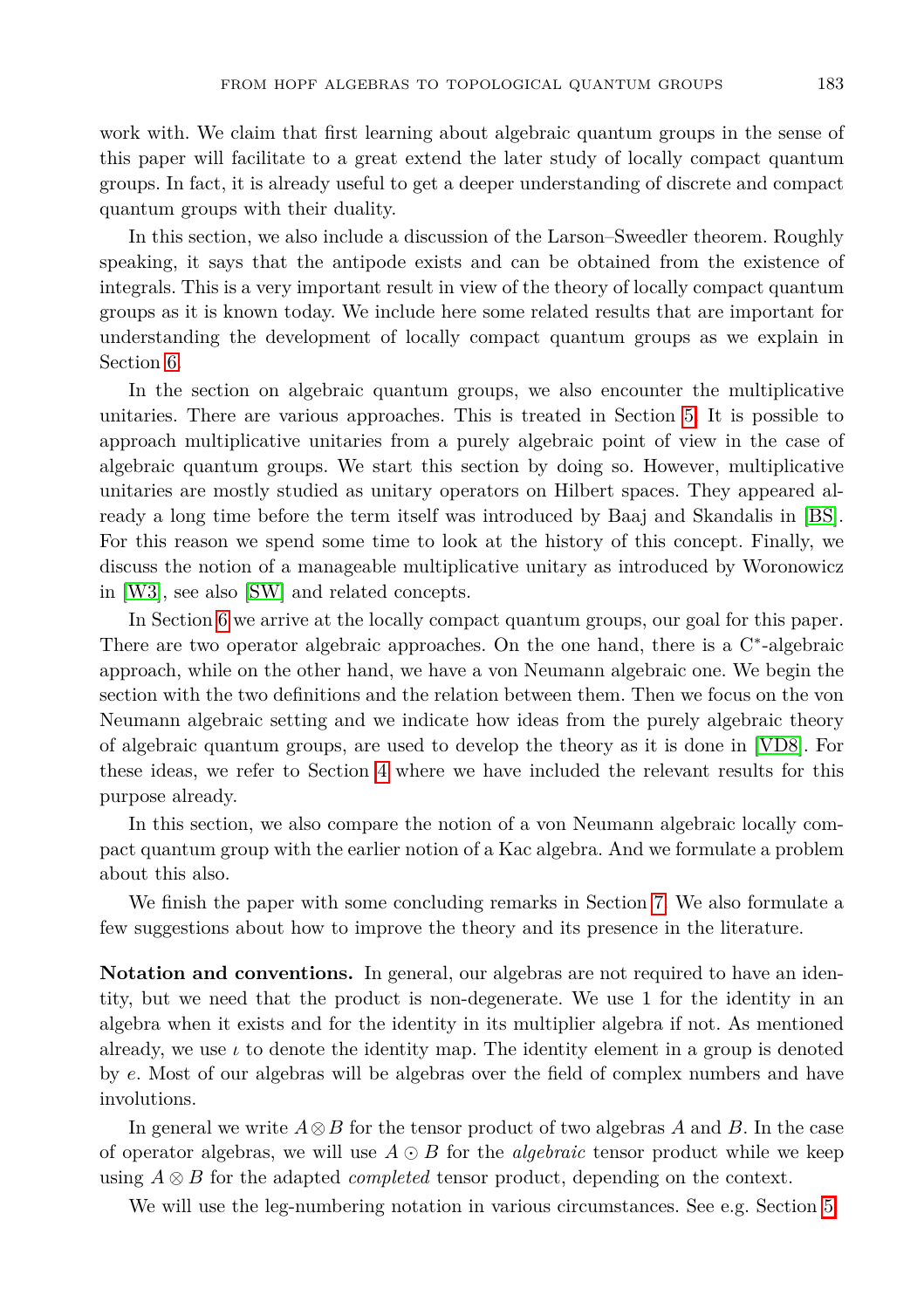work with. We claim that first learning about algebraic quantum groups in the sense of this paper will facilitate to a great extend the later study of locally compact quantum groups. In fact, it is already useful to get a deeper understanding of discrete and compact quantum groups with their duality.

In this section, we also include a discussion of the Larson–Sweedler theorem. Roughly speaking, it says that the antipode exists and can be obtained from the existence of integrals. This is a very important result in view of the theory of locally compact quantum groups as it is known today. We include here some related results that are important for understanding the development of locally compact quantum groups as we explain in Section [6.](#page-31-0)

In the section on algebraic quantum groups, we also encounter the multiplicative unitaries. There are various approaches. This is treated in Section [5.](#page-20-0) It is possible to approach multiplicative unitaries from a purely algebraic point of view in the case of algebraic quantum groups. We start this section by doing so. However, multiplicative unitaries are mostly studied as unitary operators on Hilbert spaces. They appeared already a long time before the term itself was introduced by Baaj and Skandalis in [\[BS\]](#page-38-1). For this reason we spend some time to look at the history of this concept. Finally, we discuss the notion of a manageable multiplicative unitary as introduced by Woronowicz in [\[W3\]](#page-41-3), see also [\[SW\]](#page-40-10) and related concepts.

In Section [6](#page-31-0) we arrive at the locally compact quantum groups, our goal for this paper. There are two operator algebraic approaches. On the one hand, there is a C<sup>∗</sup>-algebraic approach, while on the other hand, we have a von Neumann algebraic one. We begin the section with the two definitions and the relation between them. Then we focus on the von Neumann algebraic setting and we indicate how ideas from the purely algebraic theory of algebraic quantum groups, are used to develop the theory as it is done in [\[VD8\]](#page-41-4). For these ideas, we refer to Section [4](#page-14-0) where we have included the relevant results for this purpose already.

In this section, we also compare the notion of a von Neumann algebraic locally compact quantum group with the earlier notion of a Kac algebra. And we formulate a problem about this also.

We finish the paper with some concluding remarks in Section [7.](#page-37-0) We also formulate a few suggestions about how to improve the theory and its presence in the literature.

**Notation and conventions.** In general, our algebras are not required to have an identity, but we need that the product is non-degenerate. We use 1 for the identity in an algebra when it exists and for the identity in its multiplier algebra if not. As mentioned already, we use  $\iota$  to denote the identity map. The identity element in a group is denoted by *e*. Most of our algebras will be algebras over the field of complex numbers and have involutions.

In general we write *A*⊗*B* for the tensor product of two algebras *A* and *B*. In the case of operator algebras, we will use  $A \odot B$  for the *algebraic* tensor product while we keep using  $A \otimes B$  for the adapted *completed* tensor product, depending on the context.

We will use the leg-numbering notation in various circumstances. See e.g. Section [5.](#page-20-0)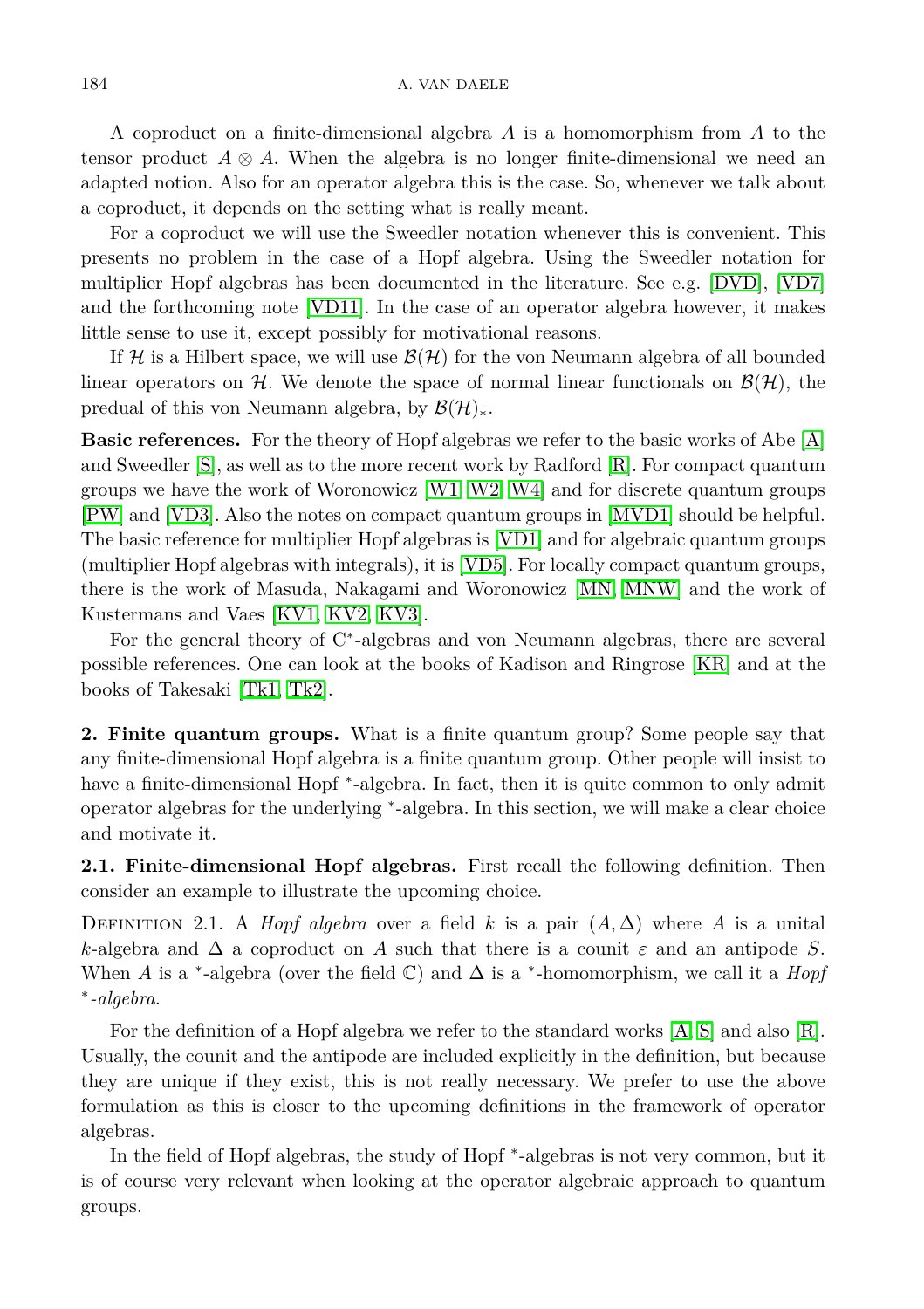A coproduct on a finite-dimensional algebra *A* is a homomorphism from *A* to the tensor product  $A \otimes A$ . When the algebra is no longer finite-dimensional we need an adapted notion. Also for an operator algebra this is the case. So, whenever we talk about a coproduct, it depends on the setting what is really meant.

For a coproduct we will use the Sweedler notation whenever this is convenient. This presents no problem in the case of a Hopf algebra. Using the Sweedler notation for multiplier Hopf algebras has been documented in the literature. See e.g. [\[DVD\]](#page-39-12), [\[VD7\]](#page-41-5) and the forthcoming note [\[VD11\]](#page-41-6). In the case of an operator algebra however, it makes little sense to use it, except possibly for motivational reasons.

If H is a Hilbert space, we will use  $\mathcal{B}(\mathcal{H})$  for the von Neumann algebra of all bounded linear operators on H. We denote the space of normal linear functionals on  $\mathcal{B}(\mathcal{H})$ , the predual of this von Neumann algebra, by  $\mathcal{B}(\mathcal{H})_*$ .

**Basic references.** For the theory of Hopf algebras we refer to the basic works of Abe [\[A\]](#page-38-0) and Sweedler [\[S\]](#page-40-0), as well as to the more recent work by Radford [\[R\]](#page-40-1). For compact quantum groups we have the work of Woronowicz [\[W1,](#page-41-2) [W2,](#page-41-0) [W4\]](#page-41-1) and for discrete quantum groups [\[PW\]](#page-40-8) and [\[VD3\]](#page-40-9). Also the notes on compact quantum groups in [\[MVD1\]](#page-40-11) should be helpful. The basic reference for multiplier Hopf algebras is [\[VD1\]](#page-40-12) and for algebraic quantum groups (multiplier Hopf algebras with integrals), it is [\[VD5\]](#page-40-13). For locally compact quantum groups, there is the work of Masuda, Nakagami and Woronowicz [\[MN,](#page-40-4) [MNW\]](#page-40-5) and the work of Kustermans and Vaes [\[KV1,](#page-39-7) [KV2,](#page-39-8) [KV3\]](#page-39-9).

For the general theory of C<sup>∗</sup> -algebras and von Neumann algebras, there are several possible references. One can look at the books of Kadison and Ringrose [\[KR\]](#page-39-13) and at the books of Takesaki [\[Tk1,](#page-40-14) [Tk2\]](#page-40-15).

<span id="page-5-0"></span>**2. Finite quantum groups.** What is a finite quantum group? Some people say that any finite-dimensional Hopf algebra is a finite quantum group. Other people will insist to have a finite-dimensional Hopf <sup>\*</sup>-algebra. In fact, then it is quite common to only admit operator algebras for the underlying <sup>\*</sup>-algebra. In this section, we will make a clear choice and motivate it.

**2.1. Finite-dimensional Hopf algebras.** First recall the following definition. Then consider an example to illustrate the upcoming choice.

<span id="page-5-1"></span>DEFINITION 2.1. A *Hopf algebra* over a field *k* is a pair  $(A, \Delta)$  where *A* is a unital *k*-algebra and  $\Delta$  a coproduct on *A* such that there is a counit  $\varepsilon$  and an antipode *S*. When *A* is a <sup>\*</sup>-algebra (over the field  $\mathbb{C}$ ) and  $\Delta$  is a <sup>\*</sup>-homomorphism, we call it a *Hopj* ∗ *-algebra*.

For the definition of a Hopf algebra we refer to the standard works [\[A,](#page-38-0) [S\]](#page-40-0) and also [\[R\]](#page-40-1). Usually, the counit and the antipode are included explicitly in the definition, but because they are unique if they exist, this is not really necessary. We prefer to use the above formulation as this is closer to the upcoming definitions in the framework of operator algebras.

In the field of Hopf algebras, the study of Hopf <sup>∗</sup> -algebras is not very common, but it is of course very relevant when looking at the operator algebraic approach to quantum groups.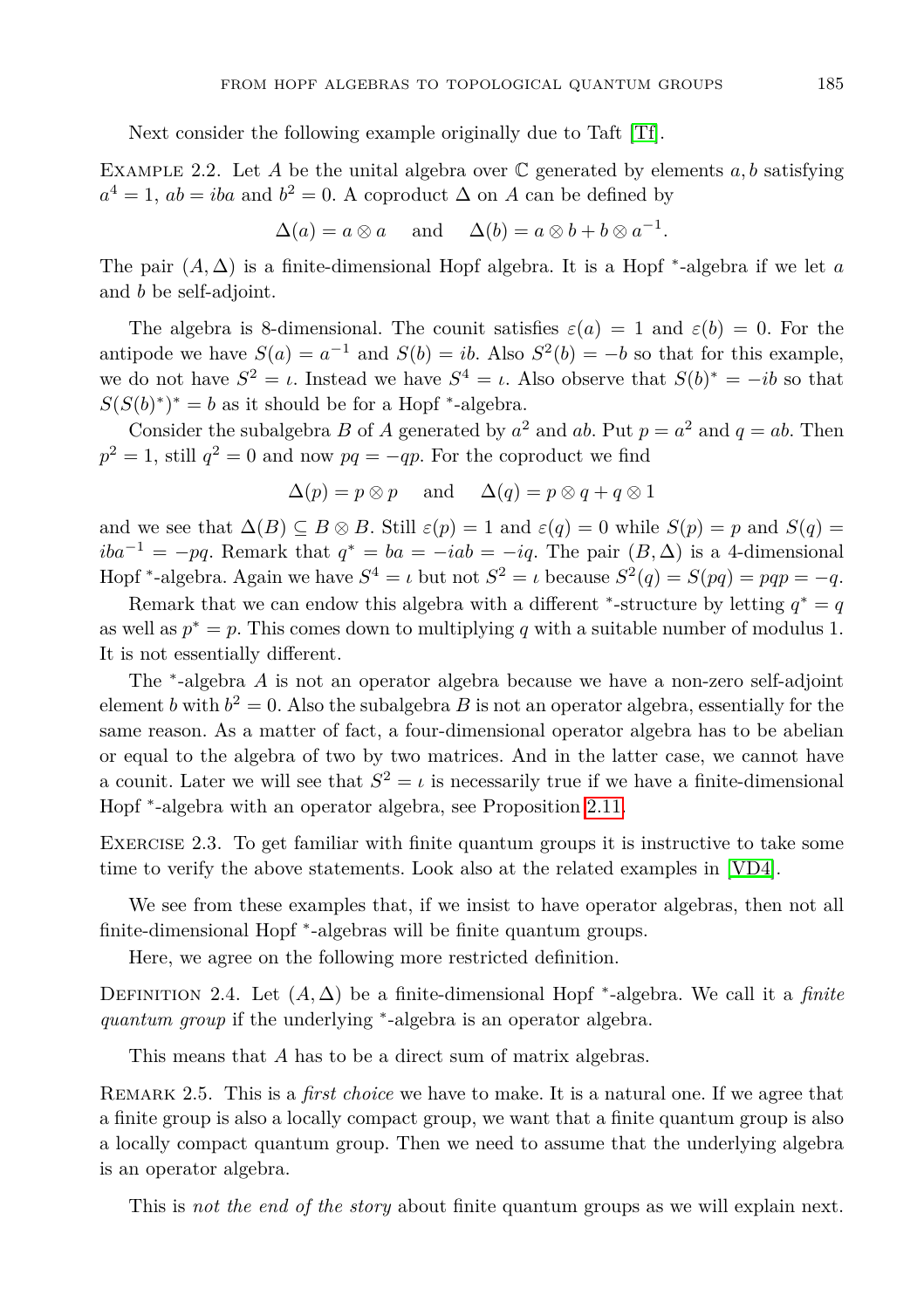Next consider the following example originally due to Taft [\[Tf\]](#page-40-3).

<span id="page-6-1"></span>EXAMPLE 2.2. Let A be the unital algebra over  $\mathbb C$  generated by elements a, b satisfying  $a^4 = 1$ ,  $ab = iba$  and  $b^2 = 0$ . A coproduct  $\Delta$  on *A* can be defined by

$$
\Delta(a) = a \otimes a \quad \text{and} \quad \Delta(b) = a \otimes b + b \otimes a^{-1}.
$$

The pair  $(A, \Delta)$  is a finite-dimensional Hopf algebra. It is a Hopf <sup>\*</sup>-algebra if we let *a* and *b* be self-adjoint.

The algebra is 8-dimensional. The counit satisfies  $\varepsilon(a) = 1$  and  $\varepsilon(b) = 0$ . For the antipode we have  $S(a) = a^{-1}$  and  $S(b) = ib$ . Also  $S^2(b) = -b$  so that for this example, we do not have  $S^2 = \iota$ . Instead we have  $S^4 = \iota$ . Also observe that  $S(b)^* = -ib$  so that  $S(S(b)^*)^* = b$  as it should be for a Hopf <sup>\*</sup>-algebra.

Consider the subalgebra *B* of *A* generated by  $a^2$  and  $ab$ . Put  $p = a^2$  and  $q = ab$ . Then  $p^2 = 1$ , still  $q^2 = 0$  and now  $pq = -qp$ . For the coproduct we find

$$
\Delta(p) = p \otimes p \quad \text{and} \quad \Delta(q) = p \otimes q + q \otimes 1
$$

and we see that  $\Delta(B) \subseteq B \otimes B$ . Still  $\varepsilon(p) = 1$  and  $\varepsilon(q) = 0$  while  $S(p) = p$  and  $S(q) =$  $iba^{-1} = -pq$ . Remark that  $q^* = ba = -iab = -iq$ . The pair  $(B, \Delta)$  is a 4-dimensional Hopf <sup>\*</sup>-algebra. Again we have  $S^4 = \iota$  but not  $S^2 = \iota$  because  $S^2(q) = S(pq) = pqp = -q$ .

Remark that we can endow this algebra with a different \*-structure by letting  $q^* = q$ as well as  $p^* = p$ . This comes down to multiplying q with a suitable number of modulus 1. It is not essentially different.

The <sup>\*</sup>-algebra *A* is not an operator algebra because we have a non-zero self-adjoint element *b* with  $b^2 = 0$ . Also the subalgebra *B* is not an operator algebra, essentially for the same reason. As a matter of fact, a four-dimensional operator algebra has to be abelian or equal to the algebra of two by two matrices. And in the latter case, we cannot have a counit. Later we will see that  $S^2 = \iota$  is necessarily true if we have a finite-dimensional Hopf <sup>∗</sup> -algebra with an operator algebra, see Proposition [2.11.](#page-8-1)

Exercise 2.3. To get familiar with finite quantum groups it is instructive to take some time to verify the above statements. Look also at the related examples in [\[VD4\]](#page-40-16).

We see from these examples that, if we insist to have operator algebras, then not all finite-dimensional Hopf \*-algebras will be finite quantum groups.

Here, we agree on the following more restricted definition.

<span id="page-6-0"></span>DEFINITION 2.4. Let  $(A, \Delta)$  be a finite-dimensional Hopf <sup>\*</sup>-algebra. We call it a *finite* quantum group if the underlying <sup>∗</sup>-algebra is an operator algebra.

This means that *A* has to be a direct sum of matrix algebras.

Remark 2.5. This is a *first choice* we have to make. It is a natural one. If we agree that a finite group is also a locally compact group, we want that a finite quantum group is also a locally compact quantum group. Then we need to assume that the underlying algebra is an operator algebra.

This is *not the end of the story* about finite quantum groups as we will explain next.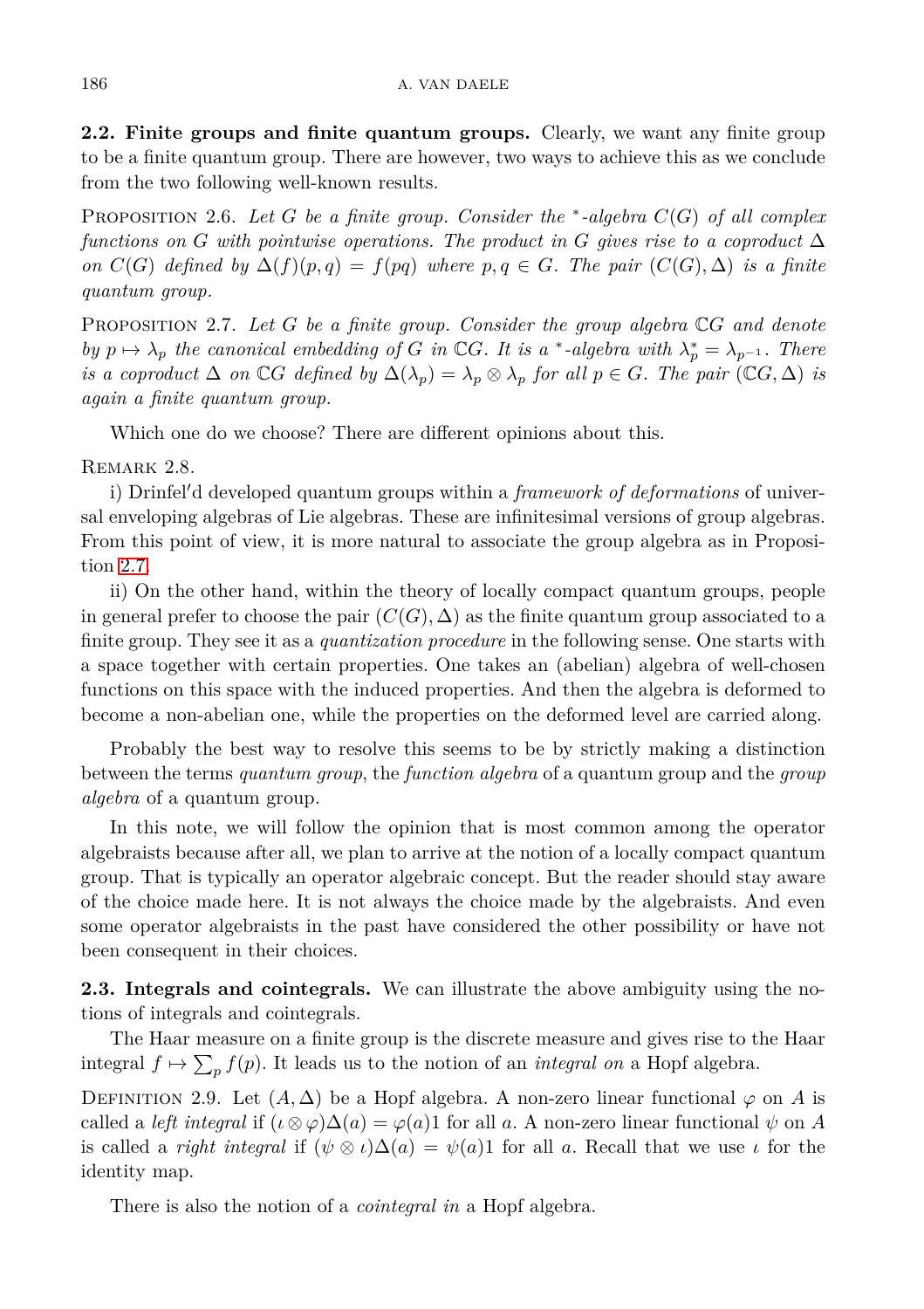**2.2. Finite groups and finite quantum groups.** Clearly, we want any finite group to be a finite quantum group. There are however, two ways to achieve this as we conclude from the two following well-known results.

Proposition 2.6. *Let G be a finite group. Consider the* <sup>∗</sup> *-algebra C*(*G*) *of all complex functions on G with pointwise operations. The product in G gives rise to a coproduct*  $\Delta$ *on C*(*G*) *defined by* ∆(*f*)(*p, q*) = *f*(*pq*) *where p, q* ∈ *G. The pair* (*C*(*G*)*,* ∆) *is a finite quantum group.*

<span id="page-7-0"></span>Proposition 2.7. *Let G be a finite group. Consider the group algebra* C*G and denote by*  $p \mapsto \lambda_p$  *the canonical embedding of G in*  $\mathbb{C}G$ *. It is a* \*-*algebra with*  $\lambda_p^* = \lambda_{p^{-1}}$ *. There is a coproduct*  $\Delta$  *on*  $\mathbb{C}G$  *defined by*  $\Delta(\lambda_p) = \lambda_p \otimes \lambda_p$  *for all*  $p \in G$ *. The pair*  $(\mathbb{C}G, \Delta)$  *is again a finite quantum group.*

Which one do we choose? There are different opinions about this.

<span id="page-7-2"></span>REMARK 2.8.

i) Drinfel<sup>'</sup>d developed quantum groups within a *framework of deformations* of universal enveloping algebras of Lie algebras. These are infinitesimal versions of group algebras. From this point of view, it is more natural to associate the group algebra as in Proposition [2.7.](#page-7-0)

ii) On the other hand, within the theory of locally compact quantum groups, people in general prefer to choose the pair  $(C(G), \Delta)$  as the finite quantum group associated to a finite group. They see it as a *quantization procedure* in the following sense. One starts with a space together with certain properties. One takes an (abelian) algebra of well-chosen functions on this space with the induced properties. And then the algebra is deformed to become a non-abelian one, while the properties on the deformed level are carried along.

Probably the best way to resolve this seems to be by strictly making a distinction between the terms *quantum group*, the *function algebra* of a quantum group and the *group algebra* of a quantum group.

In this note, we will follow the opinion that is most common among the operator algebraists because after all, we plan to arrive at the notion of a locally compact quantum group. That is typically an operator algebraic concept. But the reader should stay aware of the choice made here. It is not always the choice made by the algebraists. And even some operator algebraists in the past have considered the other possibility or have not been consequent in their choices.

**2.3. Integrals and cointegrals.** We can illustrate the above ambiguity using the notions of integrals and cointegrals.

The Haar measure on a finite group is the discrete measure and gives rise to the Haar integral  $f \mapsto \sum_p f(p)$ . It leads us to the notion of an *integral on* a Hopf algebra.

<span id="page-7-1"></span>DEFINITION 2.9. Let  $(A, \Delta)$  be a Hopf algebra. A non-zero linear functional  $\varphi$  on A is called a *left integral* if  $(\iota \otimes \varphi) \Delta(a) = \varphi(a)1$  for all *a*. A non-zero linear functional  $\psi$  on *A* is called a *right integral* if  $(\psi \otimes \iota)\Delta(a) = \psi(a)1$  for all *a*. Recall that we use *ι* for the identity map.

There is also the notion of a *cointegral in* a Hopf algebra.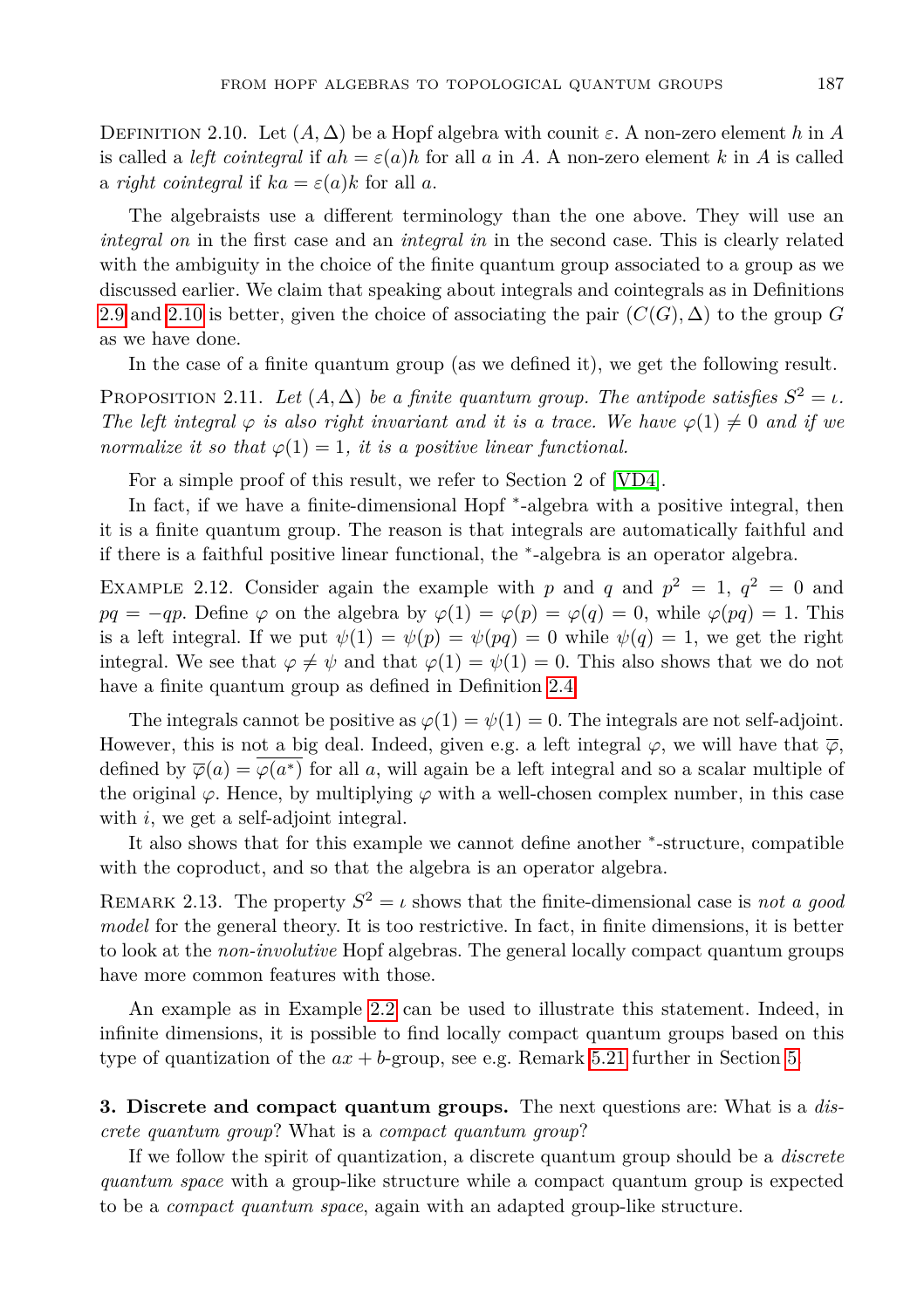<span id="page-8-2"></span>DEFINITION 2.10. Let  $(A, \Delta)$  be a Hopf algebra with counit  $\varepsilon$ . A non-zero element h in A is called a *left cointegral* if  $ah = \varepsilon(a)h$  for all a in A. A non-zero element k in A is called a *right cointegral* if  $ka = \varepsilon(a)k$  for all *a*.

The algebraists use a different terminology than the one above. They will use an *integral on* in the first case and an *integral in* in the second case. This is clearly related with the ambiguity in the choice of the finite quantum group associated to a group as we discussed earlier. We claim that speaking about integrals and cointegrals as in Definitions [2.9](#page-7-1) and [2.10](#page-8-2) is better, given the choice of associating the pair  $(C(G), \Delta)$  to the group *G* as we have done.

In the case of a finite quantum group (as we defined it), we get the following result.

<span id="page-8-1"></span>PROPOSITION 2.11. Let  $(A, \Delta)$  be a finite quantum group. The antipode satisfies  $S^2 = \iota$ . *The left integral*  $\varphi$  *is also right invariant and it is a trace. We have*  $\varphi(1) \neq 0$  *and if we normalize it so that*  $\varphi(1) = 1$ *, it is a positive linear functional.* 

For a simple proof of this result, we refer to Section 2 of [\[VD4\]](#page-40-16).

In fact, if we have a finite-dimensional Hopf  $*$ -algebra with a positive integral, then it is a finite quantum group. The reason is that integrals are automatically faithful and if there is a faithful positive linear functional, the <sup>∗</sup> -algebra is an operator algebra.

EXAMPLE 2.12. Consider again the example with p and q and  $p^2 = 1$ ,  $q^2 = 0$  and  $pq = -qp$ . Define  $\varphi$  on the algebra by  $\varphi(1) = \varphi(p) = \varphi(q) = 0$ , while  $\varphi(pq) = 1$ . This is a left integral. If we put  $\psi(1) = \psi(p) = \psi(pq) = 0$  while  $\psi(q) = 1$ , we get the right integral. We see that  $\varphi \neq \psi$  and that  $\varphi(1) = \psi(1) = 0$ . This also shows that we do not have a finite quantum group as defined in Definition [2.4.](#page-6-0)

The integrals cannot be positive as  $\varphi(1) = \psi(1) = 0$ . The integrals are not self-adjoint. However, this is not a big deal. Indeed, given e.g. a left integral  $\varphi$ , we will have that  $\overline{\varphi}$ , defined by  $\overline{\varphi}(a) = \varphi(a^*)$  for all *a*, will again be a left integral and so a scalar multiple of the original  $\varphi$ . Hence, by multiplying  $\varphi$  with a well-chosen complex number, in this case with *i*, we get a self-adjoint integral.

It also shows that for this example we cannot define another \*-structure, compatible with the coproduct, and so that the algebra is an operator algebra.

REMARK 2.13. The property  $S^2 = \iota$  shows that the finite-dimensional case is *not a good model* for the general theory. It is too restrictive. In fact, in finite dimensions, it is better to look at the *non-involutive* Hopf algebras. The general locally compact quantum groups have more common features with those.

An example as in Example [2.2](#page-6-1) can be used to illustrate this statement. Indeed, in infinite dimensions, it is possible to find locally compact quantum groups based on this type of quantization of the *ax* + *b*-group, see e.g. Remark [5.21](#page-29-0) further in Section [5.](#page-20-0)

<span id="page-8-0"></span>**3. Discrete and compact quantum groups.** The next questions are: What is a *discrete quantum group*? What is a *compact quantum group*?

If we follow the spirit of quantization, a discrete quantum group should be a *discrete quantum space* with a group-like structure while a compact quantum group is expected to be a *compact quantum space*, again with an adapted group-like structure.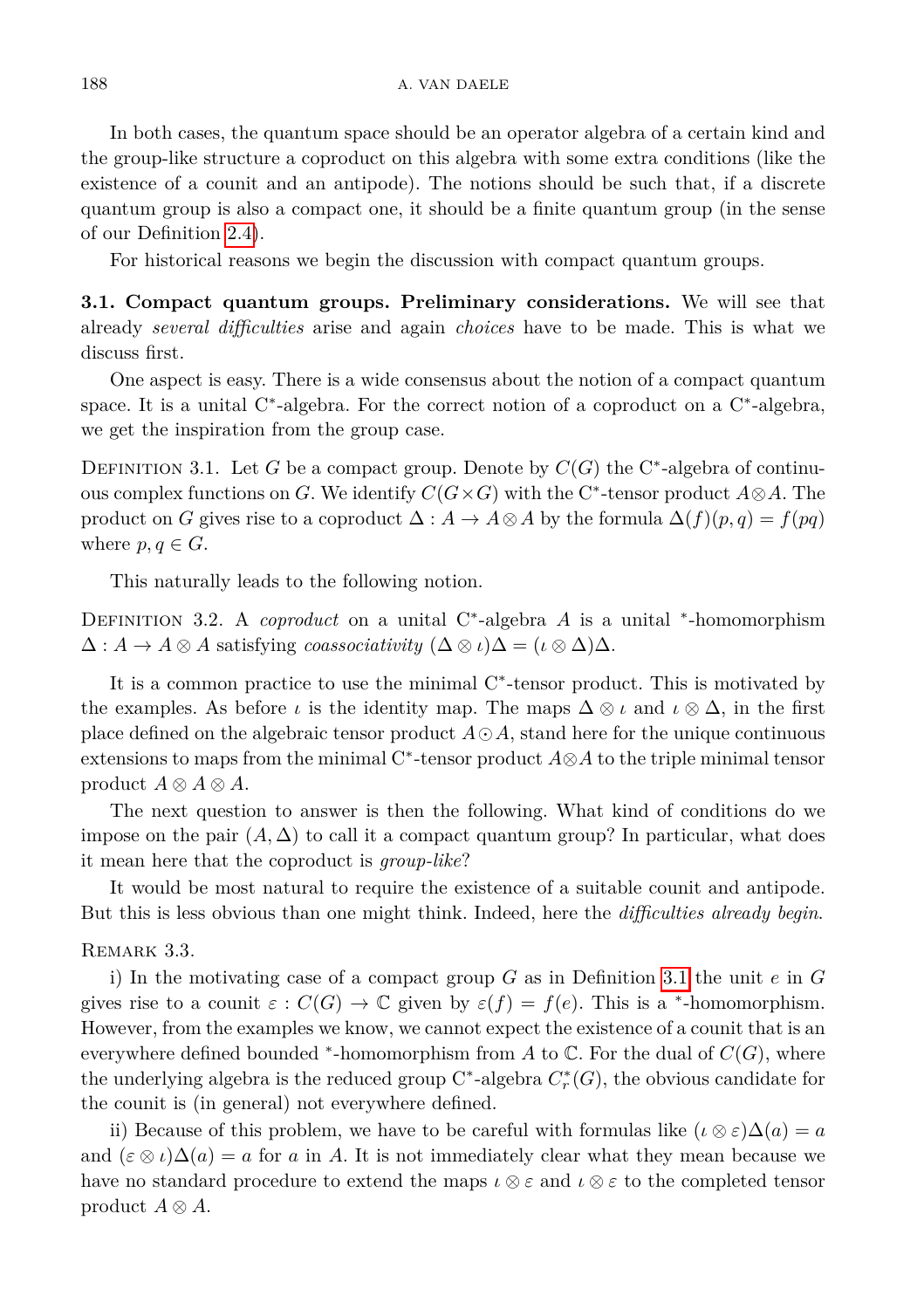In both cases, the quantum space should be an operator algebra of a certain kind and the group-like structure a coproduct on this algebra with some extra conditions (like the existence of a counit and an antipode). The notions should be such that, if a discrete quantum group is also a compact one, it should be a finite quantum group (in the sense of our Definition [2.4\)](#page-6-0).

For historical reasons we begin the discussion with compact quantum groups.

**3.1. Compact quantum groups. Preliminary considerations.** We will see that already *several difficulties* arise and again *choices* have to be made. This is what we discuss first.

One aspect is easy. There is a wide consensus about the notion of a compact quantum space. It is a unital C<sup>∗</sup>-algebra. For the correct notion of a coproduct on a C<sup>∗</sup>-algebra, we get the inspiration from the group case.

<span id="page-9-0"></span>DEFINITION 3.1. Let *G* be a compact group. Denote by  $C(G)$  the C<sup>\*</sup>-algebra of continuous complex functions on *G*. We identify  $C(G \times G)$  with the C<sup>\*</sup>-tensor product  $A \otimes A$ . The product on *G* gives rise to a coproduct  $\Delta : A \to A \otimes A$  by the formula  $\Delta(f)(p,q) = f(pq)$ where  $p, q \in G$ .

This naturally leads to the following notion.

DEFINITION 3.2. A *coproduct* on a unital C<sup>∗</sup>-algebra *A* is a unital <sup>∗</sup>-homomorphism  $\Delta: A \to A \otimes A$  satisfying *coassociativity*  $(\Delta \otimes \iota)\Delta = (\iota \otimes \Delta)\Delta$ .

It is a common practice to use the minimal C<sup>∗</sup> -tensor product. This is motivated by the examples. As before  $\iota$  is the identity map. The maps  $\Delta \otimes \iota$  and  $\iota \otimes \Delta$ , in the first place defined on the algebraic tensor product  $A \odot A$ , stand here for the unique continuous extensions to maps from the minimal C<sup>∗</sup> -tensor product *A*⊗*A* to the triple minimal tensor product  $A \otimes A \otimes A$ .

The next question to answer is then the following. What kind of conditions do we impose on the pair  $(A, \Delta)$  to call it a compact quantum group? In particular, what does it mean here that the coproduct is *group-like*?

It would be most natural to require the existence of a suitable counit and antipode. But this is less obvious than one might think. Indeed, here the *difficulties already begin*.

REMARK 3.3.

i) In the motivating case of a compact group *G* as in Definition [3.1](#page-9-0) the unit *e* in *G* gives rise to a counit  $\varepsilon$  :  $C(G) \to \mathbb{C}$  given by  $\varepsilon(f) = f(e)$ . This is a <sup>\*</sup>-homomorphism. However, from the examples we know, we cannot expect the existence of a counit that is an everywhere defined bounded  $*$ -homomorphism from *A* to  $\mathbb C$ . For the dual of  $C(G)$ , where the underlying algebra is the reduced group  $C^*$ -algebra  $C^*_r(G)$ , the obvious candidate for the counit is (in general) not everywhere defined.

ii) Because of this problem, we have to be careful with formulas like  $(\iota \otimes \varepsilon)\Delta(a) = a$ and  $(\varepsilon \otimes \iota)\Delta(a) = a$  for *a* in *A*. It is not immediately clear what they mean because we have no standard procedure to extend the maps *ι* ⊗ *ε* and *ι* ⊗ *ε* to the completed tensor product  $A \otimes A$ .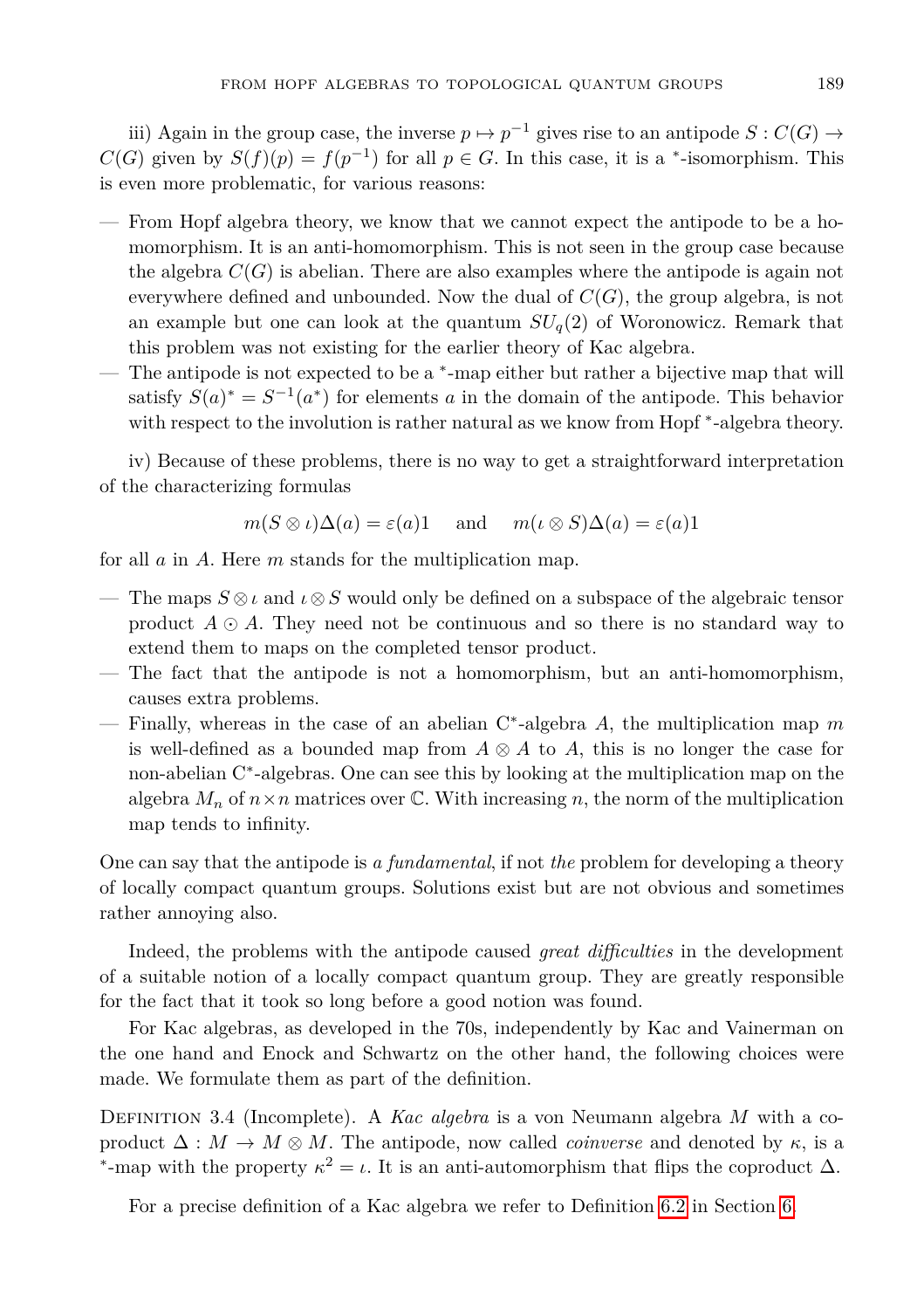iii) Again in the group case, the inverse  $p \mapsto p^{-1}$  gives rise to an antipode  $S : C(G) \rightarrow$  $C(G)$  given by  $S(f)(p) = f(p^{-1})$  for all  $p \in G$ . In this case, it is a <sup>\*</sup>-isomorphism. This is even more problematic, for various reasons:

- From Hopf algebra theory, we know that we cannot expect the antipode to be a homomorphism. It is an anti-homomorphism. This is not seen in the group case because the algebra  $C(G)$  is abelian. There are also examples where the antipode is again not everywhere defined and unbounded. Now the dual of *C*(*G*), the group algebra, is not an example but one can look at the quantum  $SU_q(2)$  of Woronowicz. Remark that this problem was not existing for the earlier theory of Kac algebra.
- The antipode is not expected to be a <sup>∗</sup> -map either but rather a bijective map that will satisfy  $S(a)^* = S^{-1}(a^*)$  for elements *a* in the domain of the antipode. This behavior with respect to the involution is rather natural as we know from Hopf  $*$ -algebra theory.

iv) Because of these problems, there is no way to get a straightforward interpretation of the characterizing formulas

$$
m(S \otimes \iota)\Delta(a) = \varepsilon(a)1
$$
 and  $m(\iota \otimes S)\Delta(a) = \varepsilon(a)1$ 

for all *a* in *A*. Here *m* stands for the multiplication map.

- The maps *S* ⊗*ι* and *ι*⊗*S* would only be defined on a subspace of the algebraic tensor product  $A \odot A$ . They need not be continuous and so there is no standard way to extend them to maps on the completed tensor product.
- The fact that the antipode is not a homomorphism, but an anti-homomorphism, causes extra problems.
- Finally, whereas in the case of an abelian C<sup>∗</sup> -algebra *A*, the multiplication map *m* is well-defined as a bounded map from  $A \otimes A$  to  $A$ , this is no longer the case for non-abelian C<sup>∗</sup> -algebras. One can see this by looking at the multiplication map on the algebra  $M_n$  of  $n \times n$  matrices over  $\mathbb{C}$ . With increasing  $n$ , the norm of the multiplication map tends to infinity.

One can say that the antipode is *a fundamental*, if not *the* problem for developing a theory of locally compact quantum groups. Solutions exist but are not obvious and sometimes rather annoying also.

Indeed, the problems with the antipode caused *great difficulties* in the development of a suitable notion of a locally compact quantum group. They are greatly responsible for the fact that it took so long before a good notion was found.

For Kac algebras, as developed in the 70s, independently by Kac and Vainerman on the one hand and Enock and Schwartz on the other hand, the following choices were made. We formulate them as part of the definition.

Definition 3.4 (Incomplete). A *Kac algebra* is a von Neumann algebra *M* with a coproduct  $\Delta : M \to M \otimes M$ . The antipode, now called *coinverse* and denoted by  $\kappa$ , is a <sup>\*</sup>-map with the property  $\kappa^2 = \iota$ . It is an anti-automorphism that flips the coproduct  $\Delta$ .

For a precise definition of a Kac algebra we refer to Definition [6.2](#page-31-1) in Section [6.](#page-31-0)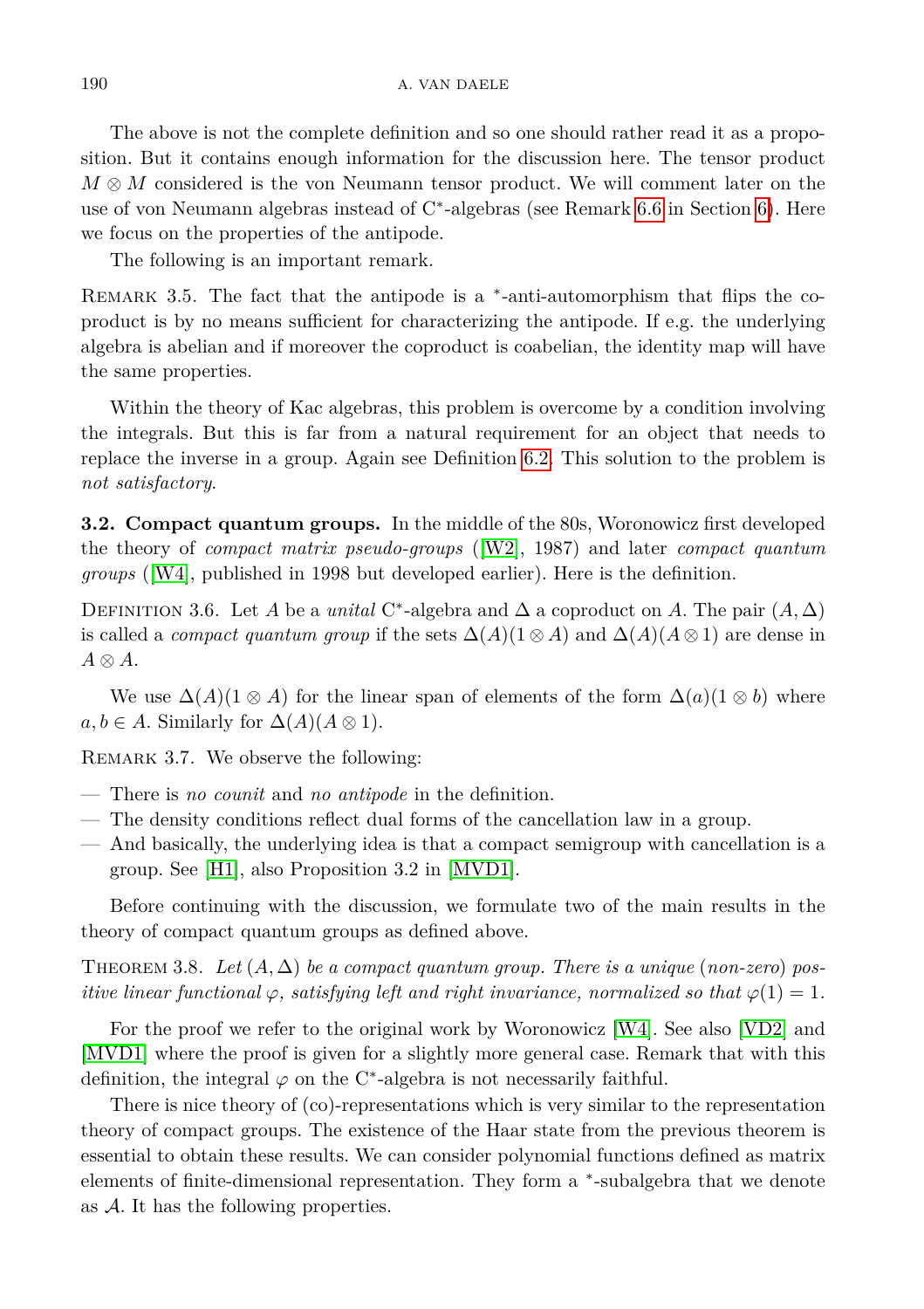The above is not the complete definition and so one should rather read it as a proposition. But it contains enough information for the discussion here. The tensor product *M* ⊗ *M* considered is the von Neumann tensor product. We will comment later on the use of von Neumann algebras instead of C<sup>∗</sup> -algebras (see Remark [6.6](#page-33-0) in Section [6\)](#page-31-0). Here we focus on the properties of the antipode.

The following is an important remark.

REMARK 3.5. The fact that the antipode is a <sup>\*</sup>-anti-automorphism that flips the coproduct is by no means sufficient for characterizing the antipode. If e.g. the underlying algebra is abelian and if moreover the coproduct is coabelian, the identity map will have the same properties.

Within the theory of Kac algebras, this problem is overcome by a condition involving the integrals. But this is far from a natural requirement for an object that needs to replace the inverse in a group. Again see Definition [6.2.](#page-31-1) This solution to the problem is *not satisfactory*.

**3.2. Compact quantum groups.** In the middle of the 80s, Woronowicz first developed the theory of *compact matrix pseudo-groups* ([\[W2\]](#page-41-0), 1987) and later *compact quantum groups* ([\[W4\]](#page-41-1), published in 1998 but developed earlier). Here is the definition.

<span id="page-11-0"></span>DEFINITION 3.6. Let *A* be a *unital* C<sup>\*</sup>-algebra and  $\Delta$  a coproduct on *A*. The pair  $(A, \Delta)$ is called a *compact quantum group* if the sets  $\Delta(A)(1 \otimes A)$  and  $\Delta(A)(A \otimes 1)$  are dense in  $A \otimes A$ .

We use  $\Delta(A)(1 \otimes A)$  for the linear span of elements of the form  $\Delta(a)(1 \otimes b)$  where  $a, b \in A$ . Similarly for  $\Delta(A)(A \otimes 1)$ .

REMARK 3.7. We observe the following:

- There is *no counit* and *no antipode* in the definition.
- The density conditions reflect dual forms of the cancellation law in a group.
- And basically, the underlying idea is that a compact semigroup with cancellation is a group. See [\[H1\]](#page-39-14), also Proposition 3.2 in [\[MVD1\]](#page-40-11).

Before continuing with the discussion, we formulate two of the main results in the theory of compact quantum groups as defined above.

THEOREM 3.8. Let  $(A, \Delta)$  be a compact quantum group. There is a unique (non-zero) pos*itive linear functional*  $\varphi$ , satisfying left and right invariance, normalized so that  $\varphi(1) = 1$ .

For the proof we refer to the original work by Woronowicz [\[W4\]](#page-41-1). See also [\[VD2\]](#page-40-17) and [\[MVD1\]](#page-40-11) where the proof is given for a slightly more general case. Remark that with this definition, the integral  $\varphi$  on the C<sup>\*</sup>-algebra is not necessarily faithful.

<span id="page-11-1"></span>There is nice theory of (co)-representations which is very similar to the representation theory of compact groups. The existence of the Haar state from the previous theorem is essential to obtain these results. We can consider polynomial functions defined as matrix elements of finite-dimensional representation. They form a <sup>∗</sup>-subalgebra that we denote as A. It has the following properties.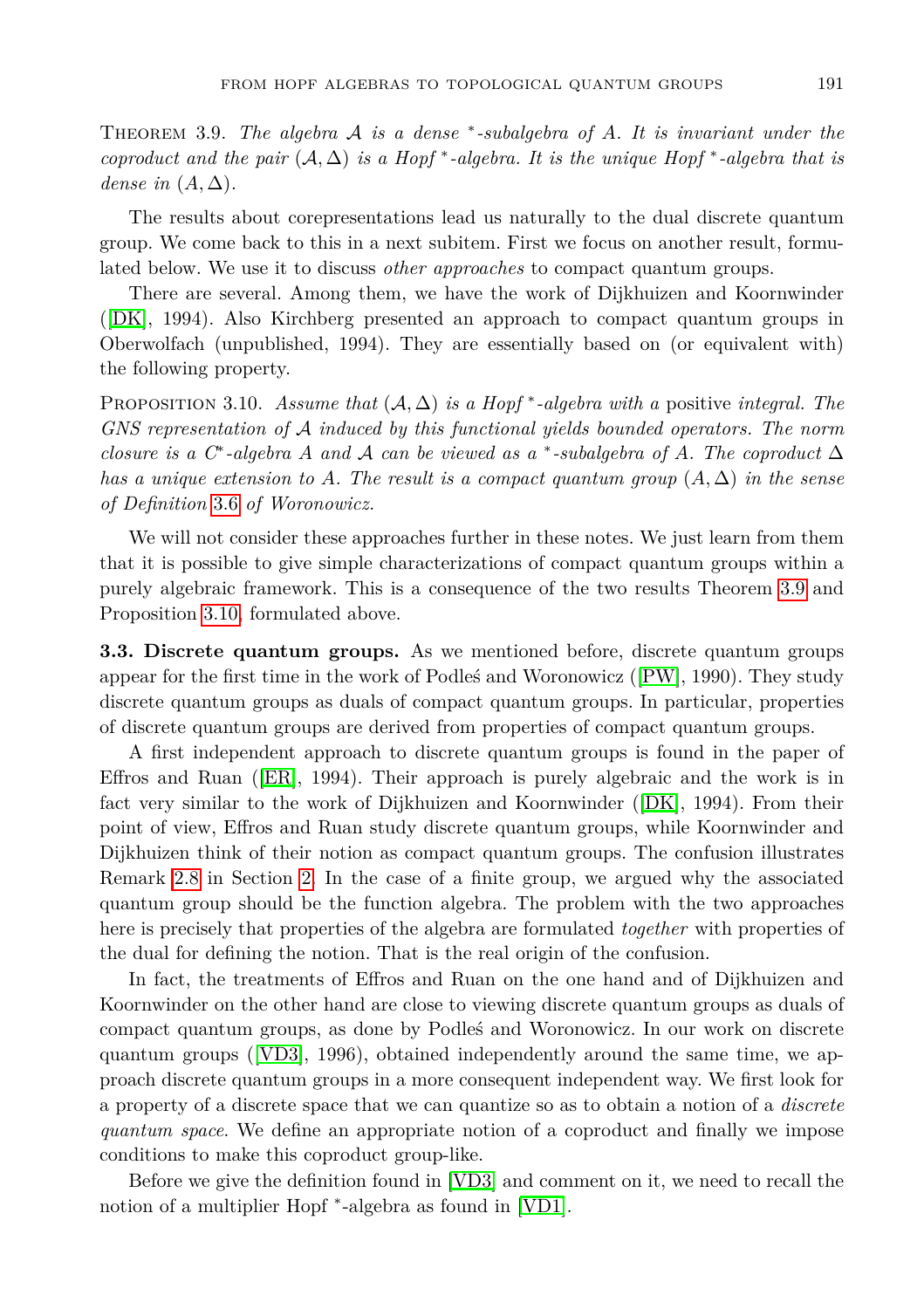Theorem 3.9. *The algebra* A *is a dense* <sup>∗</sup> *-subalgebra of A. It is invariant under the coproduct and the pair*  $(A, \Delta)$  *is a Hopf*  $*$ -*algebra. It is the unique Hopf*  $*$ -*algebra that is dense in*  $(A, \Delta)$ *.* 

The results about corepresentations lead us naturally to the dual discrete quantum group. We come back to this in a next subitem. First we focus on another result, formulated below. We use it to discuss *other approaches* to compact quantum groups.

There are several. Among them, we have the work of Dijkhuizen and Koornwinder ([\[DK\]](#page-39-15), 1994). Also Kirchberg presented an approach to compact quantum groups in Oberwolfach (unpublished, 1994). They are essentially based on (or equivalent with) the following property.

<span id="page-12-0"></span>PROPOSITION 3.10. *Assume that*  $(A, \Delta)$  *is a Hopf* \*-algebra with a positive *integral. The GNS representation of* A *induced by this functional yields bounded operators. The norm closure is a C*<sup>∗</sup> *-algebra A and* A *can be viewed as a* <sup>∗</sup> *-subalgebra of A. The coproduct* ∆ *has a unique extension to A. The result is a compact quantum group*  $(A, \Delta)$  *in the sense of Definition* [3.6](#page-11-0) *of Woronowicz.*

We will not consider these approaches further in these notes. We just learn from them that it is possible to give simple characterizations of compact quantum groups within a purely algebraic framework. This is a consequence of the two results Theorem [3.9](#page-11-1) and Proposition [3.10,](#page-12-0) formulated above.

**3.3. Discrete quantum groups.** As we mentioned before, discrete quantum groups appear for the first time in the work of Podles´ and Woronowicz ( $[PW]$ , 1990). They study discrete quantum groups as duals of compact quantum groups. In particular, properties of discrete quantum groups are derived from properties of compact quantum groups.

A first independent approach to discrete quantum groups is found in the paper of Effros and Ruan ([\[ER\]](#page-39-11), 1994). Their approach is purely algebraic and the work is in fact very similar to the work of Dijkhuizen and Koornwinder ([\[DK\]](#page-39-15), 1994). From their point of view, Effros and Ruan study discrete quantum groups, while Koornwinder and Dijkhuizen think of their notion as compact quantum groups. The confusion illustrates Remark [2.8](#page-7-2) in Section [2.](#page-5-0) In the case of a finite group, we argued why the associated quantum group should be the function algebra. The problem with the two approaches here is precisely that properties of the algebra are formulated *together* with properties of the dual for defining the notion. That is the real origin of the confusion.

In fact, the treatments of Effros and Ruan on the one hand and of Dijkhuizen and Koornwinder on the other hand are close to viewing discrete quantum groups as duals of compact quantum groups, as done by Podles´ and Woronowicz. In our work on discrete quantum groups ([\[VD3\]](#page-40-9), 1996), obtained independently around the same time, we approach discrete quantum groups in a more consequent independent way. We first look for a property of a discrete space that we can quantize so as to obtain a notion of a *discrete quantum space*. We define an appropriate notion of a coproduct and finally we impose conditions to make this coproduct group-like.

<span id="page-12-1"></span>Before we give the definition found in [\[VD3\]](#page-40-9) and comment on it, we need to recall the notion of a multiplier Hopf <sup>∗</sup>-algebra as found in [\[VD1\]](#page-40-12).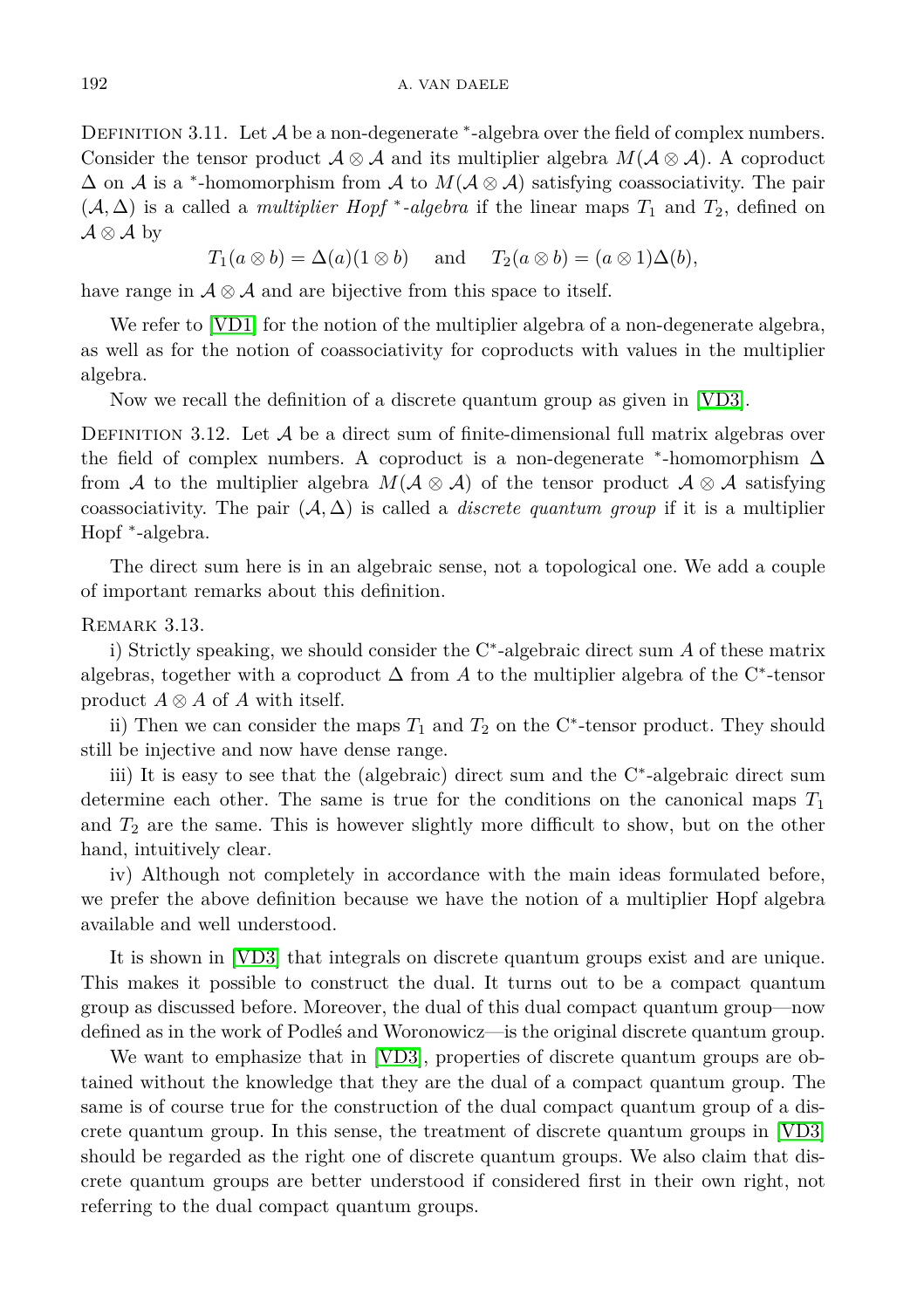DEFINITION 3.11. Let  $\mathcal A$  be a non-degenerate  $*$ -algebra over the field of complex numbers. Consider the tensor product  $\mathcal{A} \otimes \mathcal{A}$  and its multiplier algebra  $M(\mathcal{A} \otimes \mathcal{A})$ . A coproduct  $\Delta$  on  $\mathcal A$  is a <sup>\*</sup>-homomorphism from  $\mathcal A$  to  $M(\mathcal A \otimes \mathcal A)$  satisfying coassociativity. The pair  $(A, Δ)$  is a called a *multiplier Hopf* \*-*algebra* if the linear maps  $T_1$  and  $T_2$ , defined on  $\mathcal{A} \otimes \mathcal{A}$  by

 $T_1(a \otimes b) = \Delta(a)(1 \otimes b)$  and  $T_2(a \otimes b) = (a \otimes 1)\Delta(b)$ ,

have range in  $\mathcal{A} \otimes \mathcal{A}$  and are bijective from this space to itself.

We refer to [\[VD1\]](#page-40-12) for the notion of the multiplier algebra of a non-degenerate algebra, as well as for the notion of coassociativity for coproducts with values in the multiplier algebra.

Now we recall the definition of a discrete quantum group as given in [\[VD3\]](#page-40-9).

DEFINITION 3.12. Let  $A$  be a direct sum of finite-dimensional full matrix algebras over the field of complex numbers. A coproduct is a non-degenerate <sup>∗</sup> -homomorphism ∆ from A to the multiplier algebra  $M(A \otimes A)$  of the tensor product  $A \otimes A$  satisfying coassociativity. The pair  $(\mathcal{A}, \Delta)$  is called a *discrete quantum group* if it is a multiplier Hopf <sup>∗</sup> -algebra.

The direct sum here is in an algebraic sense, not a topological one. We add a couple of important remarks about this definition.

# REMARK 3.13.

i) Strictly speaking, we should consider the C<sup>∗</sup> -algebraic direct sum *A* of these matrix algebras, together with a coproduct  $\Delta$  from  $A$  to the multiplier algebra of the C<sup>\*</sup>-tensor product  $A \otimes A$  of  $A$  with itself.

ii) Then we can consider the maps  $T_1$  and  $T_2$  on the C<sup>\*</sup>-tensor product. They should still be injective and now have dense range.

iii) It is easy to see that the (algebraic) direct sum and the C<sup>∗</sup>-algebraic direct sum determine each other. The same is true for the conditions on the canonical maps  $T_1$ and  $T_2$  are the same. This is however slightly more difficult to show, but on the other hand, intuitively clear.

iv) Although not completely in accordance with the main ideas formulated before, we prefer the above definition because we have the notion of a multiplier Hopf algebra available and well understood.

It is shown in [\[VD3\]](#page-40-9) that integrals on discrete quantum groups exist and are unique. This makes it possible to construct the dual. It turns out to be a compact quantum group as discussed before. Moreover, the dual of this dual compact quantum group—now defined as in the work of Podles<sup>s</sup> and Woronowicz—is the original discrete quantum group.

We want to emphasize that in [\[VD3\]](#page-40-9), properties of discrete quantum groups are obtained without the knowledge that they are the dual of a compact quantum group. The same is of course true for the construction of the dual compact quantum group of a discrete quantum group. In this sense, the treatment of discrete quantum groups in [\[VD3\]](#page-40-9) should be regarded as the right one of discrete quantum groups. We also claim that discrete quantum groups are better understood if considered first in their own right, not referring to the dual compact quantum groups.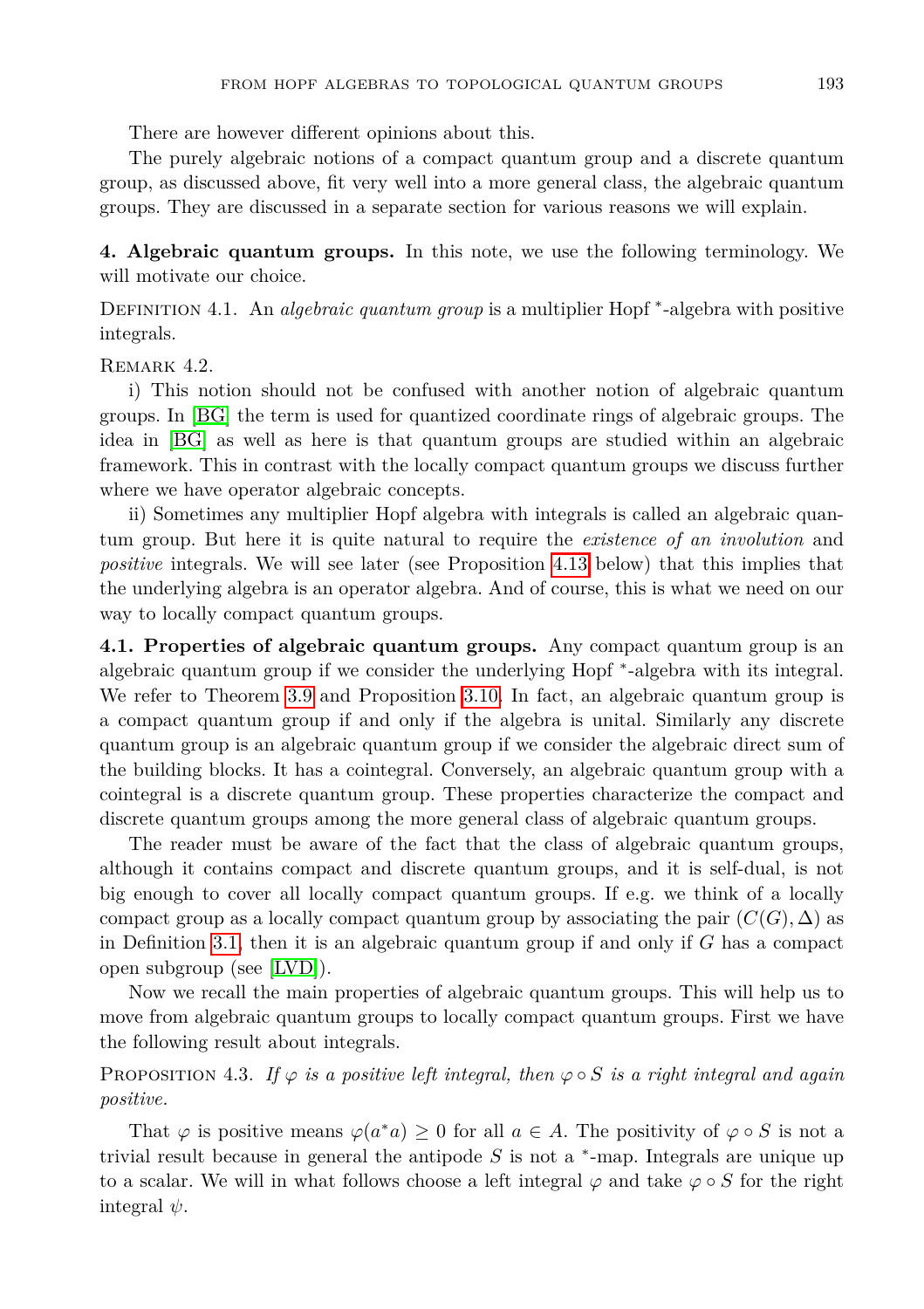There are however different opinions about this.

The purely algebraic notions of a compact quantum group and a discrete quantum group, as discussed above, fit very well into a more general class, the algebraic quantum groups. They are discussed in a separate section for various reasons we will explain.

<span id="page-14-0"></span>**4. Algebraic quantum groups.** In this note, we use the following terminology. We will motivate our choice.

DEFINITION 4.1. An *algebraic quantum group* is a multiplier Hopf <sup>∗</sup>-algebra with positive integrals.

REMARK 4.2.

i) This notion should not be confused with another notion of algebraic quantum groups. In [\[BG\]](#page-39-16) the term is used for quantized coordinate rings of algebraic groups. The idea in [\[BG\]](#page-39-16) as well as here is that quantum groups are studied within an algebraic framework. This in contrast with the locally compact quantum groups we discuss further where we have operator algebraic concepts.

ii) Sometimes any multiplier Hopf algebra with integrals is called an algebraic quantum group. But here it is quite natural to require the *existence of an involution* and *positive* integrals. We will see later (see Proposition [4.13](#page-19-0) below) that this implies that the underlying algebra is an operator algebra. And of course, this is what we need on our way to locally compact quantum groups.

**4.1. Properties of algebraic quantum groups.** Any compact quantum group is an algebraic quantum group if we consider the underlying Hopf <sup>∗</sup> -algebra with its integral. We refer to Theorem [3.9](#page-11-1) and Proposition [3.10.](#page-12-0) In fact, an algebraic quantum group is a compact quantum group if and only if the algebra is unital. Similarly any discrete quantum group is an algebraic quantum group if we consider the algebraic direct sum of the building blocks. It has a cointegral. Conversely, an algebraic quantum group with a cointegral is a discrete quantum group. These properties characterize the compact and discrete quantum groups among the more general class of algebraic quantum groups.

The reader must be aware of the fact that the class of algebraic quantum groups, although it contains compact and discrete quantum groups, and it is self-dual, is not big enough to cover all locally compact quantum groups. If e.g. we think of a locally compact group as a locally compact quantum group by associating the pair  $(C(G), \Delta)$  as in Definition [3.1,](#page-9-0) then it is an algebraic quantum group if and only if *G* has a compact open subgroup (see [\[LVD\]](#page-39-17)).

Now we recall the main properties of algebraic quantum groups. This will help us to move from algebraic quantum groups to locally compact quantum groups. First we have the following result about integrals.

PROPOSITION 4.3. If  $\varphi$  *is a positive left integral, then*  $\varphi \circ S$  *is a right integral and again positive.*

That  $\varphi$  is positive means  $\varphi(a^*a) \geq 0$  for all  $a \in A$ . The positivity of  $\varphi \circ S$  is not a trivial result because in general the antipode *S* is not a <sup>∗</sup> -map. Integrals are unique up to a scalar. We will in what follows choose a left integral  $\varphi$  and take  $\varphi \circ S$  for the right integral *ψ*.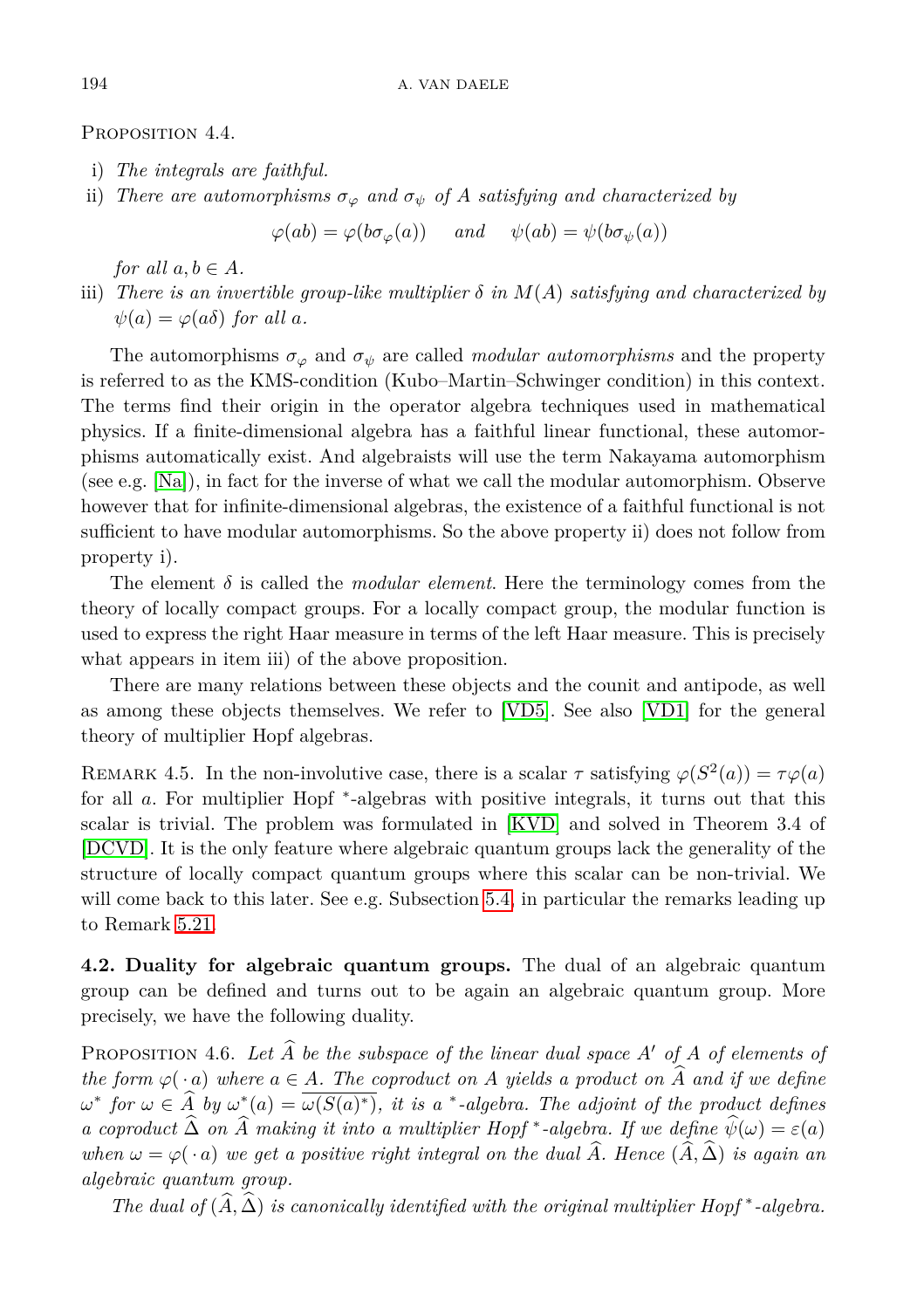PROPOSITION 4.4.

- i) *The integrals are faithful.*
- ii) *There are automorphisms*  $\sigma_{\varphi}$  *and*  $\sigma_{\psi}$  *of A satisfying and characterized by*

 $\varphi(ab) = \varphi(b\sigma_{\varphi}(a))$  *and*  $\psi(ab) = \psi(b\sigma_{\psi}(a))$ 

*for all*  $a, b \in A$ *.* 

iii) *There is an invertible group-like multiplier*  $\delta$  *in*  $M(A)$  *satisfying and characterized by*  $\psi(a) = \varphi(a\delta)$  *for all a.* 

The automorphisms  $\sigma_{\varphi}$  and  $\sigma_{\psi}$  are called *modular automorphisms* and the property is referred to as the KMS-condition (Kubo–Martin–Schwinger condition) in this context. The terms find their origin in the operator algebra techniques used in mathematical physics. If a finite-dimensional algebra has a faithful linear functional, these automorphisms automatically exist. And algebraists will use the term Nakayama automorphism (see e.g. [\[Na\]](#page-40-18)), in fact for the inverse of what we call the modular automorphism. Observe however that for infinite-dimensional algebras, the existence of a faithful functional is not sufficient to have modular automorphisms. So the above property ii) does not follow from property i).

The element  $\delta$  is called the *modular element*. Here the terminology comes from the theory of locally compact groups. For a locally compact group, the modular function is used to express the right Haar measure in terms of the left Haar measure. This is precisely what appears in item iii) of the above proposition.

There are many relations between these objects and the counit and antipode, as well as among these objects themselves. We refer to [\[VD5\]](#page-40-13). See also [\[VD1\]](#page-40-12) for the general theory of multiplier Hopf algebras.

REMARK 4.5. In the non-involutive case, there is a scalar  $\tau$  satisfying  $\varphi(S^2(a)) = \tau \varphi(a)$ for all *a*. For multiplier Hopf <sup>\*</sup>-algebras with positive integrals, it turns out that this scalar is trivial. The problem was formulated in [\[KVD\]](#page-39-18) and solved in Theorem 3.4 of [\[DCVD\]](#page-39-19). It is the only feature where algebraic quantum groups lack the generality of the structure of locally compact quantum groups where this scalar can be non-trivial. We will come back to this later. See e.g. Subsection [5.4,](#page-27-0) in particular the remarks leading up to Remark [5.21.](#page-29-0)

**4.2. Duality for algebraic quantum groups.** The dual of an algebraic quantum group can be defined and turns out to be again an algebraic quantum group. More precisely, we have the following duality.

<span id="page-15-0"></span>PROPOSITION 4.6. Let  $\widehat{A}$  be the subspace of the linear dual space  $A'$  of  $A$  of elements of *the form*  $\varphi(\cdot a)$  where  $a \in A$ . The coproduct on A yields a product on A and if we define  $\omega^*$  *for*  $\omega \in \widehat{A}$  *by*  $\omega^*(a) = \overline{\omega(S(a)^*)}$ *, it is a* \*-algebra. The adjoint of the product defines *a coproduct*  $\widehat{\Delta}$  *on*  $\widehat{A}$  *making it into a multiplier Hopf* \*-*algebra. If we define*  $\widehat{\psi}(\omega) = \varepsilon(a)$ *when*  $\omega = \varphi(\cdot a)$  *we get a positive right integral on the dual*  $\widehat{A}$ *. Hence*  $(\widehat{A}, \widehat{\Delta})$  *is again an algebraic quantum group.*

*The dual of*  $(\widehat{A}, \widehat{\Delta})$  *is canonically identified with the original multiplier Hopf*  $*$ -*algebra.*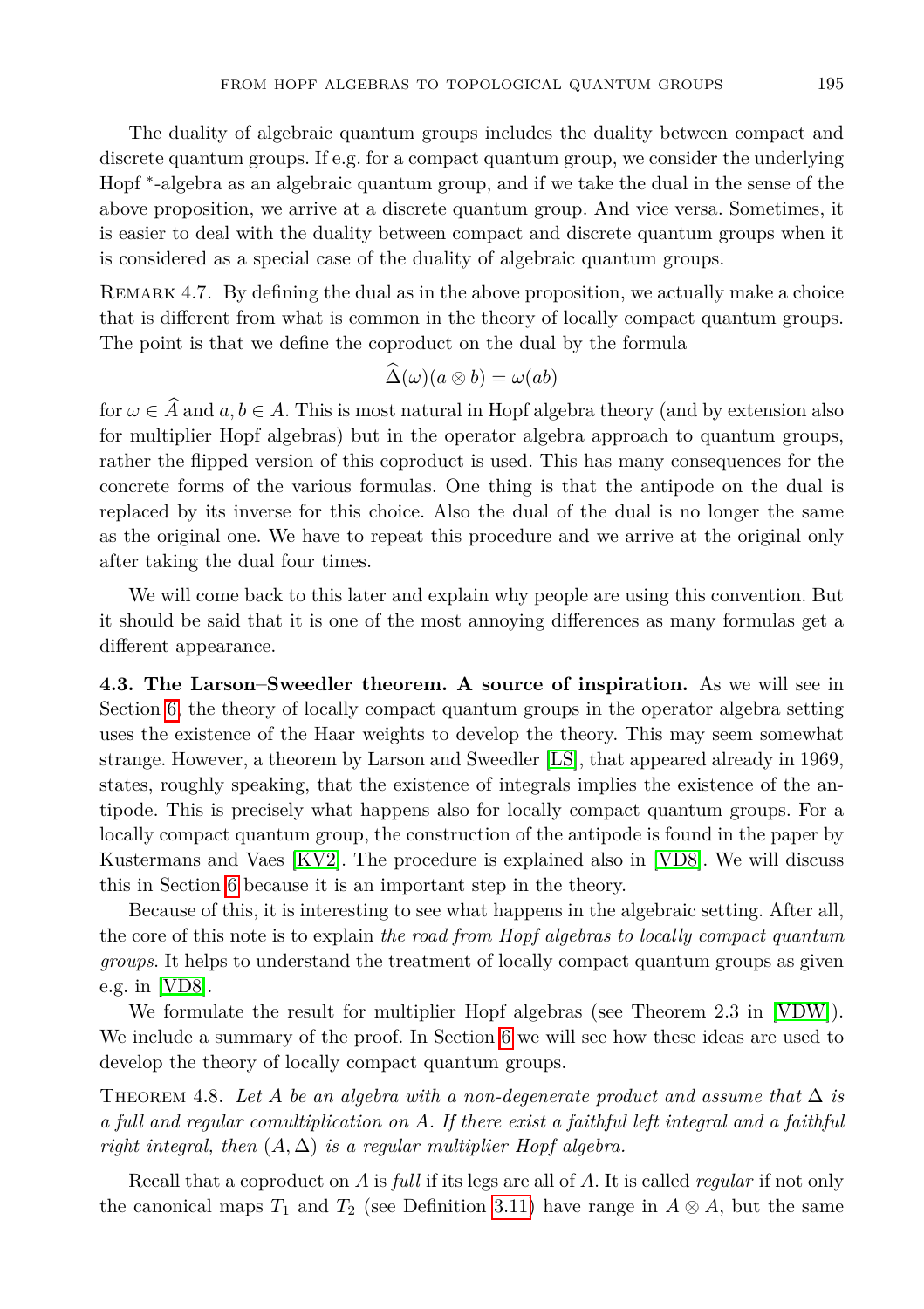REMARK 4.7. By defining the dual as in the above proposition, we actually make a choice that is different from what is common in the theory of locally compact quantum groups. The point is that we define the coproduct on the dual by the formula

is easier to deal with the duality between compact and discrete quantum groups when it

is considered as a special case of the duality of algebraic quantum groups.

$$
\Delta(\omega)(a\otimes b) = \omega(ab)
$$

for  $\omega \in \hat{A}$  and  $a, b \in A$ . This is most natural in Hopf algebra theory (and by extension also for multiplier Hopf algebras) but in the operator algebra approach to quantum groups, rather the flipped version of this coproduct is used. This has many consequences for the concrete forms of the various formulas. One thing is that the antipode on the dual is replaced by its inverse for this choice. Also the dual of the dual is no longer the same as the original one. We have to repeat this procedure and we arrive at the original only after taking the dual four times.

We will come back to this later and explain why people are using this convention. But it should be said that it is one of the most annoying differences as many formulas get a different appearance.

<span id="page-16-1"></span>**4.3. The Larson–Sweedler theorem. A source of inspiration.** As we will see in Section [6,](#page-31-0) the theory of locally compact quantum groups in the operator algebra setting uses the existence of the Haar weights to develop the theory. This may seem somewhat strange. However, a theorem by Larson and Sweedler [\[LS\]](#page-40-19), that appeared already in 1969, states, roughly speaking, that the existence of integrals implies the existence of the antipode. This is precisely what happens also for locally compact quantum groups. For a locally compact quantum group, the construction of the antipode is found in the paper by Kustermans and Vaes [\[KV2\]](#page-39-8). The procedure is explained also in [\[VD8\]](#page-41-4). We will discuss this in Section [6](#page-31-0) because it is an important step in the theory.

Because of this, it is interesting to see what happens in the algebraic setting. After all, the core of this note is to explain *the road from Hopf algebras to locally compact quantum groups*. It helps to understand the treatment of locally compact quantum groups as given e.g. in [\[VD8\]](#page-41-4).

We formulate the result for multiplier Hopf algebras (see Theorem 2.3 in [\[VDW\]](#page-41-7)). We include a summary of the proof. In Section [6](#page-31-0) we will see how these ideas are used to develop the theory of locally compact quantum groups.

<span id="page-16-0"></span>THEOREM 4.8. Let *A* be an algebra with a non-degenerate product and assume that  $\Delta$  is *a full and regular comultiplication on A. If there exist a faithful left integral and a faithful right integral, then*  $(A, \Delta)$  *is a regular multiplier Hopf algebra.* 

Recall that a coproduct on *A* is *full* if its legs are all of *A*. It is called *regular* if not only the canonical maps  $T_1$  and  $T_2$  (see Definition [3.11\)](#page-12-1) have range in  $A \otimes A$ , but the same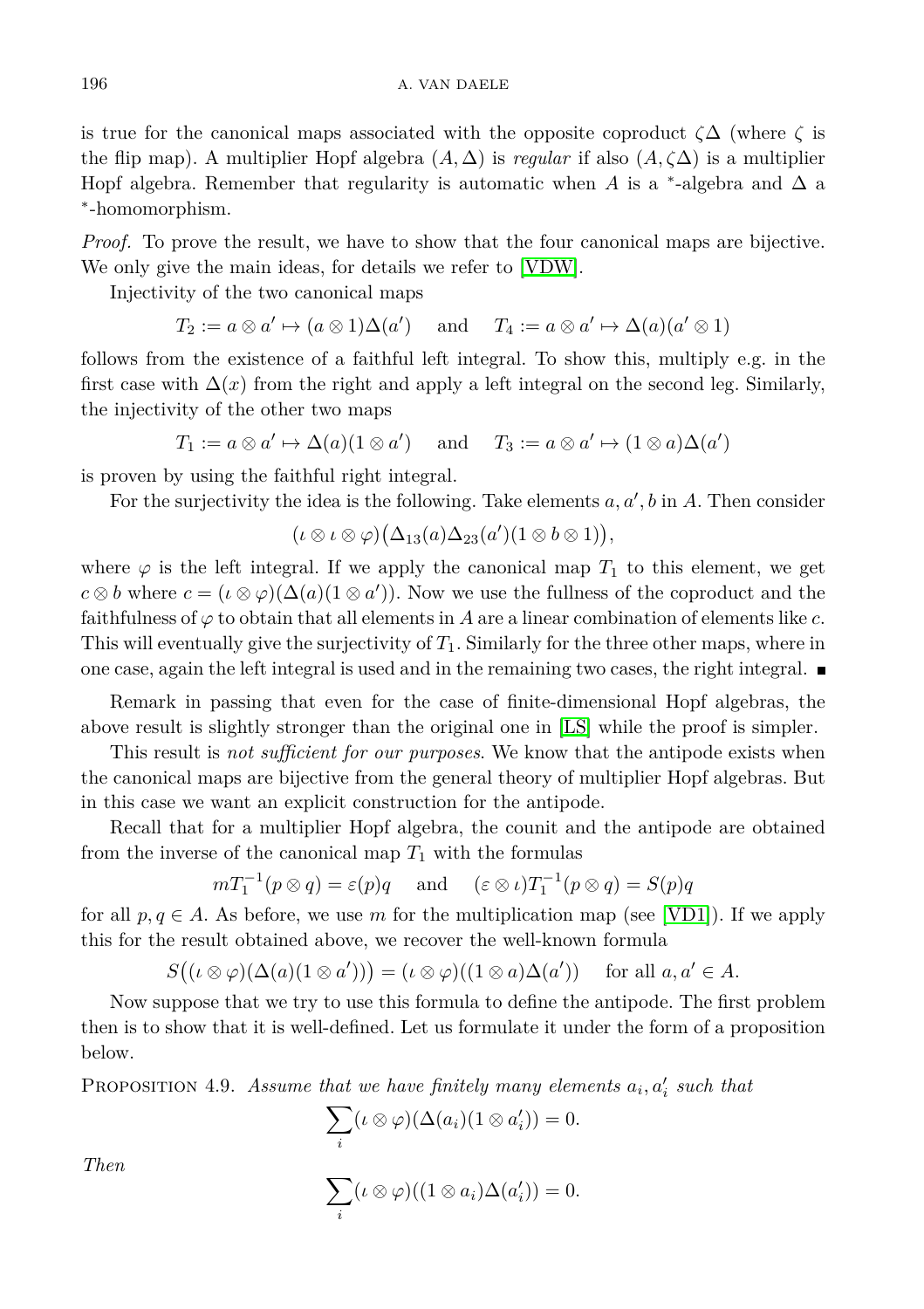is true for the canonical maps associated with the opposite coproduct  $\zeta\Delta$  (where  $\zeta$  is the flip map). A multiplier Hopf algebra  $(A, \Delta)$  is *regular* if also  $(A, \zeta \Delta)$  is a multiplier Hopf algebra. Remember that regularity is automatic when  $A$  is a <sup>\*</sup>-algebra and  $\Delta$  a ∗ -homomorphism.

*Proof.* To prove the result, we have to show that the four canonical maps are bijective. We only give the main ideas, for details we refer to [\[VDW\]](#page-41-7).

Injectivity of the two canonical maps

$$
T_2 := a \otimes a' \mapsto (a \otimes 1) \Delta(a') \quad \text{ and } \quad T_4 := a \otimes a' \mapsto \Delta(a) (a' \otimes 1)
$$

follows from the existence of a faithful left integral. To show this, multiply e.g. in the first case with  $\Delta(x)$  from the right and apply a left integral on the second leg. Similarly, the injectivity of the other two maps

$$
T_1 := a \otimes a' \mapsto \Delta(a)(1 \otimes a')
$$
 and  $T_3 := a \otimes a' \mapsto (1 \otimes a)\Delta(a')$ 

is proven by using the faithful right integral.

For the surjectivity the idea is the following. Take elements  $a, a', b$  in  $A$ . Then consider

$$
(\iota \otimes \iota \otimes \varphi)(\Delta_{13}(a)\Delta_{23}(a')(1 \otimes b \otimes 1)),
$$

where  $\varphi$  is the left integral. If we apply the canonical map  $T_1$  to this element, we get  $c \otimes b$  where  $c = (\iota \otimes \varphi)(\Delta(a)(1 \otimes a'))$ . Now we use the fullness of the coproduct and the faithfulness of  $\varphi$  to obtain that all elements in *A* are a linear combination of elements like *c*. This will eventually give the surjectivity of *T*1. Similarly for the three other maps, where in one case, again the left integral is used and in the remaining two cases, the right integral.  $\blacksquare$ 

Remark in passing that even for the case of finite-dimensional Hopf algebras, the above result is slightly stronger than the original one in [\[LS\]](#page-40-19) while the proof is simpler.

This result is *not sufficient for our purposes*. We know that the antipode exists when the canonical maps are bijective from the general theory of multiplier Hopf algebras. But in this case we want an explicit construction for the antipode.

Recall that for a multiplier Hopf algebra, the counit and the antipode are obtained from the inverse of the canonical map  $T_1$  with the formulas

$$
mT_1^{-1}(p \otimes q) = \varepsilon(p)q
$$
 and  $(\varepsilon \otimes \iota)T_1^{-1}(p \otimes q) = S(p)q$ 

for all  $p, q \in A$ . As before, we use *m* for the multiplication map (see [\[VD1\]](#page-40-12)). If we apply this for the result obtained above, we recover the well-known formula

$$
S((\iota \otimes \varphi)(\Delta(a)(1 \otimes a'))) = (\iota \otimes \varphi)((1 \otimes a)\Delta(a')) \text{ for all } a, a' \in A.
$$

Now suppose that we try to use this formula to define the antipode. The first problem then is to show that it is well-defined. Let us formulate it under the form of a proposition below.

<span id="page-17-0"></span>PROPOSITION 4.9. *Assume that we have finitely many elements*  $a_i, a'_i$  such that

$$
\sum_{i} (\iota \otimes \varphi)(\Delta(a_i)(1 \otimes a'_i)) = 0.
$$

*Then*

$$
\sum_i (\iota \otimes \varphi)((1 \otimes a_i) \Delta(a_i')) = 0.
$$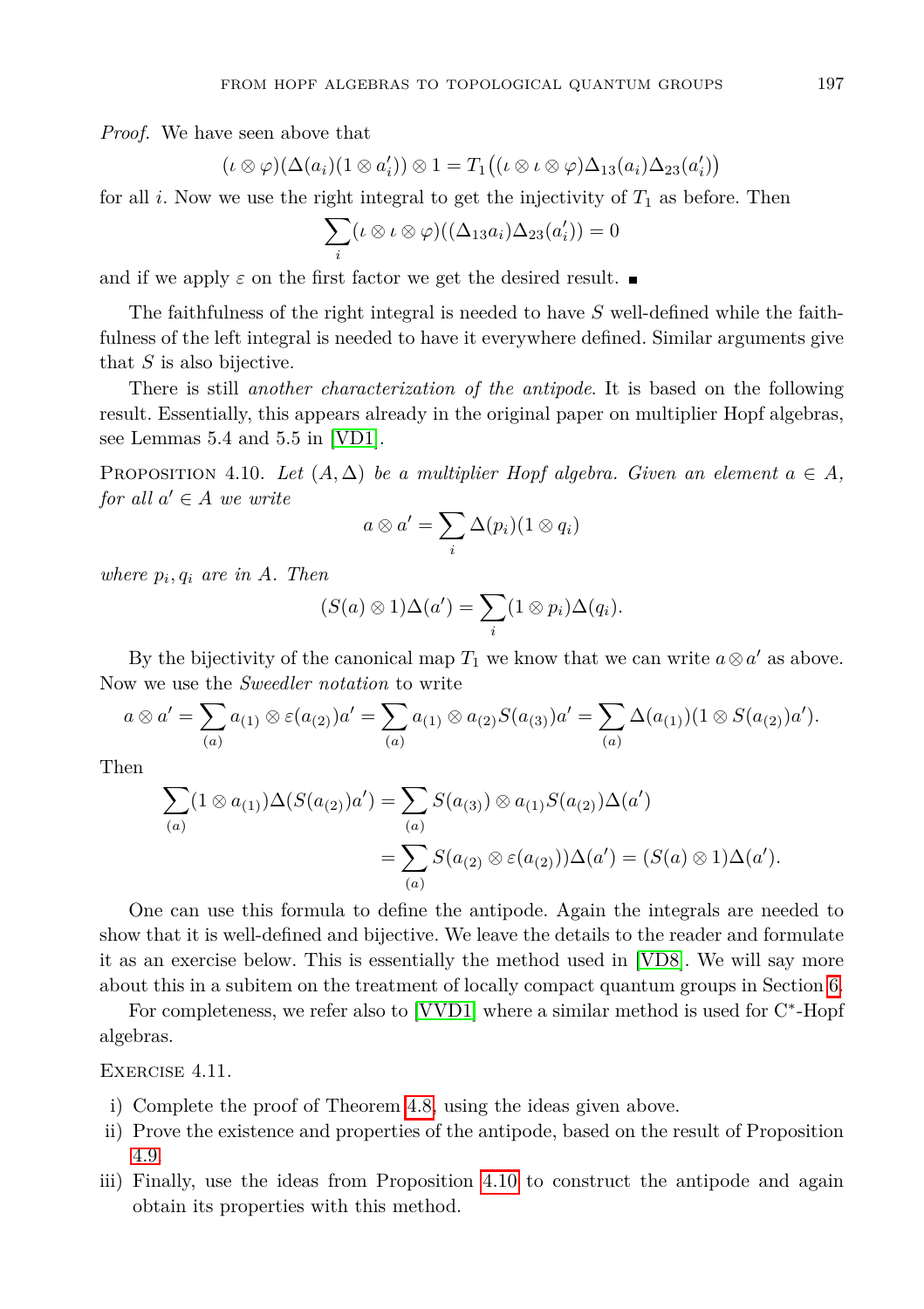*Proof.* We have seen above that

$$
(\iota \otimes \varphi)(\Delta(a_i)(1 \otimes a'_i)) \otimes 1 = T_1((\iota \otimes \iota \otimes \varphi)\Delta_{13}(a_i)\Delta_{23}(a'_i))
$$

for all *i*. Now we use the right integral to get the injectivity of  $T_1$  as before. Then

$$
\sum_{i} (\iota \otimes \iota \otimes \varphi)((\Delta_{13}a_i)\Delta_{23}(a'_i)) = 0
$$

and if we apply  $\varepsilon$  on the first factor we get the desired result.  $\blacksquare$ 

The faithfulness of the right integral is needed to have *S* well-defined while the faithfulness of the left integral is needed to have it everywhere defined. Similar arguments give that *S* is also bijective.

There is still *another characterization of the antipode*. It is based on the following result. Essentially, this appears already in the original paper on multiplier Hopf algebras, see Lemmas 5.4 and 5.5 in [\[VD1\]](#page-40-12).

<span id="page-18-0"></span>PROPOSITION 4.10. Let  $(A, \Delta)$  be a multiplier Hopf algebra. Given an element  $a \in A$ ,  $for \ all \ a' \in A \ we \ write$ 

$$
a\otimes a'=\sum_i\Delta(p_i)(1\otimes q_i)
$$

*where p<sup>i</sup> , q<sup>i</sup> are in A. Then*

$$
(S(a) \otimes 1)\Delta(a') = \sum_i (1 \otimes p_i)\Delta(q_i).
$$

By the bijectivity of the canonical map  $T_1$  we know that we can write  $a \otimes a'$  as above. Now we use the *Sweedler notation* to write

$$
a\otimes a'=\sum_{(a)}a_{(1)}\otimes \varepsilon (a_{(2)})a'=\sum_{(a)}a_{(1)}\otimes a_{(2)}S(a_{(3)})a'=\sum_{(a)}\Delta (a_{(1)})(1\otimes S(a_{(2)})a').
$$

Then

$$
\sum_{(a)} (1 \otimes a_{(1)}) \Delta(S(a_{(2)})a') = \sum_{(a)} S(a_{(3)}) \otimes a_{(1)}S(a_{(2)}) \Delta(a')
$$
  
= 
$$
\sum_{(a)} S(a_{(2)} \otimes \varepsilon(a_{(2)})) \Delta(a') = (S(a) \otimes 1) \Delta(a').
$$

One can use this formula to define the antipode. Again the integrals are needed to show that it is well-defined and bijective. We leave the details to the reader and formulate it as an exercise below. This is essentially the method used in [\[VD8\]](#page-41-4). We will say more about this in a subitem on the treatment of locally compact quantum groups in Section [6.](#page-31-0)

For completeness, we refer also to [\[VVD1\]](#page-40-20) where a similar method is used for C<sup>∗</sup>-Hopf algebras.

EXERCISE 4.11.

- i) Complete the proof of Theorem [4.8,](#page-16-0) using the ideas given above.
- ii) Prove the existence and properties of the antipode, based on the result of Proposition [4.9.](#page-17-0)
- iii) Finally, use the ideas from Proposition [4.10](#page-18-0) to construct the antipode and again obtain its properties with this method.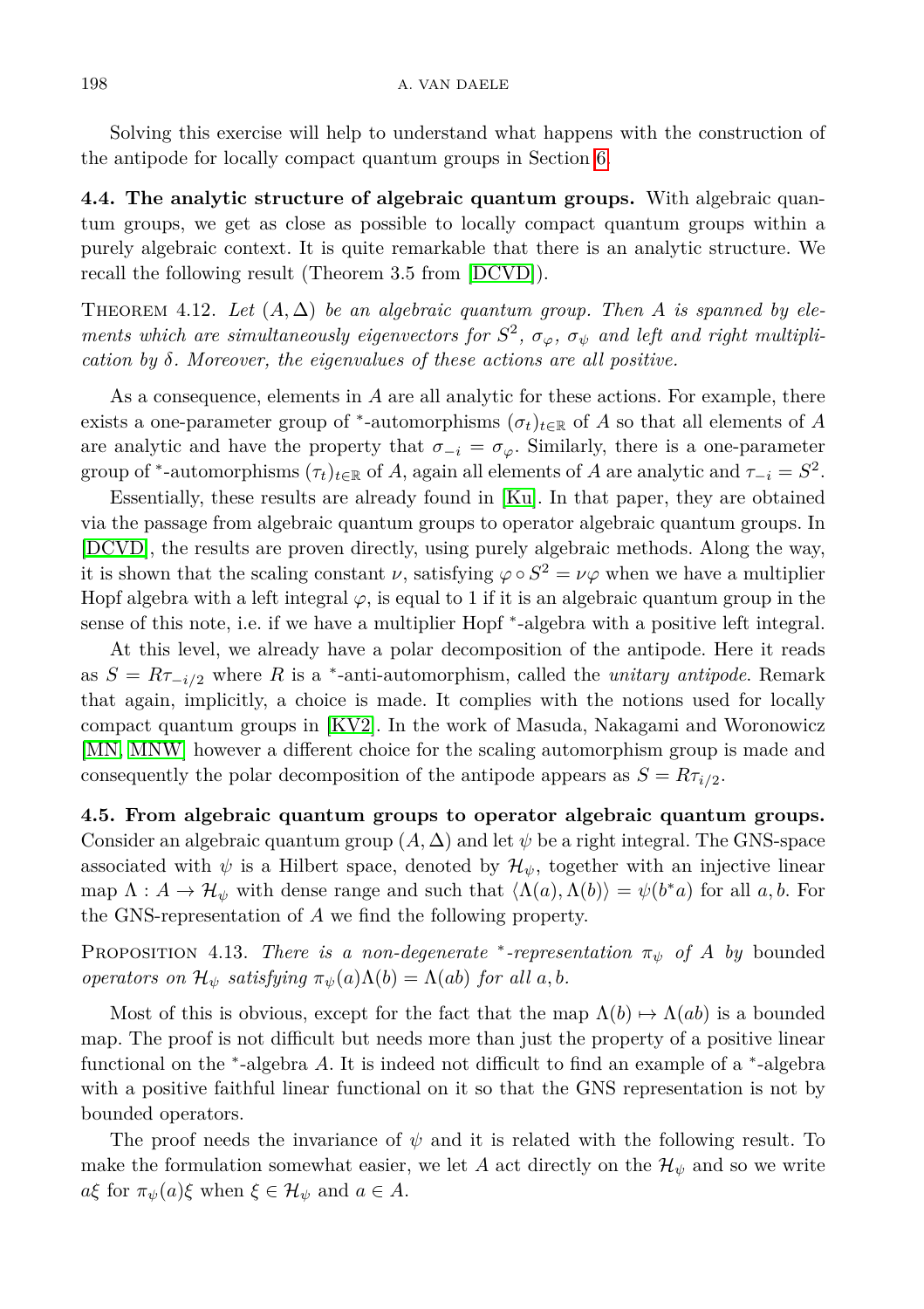Solving this exercise will help to understand what happens with the construction of the antipode for locally compact quantum groups in Section [6.](#page-31-0)

**4.4. The analytic structure of algebraic quantum groups.** With algebraic quantum groups, we get as close as possible to locally compact quantum groups within a purely algebraic context. It is quite remarkable that there is an analytic structure. We recall the following result (Theorem 3.5 from [\[DCVD\]](#page-39-19)).

THEOREM 4.12. Let  $(A, \Delta)$  be an algebraic quantum group. Then A is spanned by ele*ments which are simultaneously eigenvectors for*  $S^2$ ,  $\sigma_{\varphi}$ ,  $\sigma_{\psi}$  *and left and right multiplication by δ. Moreover, the eigenvalues of these actions are all positive.*

As a consequence, elements in *A* are all analytic for these actions. For example, there exists a one-parameter group of <sup>\*</sup>-automorphisms  $(\sigma_t)_{t \in \mathbb{R}}$  of *A* so that all elements of *A* are analytic and have the property that  $\sigma_{-i} = \sigma_{\varphi}$ . Similarly, there is a one-parameter group of <sup>\*</sup>-automorphisms  $(\tau_t)_{t \in \mathbb{R}}$  of *A*, again all elements of *A* are analytic and  $\tau_{-i} = S^2$ .

Essentially, these results are already found in [\[Ku\]](#page-39-20). In that paper, they are obtained via the passage from algebraic quantum groups to operator algebraic quantum groups. In [\[DCVD\]](#page-39-19), the results are proven directly, using purely algebraic methods. Along the way, it is shown that the scaling constant *ν*, satisfying  $\varphi \circ S^2 = \nu \varphi$  when we have a multiplier Hopf algebra with a left integral  $\varphi$ , is equal to 1 if it is an algebraic quantum group in the sense of this note, i.e. if we have a multiplier Hopf <sup>\*</sup>-algebra with a positive left integral.

At this level, we already have a polar decomposition of the antipode. Here it reads as  $S = R\tau_{-i/2}$  where R is a <sup>\*</sup>-anti-automorphism, called the *unitary antipode*. Remark that again, implicitly, a choice is made. It complies with the notions used for locally compact quantum groups in [\[KV2\]](#page-39-8). In the work of Masuda, Nakagami and Woronowicz [\[MN,](#page-40-4) [MNW\]](#page-40-5) however a different choice for the scaling automorphism group is made and consequently the polar decomposition of the antipode appears as  $S = R\tau_{i/2}$ .

**4.5. From algebraic quantum groups to operator algebraic quantum groups.** Consider an algebraic quantum group  $(A, \Delta)$  and let  $\psi$  be a right integral. The GNS-space associated with  $\psi$  is a Hilbert space, denoted by  $\mathcal{H}_{\psi}$ , together with an injective linear map  $\Lambda: A \to \mathcal{H}_{\psi}$  with dense range and such that  $\langle \Lambda(a), \Lambda(b) \rangle = \psi(b^*a)$  for all  $a, b$ . For the GNS-representation of *A* we find the following property.

<span id="page-19-0"></span>PROPOSITION 4.13. *There is a non-degenerate* \*-*representation*  $\pi_{\psi}$  *of A by* bounded *operators on*  $\mathcal{H}_{\psi}$  *satisfying*  $\pi_{\psi}(a)\Lambda(b) = \Lambda(ab)$  *for all a,b.* 

Most of this is obvious, except for the fact that the map  $\Lambda(b) \mapsto \Lambda(ab)$  is a bounded map. The proof is not difficult but needs more than just the property of a positive linear functional on the <sup>∗</sup>-algebra A. It is indeed not difficult to find an example of a <sup>∗</sup>-algebra with a positive faithful linear functional on it so that the GNS representation is not by bounded operators.

<span id="page-19-1"></span>The proof needs the invariance of *ψ* and it is related with the following result. To make the formulation somewhat easier, we let *A* act directly on the  $\mathcal{H}_{\psi}$  and so we write *aξ* for  $\pi_{\psi}(a)$ *ξ* when *ξ* ∈ H<sub>*ψ*</sub> and *a* ∈ A.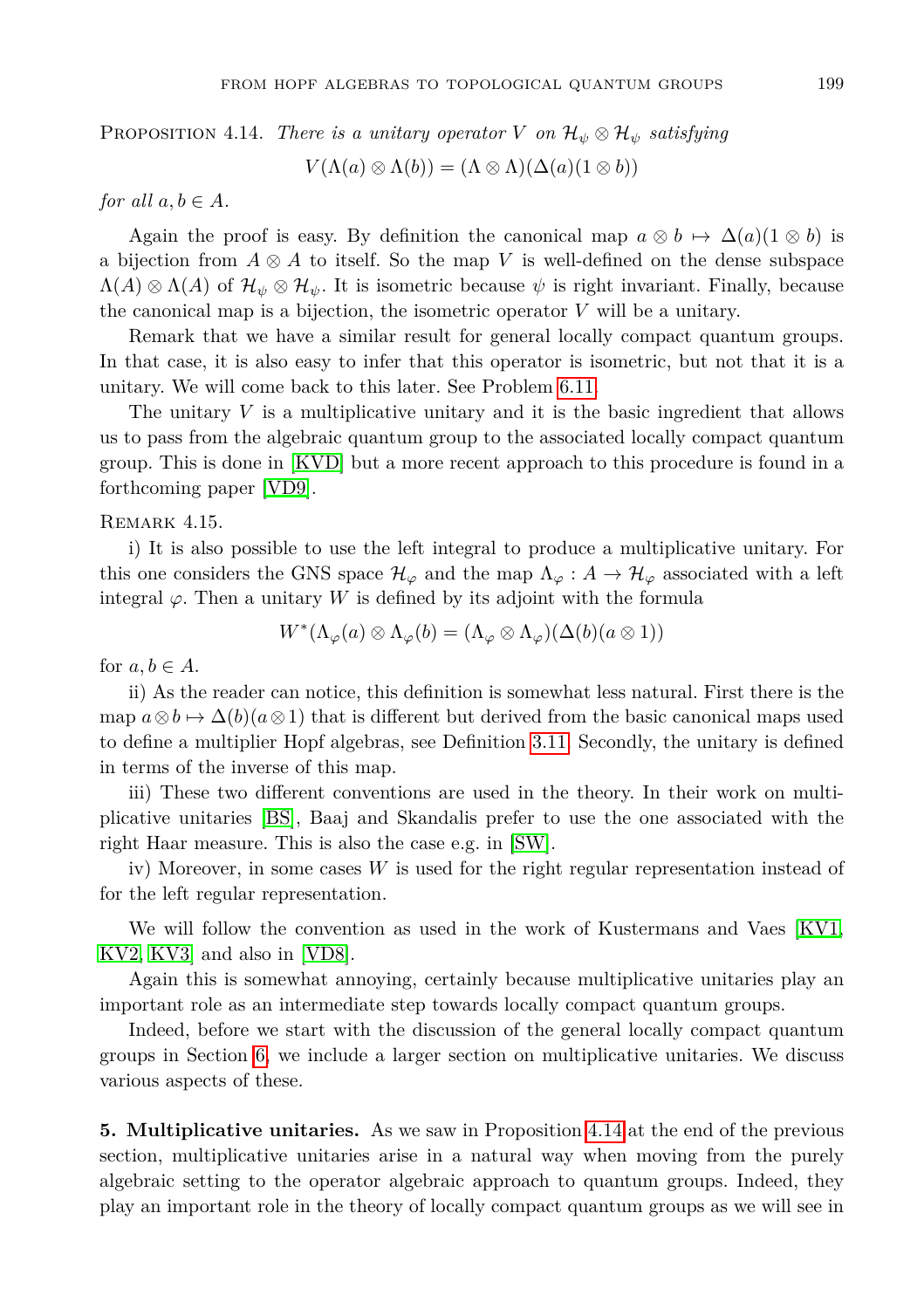**PROPOSITION** 4.14. *There is a unitary operator V on*  $\mathcal{H}_{\psi} \otimes \mathcal{H}_{\psi}$  *satisfying* 

$$
V(\Lambda(a)\otimes\Lambda(b))=(\Lambda\otimes\Lambda)(\Delta(a)(1\otimes b))
$$

*for all*  $a, b \in A$ *.* 

Again the proof is easy. By definition the canonical map  $a \otimes b \mapsto \Delta(a)(1 \otimes b)$  is a bijection from  $A \otimes A$  to itself. So the map V is well-defined on the dense subspace  $\Lambda(A) \otimes \Lambda(A)$  of  $\mathcal{H}_{\psi} \otimes \mathcal{H}_{\psi}$ . It is isometric because  $\psi$  is right invariant. Finally, because the canonical map is a bijection, the isometric operator *V* will be a unitary.

Remark that we have a similar result for general locally compact quantum groups. In that case, it is also easy to infer that this operator is isometric, but not that it is a unitary. We will come back to this later. See Problem [6.11.](#page-36-0)

The unitary  $V$  is a multiplicative unitary and it is the basic ingredient that allows us to pass from the algebraic quantum group to the associated locally compact quantum group. This is done in [\[KVD\]](#page-39-18) but a more recent approach to this procedure is found in a forthcoming paper [\[VD9\]](#page-41-8).

## <span id="page-20-1"></span>REMARK 4.15.

i) It is also possible to use the left integral to produce a multiplicative unitary. For this one considers the GNS space  $\mathcal{H}_{\varphi}$  and the map  $\Lambda_{\varphi}: A \to \mathcal{H}_{\varphi}$  associated with a left integral  $\varphi$ . Then a unitary *W* is defined by its adjoint with the formula

$$
W^*(\Lambda_{\varphi}(a)\otimes\Lambda_{\varphi}(b)=(\Lambda_{\varphi}\otimes\Lambda_{\varphi})(\Delta(b)(a\otimes 1))
$$

for  $a, b \in A$ .

ii) As the reader can notice, this definition is somewhat less natural. First there is the map  $a \otimes b \mapsto \Delta(b)(a \otimes 1)$  that is different but derived from the basic canonical maps used to define a multiplier Hopf algebras, see Definition [3.11.](#page-12-1) Secondly, the unitary is defined in terms of the inverse of this map.

iii) These two different conventions are used in the theory. In their work on multiplicative unitaries [\[BS\]](#page-38-1), Baaj and Skandalis prefer to use the one associated with the right Haar measure. This is also the case e.g. in [\[SW\]](#page-40-10).

iv) Moreover, in some cases *W* is used for the right regular representation instead of for the left regular representation.

We will follow the convention as used in the work of Kustermans and Vaes [\[KV1,](#page-39-7) [KV2,](#page-39-8) [KV3\]](#page-39-9) and also in [\[VD8\]](#page-41-4).

Again this is somewhat annoying, certainly because multiplicative unitaries play an important role as an intermediate step towards locally compact quantum groups.

Indeed, before we start with the discussion of the general locally compact quantum groups in Section [6,](#page-31-0) we include a larger section on multiplicative unitaries. We discuss various aspects of these.

<span id="page-20-0"></span>**5. Multiplicative unitaries.** As we saw in Proposition [4.14](#page-19-1) at the end of the previous section, multiplicative unitaries arise in a natural way when moving from the purely algebraic setting to the operator algebraic approach to quantum groups. Indeed, they play an important role in the theory of locally compact quantum groups as we will see in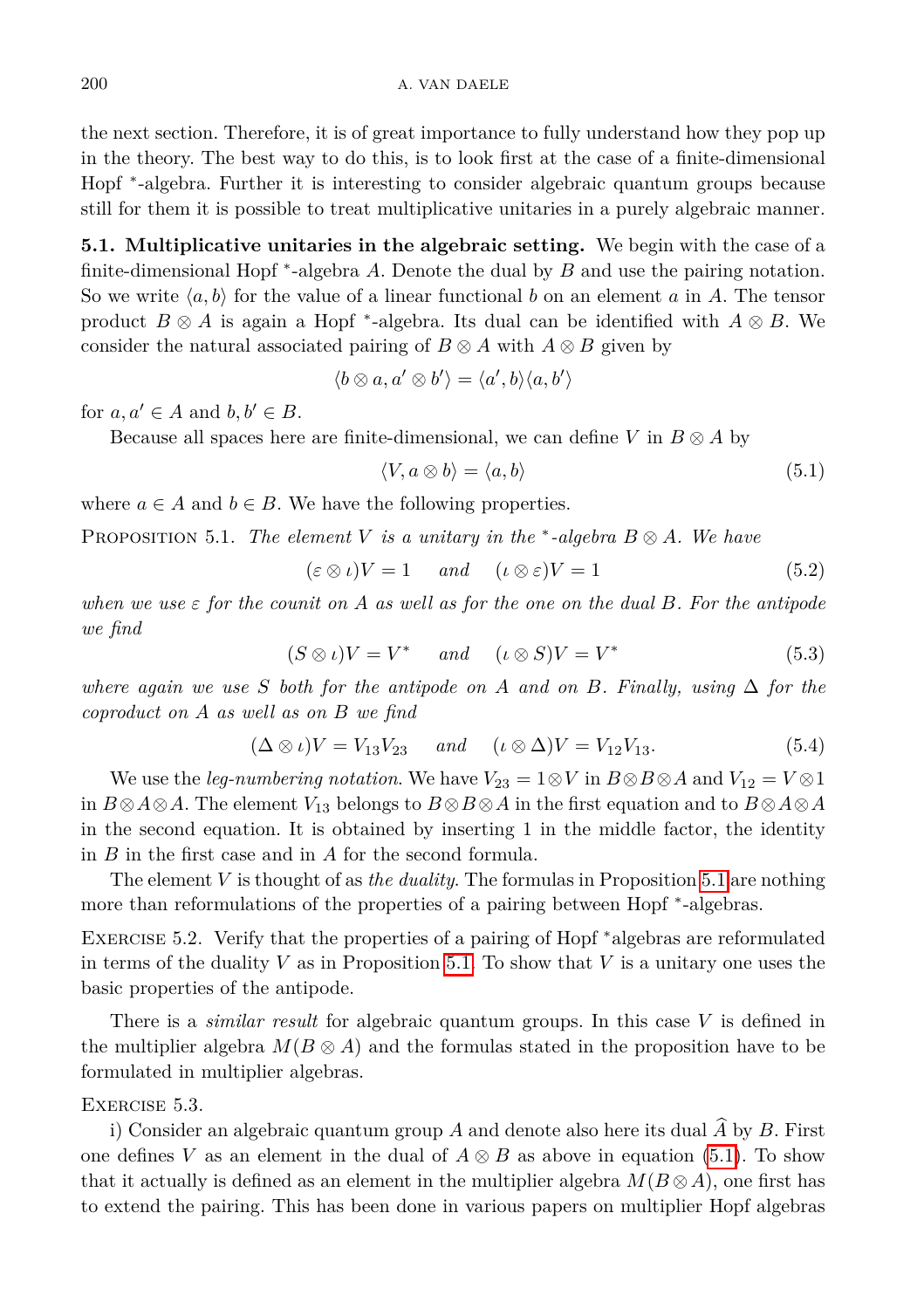the next section. Therefore, it is of great importance to fully understand how they pop up in the theory. The best way to do this, is to look first at the case of a finite-dimensional Hopf <sup>\*</sup>-algebra. Further it is interesting to consider algebraic quantum groups because still for them it is possible to treat multiplicative unitaries in a purely algebraic manner.

**5.1. Multiplicative unitaries in the algebraic setting.** We begin with the case of a finite-dimensional Hopf <sup>\*</sup>-algebra A. Denote the dual by B and use the pairing notation. So we write  $\langle a, b \rangle$  for the value of a linear functional *b* on an element *a* in *A*. The tensor product  $B \otimes A$  is again a Hopf <sup>\*</sup>-algebra. Its dual can be identified with  $A \otimes B$ . We consider the natural associated pairing of  $B \otimes A$  with  $A \otimes B$  given by

$$
\langle b \otimes a, a' \otimes b' \rangle = \langle a', b \rangle \langle a, b' \rangle
$$

for  $a, a' \in A$  and  $b, b' \in B$ .

Because all spaces here are finite-dimensional, we can define *V* in  $B \otimes A$  by

<span id="page-21-2"></span><span id="page-21-1"></span>
$$
\langle V, a \otimes b \rangle = \langle a, b \rangle \tag{5.1}
$$

where  $a \in A$  and  $b \in B$ . We have the following properties.

<span id="page-21-0"></span>PROPOSITION 5.1. *The element*  $V$  *is a unitary in the*  $*$ -algebra  $B \otimes A$ *. We have* 

$$
(\varepsilon \otimes \iota)V = 1 \quad \text{and} \quad (\iota \otimes \varepsilon)V = 1 \tag{5.2}
$$

<span id="page-21-3"></span>*when we use ε for the counit on A as well as for the one on the dual B. For the antipode we find*

<span id="page-21-4"></span>
$$
(S \otimes \iota)V = V^* \quad and \quad (\iota \otimes S)V = V^* \tag{5.3}
$$

*where again we use S both for the antipode on A and on B. Finally, using*  $\Delta$  *for the coproduct on A as well as on B we find*

$$
(\Delta \otimes \iota)V = V_{13}V_{23} \quad \text{and} \quad (\iota \otimes \Delta)V = V_{12}V_{13}. \tag{5.4}
$$

We use the *leg-numbering notation*. We have  $V_{23} = 1 \otimes V$  in  $B \otimes B \otimes A$  and  $V_{12} = V \otimes 1$ in *B*⊗*A*⊗*A*. The element *V*<sup>13</sup> belongs to *B*⊗*B*⊗*A* in the first equation and to *B*⊗*A*⊗*A* in the second equation. It is obtained by inserting 1 in the middle factor, the identity in *B* in the first case and in *A* for the second formula.

The element *V* is thought of as *the duality*. The formulas in Proposition [5.1](#page-21-0) are nothing more than reformulations of the properties of a pairing between Hopf <sup>\*</sup>-algebras.

Exercise 5.2. Verify that the properties of a pairing of Hopf <sup>∗</sup>algebras are reformulated in terms of the duality *V* as in Proposition [5.1.](#page-21-0) To show that *V* is a unitary one uses the basic properties of the antipode.

There is a *similar result* for algebraic quantum groups. In this case *V* is defined in the multiplier algebra  $M(B \otimes A)$  and the formulas stated in the proposition have to be formulated in multiplier algebras.

# EXERCISE 5.3.

i) Consider an algebraic quantum group  $A$  and denote also here its dual  $\overline{A}$  by  $\overline{B}$ . First one defines *V* as an element in the dual of  $A \otimes B$  as above in equation [\(5.1\)](#page-21-1). To show that it actually is defined as an element in the multiplier algebra  $M(B \otimes A)$ , one first has to extend the pairing. This has been done in various papers on multiplier Hopf algebras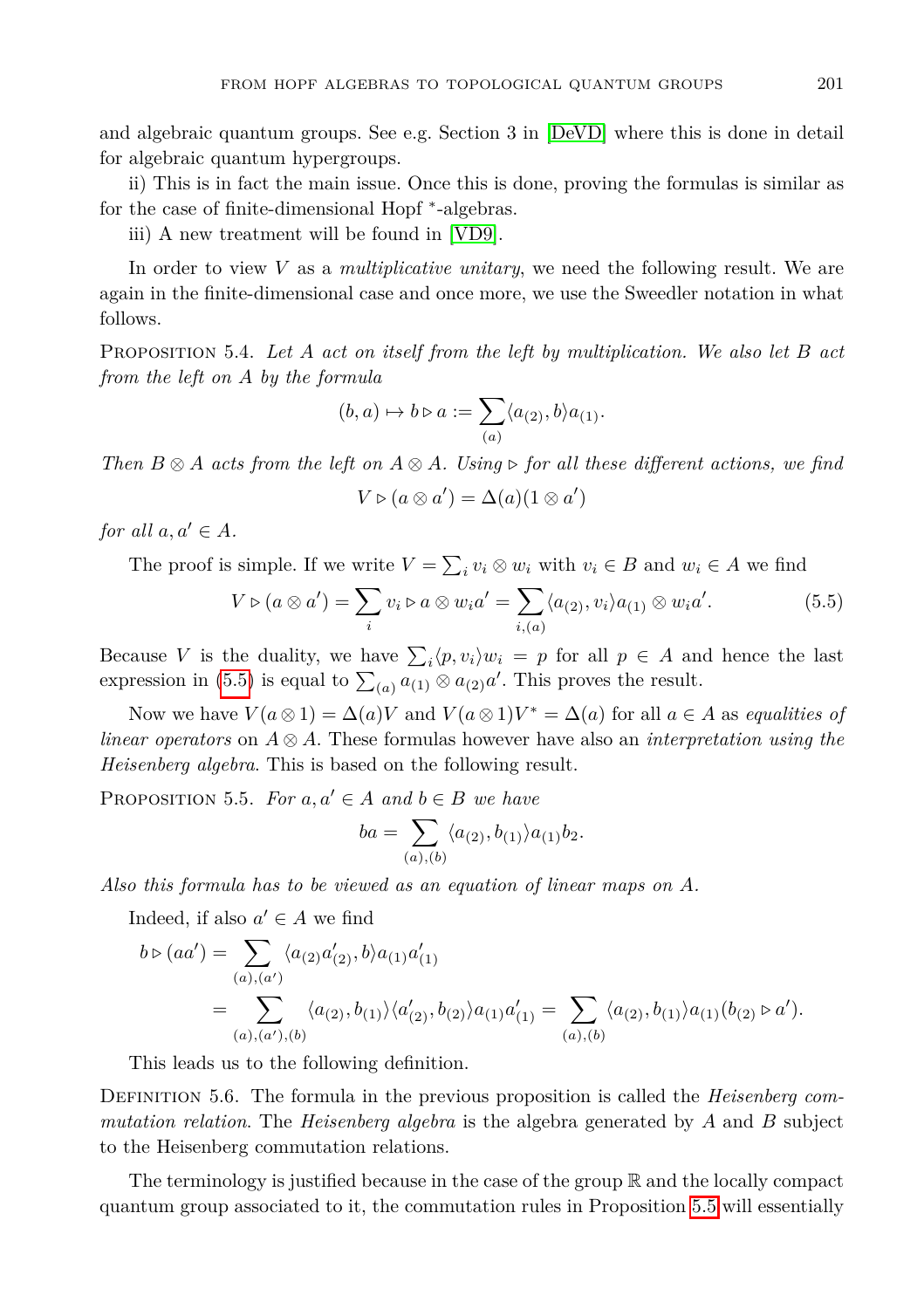and algebraic quantum groups. See e.g. Section 3 in [\[DeVD\]](#page-39-21) where this is done in detail for algebraic quantum hypergroups.

ii) This is in fact the main issue. Once this is done, proving the formulas is similar as for the case of finite-dimensional Hopf <sup>∗</sup> -algebras.

iii) A new treatment will be found in [\[VD9\]](#page-41-8).

In order to view *V* as a *multiplicative unitary*, we need the following result. We are again in the finite-dimensional case and once more, we use the Sweedler notation in what follows.

<span id="page-22-2"></span>Proposition 5.4. *Let A act on itself from the left by multiplication. We also let B act from the left on A by the formula*

$$
(b,a)\mapsto b\triangleright a:=\sum_{(a)}\langle a_{(2)},b\rangle a_{(1)}.
$$

*Then*  $B \otimes A$  *acts from the left on*  $A \otimes A$ *. Using*  $\triangleright$  *for all these different actions, we find* 

<span id="page-22-0"></span>
$$
V \triangleright (a \otimes a') = \Delta(a)(1 \otimes a')
$$

*for all*  $a, a' \in A$ *.* 

The proof is simple. If we write  $V = \sum_i v_i \otimes w_i$  with  $v_i \in B$  and  $w_i \in A$  we find

$$
V \triangleright (a \otimes a') = \sum_{i} v_i \triangleright a \otimes w_i a' = \sum_{i,(a)} \langle a_{(2)}, v_i \rangle a_{(1)} \otimes w_i a'.
$$
 (5.5)

Because *V* is the duality, we have  $\sum_i \langle p, v_i \rangle w_i = p$  for all  $p \in A$  and hence the last expression in [\(5.5\)](#page-22-0) is equal to  $\sum_{(a)} a_{(1)} \otimes a_{(2)} a'$ . This proves the result.

Now we have  $V(a \otimes 1) = \Delta(a)V$  and  $V(a \otimes 1)V^* = \Delta(a)$  for all  $a \in A$  as *equalities of linear operators* on *A* ⊗ *A*. These formulas however have also an *interpretation using the Heisenberg algebra*. This is based on the following result.

<span id="page-22-1"></span>PROPOSITION 5.5. *For*  $a, a' \in A$  *and*  $b \in B$  *we have* 

$$
ba = \sum_{(a),(b)} \langle a_{(2)}, b_{(1)} \rangle a_{(1)} b_2.
$$

*Also this formula has to be viewed as an equation of linear maps on A.*

Indeed, if also  $a' \in A$  we find

$$
b \triangleright (aa') = \sum_{(a),(a')} \langle a_{(2)} a'_{(2)}, b \rangle a_{(1)} a'_{(1)}
$$
  
= 
$$
\sum_{(a),(a'),(b)} \langle a_{(2)}, b_{(1)} \rangle \langle a'_{(2)}, b_{(2)} \rangle a_{(1)} a'_{(1)} = \sum_{(a),(b)} \langle a_{(2)}, b_{(1)} \rangle a_{(1)} (b_{(2)} \triangleright a').
$$

This leads us to the following definition.

<span id="page-22-3"></span>DEFINITION 5.6. The formula in the previous proposition is called the *Heisenberg commutation relation*. The *Heisenberg algebra* is the algebra generated by *A* and *B* subject to the Heisenberg commutation relations.

The terminology is justified because in the case of the group  $\mathbb R$  and the locally compact quantum group associated to it, the commutation rules in Proposition [5.5](#page-22-1) will essentially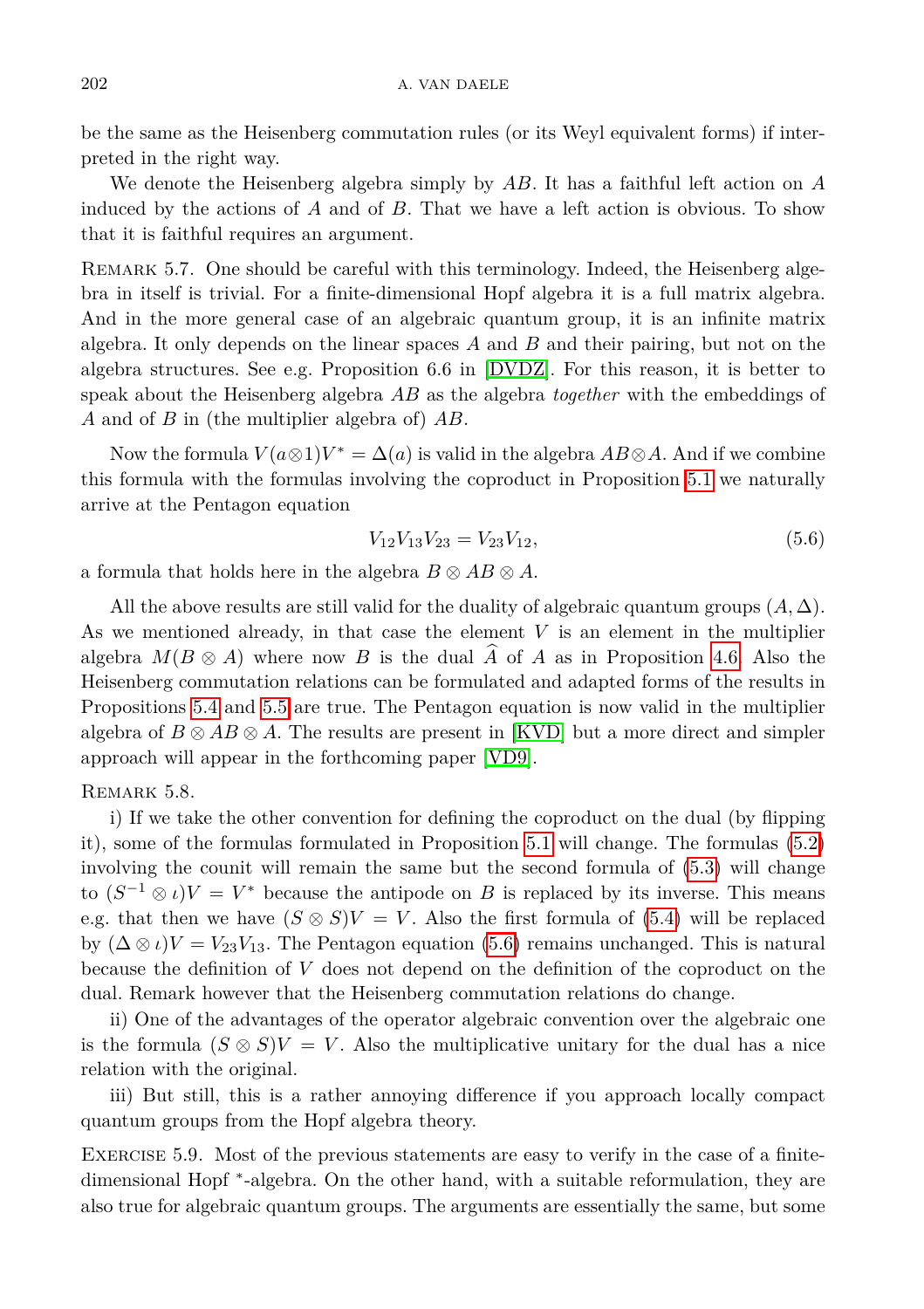be the same as the Heisenberg commutation rules (or its Weyl equivalent forms) if interpreted in the right way.

We denote the Heisenberg algebra simply by *AB*. It has a faithful left action on *A* induced by the actions of *A* and of *B*. That we have a left action is obvious. To show that it is faithful requires an argument.

REMARK 5.7. One should be careful with this terminology. Indeed, the Heisenberg algebra in itself is trivial. For a finite-dimensional Hopf algebra it is a full matrix algebra. And in the more general case of an algebraic quantum group, it is an infinite matrix algebra. It only depends on the linear spaces *A* and *B* and their pairing, but not on the algebra structures. See e.g. Proposition 6.6 in [\[DVDZ\]](#page-39-22). For this reason, it is better to speak about the Heisenberg algebra *AB* as the algebra *together* with the embeddings of *A* and of *B* in (the multiplier algebra of) *AB*.

Now the formula  $V(a\otimes 1)V^* = \Delta(a)$  is valid in the algebra  $AB \otimes A$ . And if we combine this formula with the formulas involving the coproduct in Proposition [5.1](#page-21-0) we naturally arrive at the Pentagon equation

<span id="page-23-0"></span>
$$
V_{12}V_{13}V_{23} = V_{23}V_{12},\tag{5.6}
$$

a formula that holds here in the algebra  $B \otimes AB \otimes A$ .

All the above results are still valid for the duality of algebraic quantum groups  $(A, \Delta)$ . As we mentioned already, in that case the element *V* is an element in the multiplier algebra  $M(B \otimes A)$  where now *B* is the dual *A* of *A* as in Proposition [4.6.](#page-15-0) Also the Heisenberg commutation relations can be formulated and adapted forms of the results in Propositions [5.4](#page-22-2) and [5.5](#page-22-1) are true. The Pentagon equation is now valid in the multiplier algebra of  $B \otimes AB \otimes A$ . The results are present in [\[KVD\]](#page-39-18) but a more direct and simpler approach will appear in the forthcoming paper [\[VD9\]](#page-41-8).

REMARK 5.8.

i) If we take the other convention for defining the coproduct on the dual (by flipping it), some of the formulas formulated in Proposition [5.1](#page-21-0) will change. The formulas [\(5.2\)](#page-21-2) involving the counit will remain the same but the second formula of [\(5.3\)](#page-21-3) will change to  $(S^{-1} \otimes \iota)V = V^*$  because the antipode on *B* is replaced by its inverse. This means e.g. that then we have  $(S \otimes S)V = V$ . Also the first formula of [\(5.4\)](#page-21-4) will be replaced by  $(\Delta \otimes \iota)V = V_{23}V_{13}$ . The Pentagon equation [\(5.6\)](#page-23-0) remains unchanged. This is natural because the definition of *V* does not depend on the definition of the coproduct on the dual. Remark however that the Heisenberg commutation relations do change.

ii) One of the advantages of the operator algebraic convention over the algebraic one is the formula  $(S \otimes S)V = V$ . Also the multiplicative unitary for the dual has a nice relation with the original.

iii) But still, this is a rather annoying difference if you approach locally compact quantum groups from the Hopf algebra theory.

Exercise 5.9. Most of the previous statements are easy to verify in the case of a finitedimensional Hopf <sup>∗</sup> -algebra. On the other hand, with a suitable reformulation, they are also true for algebraic quantum groups. The arguments are essentially the same, but some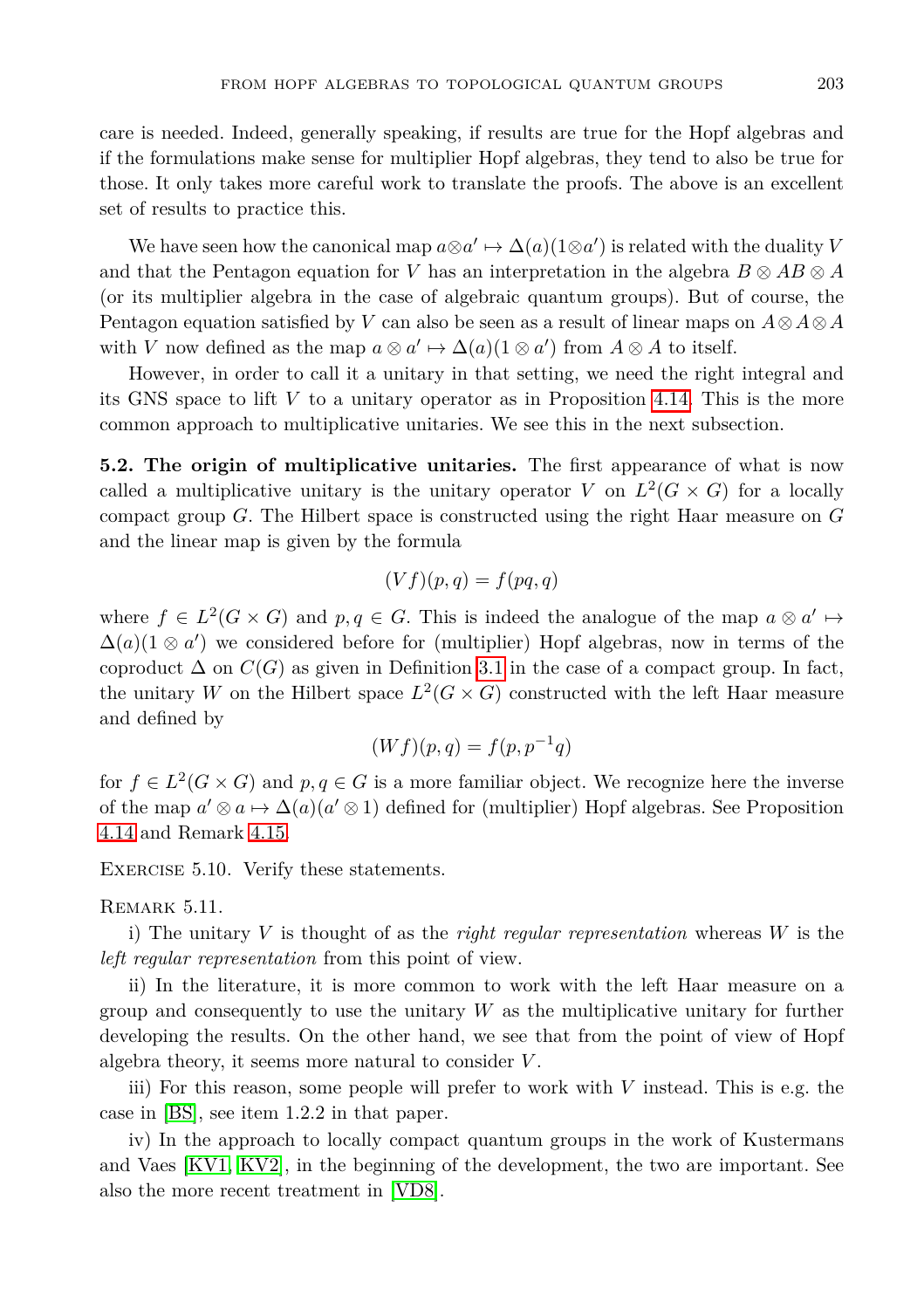care is needed. Indeed, generally speaking, if results are true for the Hopf algebras and if the formulations make sense for multiplier Hopf algebras, they tend to also be true for those. It only takes more careful work to translate the proofs. The above is an excellent set of results to practice this.

We have seen how the canonical map  $a \otimes a' \mapsto \Delta(a)(1 \otimes a')$  is related with the duality *V* and that the Pentagon equation for *V* has an interpretation in the algebra  $B \otimes AB \otimes A$ (or its multiplier algebra in the case of algebraic quantum groups). But of course, the Pentagon equation satisfied by *V* can also be seen as a result of linear maps on  $A \otimes A \otimes A$ with *V* now defined as the map  $a \otimes a' \mapsto \Delta(a)(1 \otimes a')$  from  $A \otimes A$  to itself.

However, in order to call it a unitary in that setting, we need the right integral and its GNS space to lift *V* to a unitary operator as in Proposition [4.14.](#page-19-1) This is the more common approach to multiplicative unitaries. We see this in the next subsection.

**5.2. The origin of multiplicative unitaries.** The first appearance of what is now called a multiplicative unitary is the unitary operator *V* on  $L^2(G \times G)$  for a locally compact group *G*. The Hilbert space is constructed using the right Haar measure on *G* and the linear map is given by the formula

$$
(Vf)(p,q) = f(pq,q)
$$

where  $f \in L^2(G \times G)$  and  $p, q \in G$ . This is indeed the analogue of the map  $a \otimes a' \mapsto$  $\Delta(a)(1 \otimes a')$  we considered before for (multiplier) Hopf algebras, now in terms of the coproduct  $\Delta$  on  $C(G)$  as given in Definition [3.1](#page-9-0) in the case of a compact group. In fact, the unitary *W* on the Hilbert space  $L^2(G \times G)$  constructed with the left Haar measure and defined by

$$
(Wf)(p,q) = f(p, p^{-1}q)
$$

for  $f \in L^2(G \times G)$  and  $p, q \in G$  is a more familiar object. We recognize here the inverse of the map  $a' \otimes a \mapsto \Delta(a)(a' \otimes 1)$  defined for (multiplier) Hopf algebras. See Proposition [4.14](#page-19-1) and Remark [4.15.](#page-20-1)

EXERCISE 5.10. Verify these statements.

REMARK 5.11.

i) The unitary *V* is thought of as the *right regular representation* whereas *W* is the *left regular representation* from this point of view.

ii) In the literature, it is more common to work with the left Haar measure on a group and consequently to use the unitary *W* as the multiplicative unitary for further developing the results. On the other hand, we see that from the point of view of Hopf algebra theory, it seems more natural to consider *V* .

iii) For this reason, some people will prefer to work with *V* instead. This is e.g. the case in [\[BS\]](#page-38-1), see item 1.2.2 in that paper.

iv) In the approach to locally compact quantum groups in the work of Kustermans and Vaes [\[KV1,](#page-39-7) [KV2\]](#page-39-8), in the beginning of the development, the two are important. See also the more recent treatment in [\[VD8\]](#page-41-4).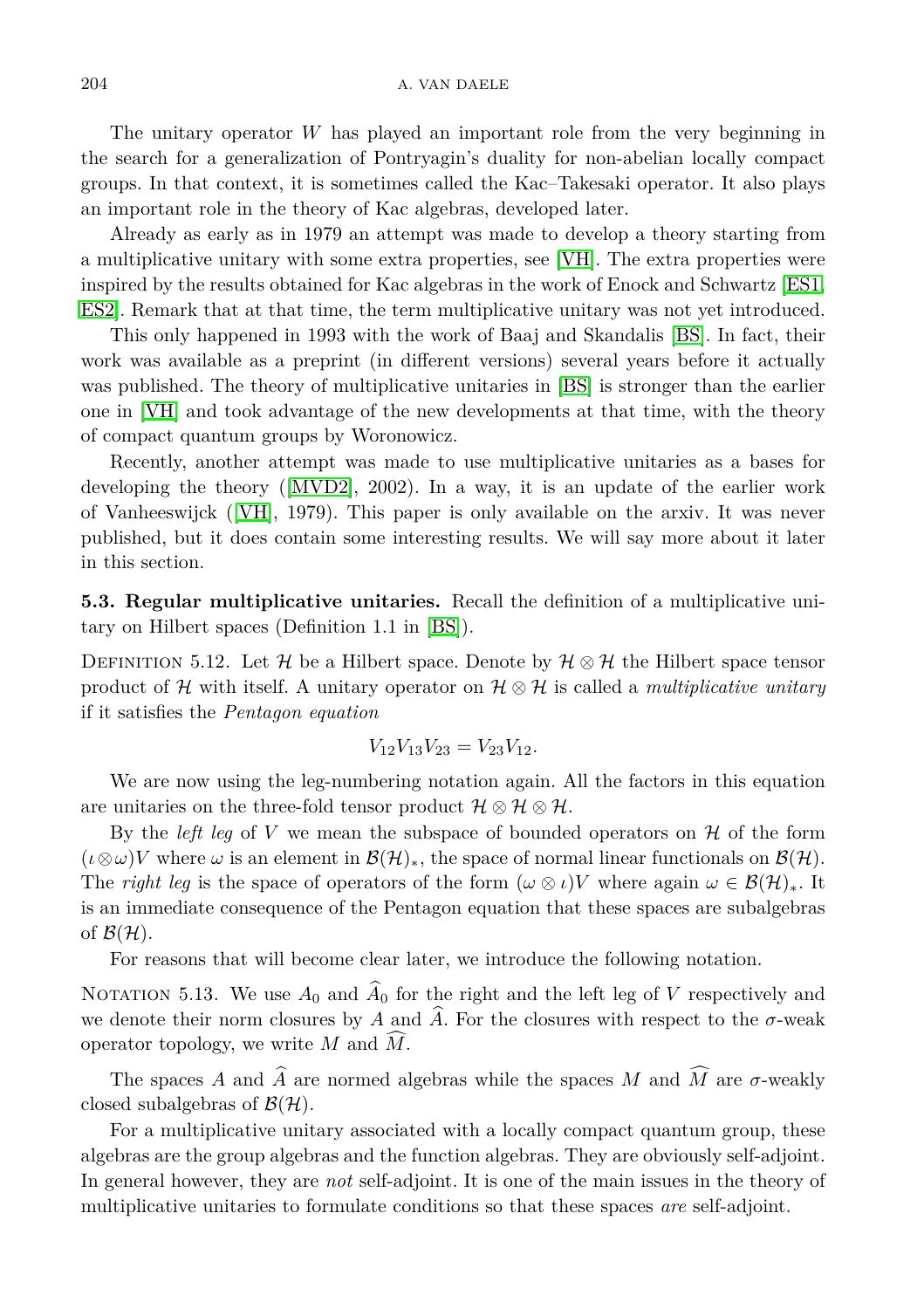The unitary operator *W* has played an important role from the very beginning in the search for a generalization of Pontryagin's duality for non-abelian locally compact groups. In that context, it is sometimes called the Kac–Takesaki operator. It also plays an important role in the theory of Kac algebras, developed later.

Already as early as in 1979 an attempt was made to develop a theory starting from a multiplicative unitary with some extra properties, see [\[VH\]](#page-41-9). The extra properties were inspired by the results obtained for Kac algebras in the work of Enock and Schwartz [\[ES1,](#page-39-4) [ES2\]](#page-39-5). Remark that at that time, the term multiplicative unitary was not yet introduced.

This only happened in 1993 with the work of Baaj and Skandalis [\[BS\]](#page-38-1). In fact, their work was available as a preprint (in different versions) several years before it actually was published. The theory of multiplicative unitaries in [\[BS\]](#page-38-1) is stronger than the earlier one in [\[VH\]](#page-41-9) and took advantage of the new developments at that time, with the theory of compact quantum groups by Woronowicz.

Recently, another attempt was made to use multiplicative unitaries as a bases for developing the theory ([\[MVD2\]](#page-40-21), 2002). In a way, it is an update of the earlier work of Vanheeswijck ([\[VH\]](#page-41-9), 1979). This paper is only available on the arxiv. It was never published, but it does contain some interesting results. We will say more about it later in this section.

**5.3. Regular multiplicative unitaries.** Recall the definition of a multiplicative unitary on Hilbert spaces (Definition 1.1 in [\[BS\]](#page-38-1)).

<span id="page-25-0"></span>DEFINITION 5.12. Let H be a Hilbert space. Denote by  $\mathcal{H} \otimes \mathcal{H}$  the Hilbert space tensor product of H with itself. A unitary operator on  $\mathcal{H} \otimes \mathcal{H}$  is called a *multiplicative unitary* if it satisfies the *Pentagon equation*

$$
V_{12}V_{13}V_{23}=V_{23}V_{12}.
$$

We are now using the leg-numbering notation again. All the factors in this equation are unitaries on the three-fold tensor product  $\mathcal{H} \otimes \mathcal{H} \otimes \mathcal{H}$ .

By the *left leg* of *V* we mean the subspace of bounded operators on  $H$  of the form  $(\iota \otimes \omega)V$  where  $\omega$  is an element in  $\mathcal{B}(\mathcal{H})_*$ , the space of normal linear functionals on  $\mathcal{B}(\mathcal{H})$ . The *right leg* is the space of operators of the form  $(\omega \otimes \iota)V$  where again  $\omega \in \mathcal{B}(\mathcal{H})_*$ . It is an immediate consequence of the Pentagon equation that these spaces are subalgebras of  $\mathcal{B}(\mathcal{H})$ .

For reasons that will become clear later, we introduce the following notation.

NOTATION 5.13. We use  $A_0$  and  $\widehat{A}_0$  for the right and the left leg of *V* respectively and we denote their norm closures by A and  $\hat{A}$ . For the closures with respect to the  $\sigma$ -weak operator topology, we write  $M$  and  $\overline{M}$ .

The spaces *A* and  $\widehat{A}$  are normed algebras while the spaces *M* and  $\widehat{M}$  are  $\sigma$ -weakly closed subalgebras of  $\mathcal{B}(\mathcal{H})$ .

For a multiplicative unitary associated with a locally compact quantum group, these algebras are the group algebras and the function algebras. They are obviously self-adjoint. In general however, they are *not* self-adjoint. It is one of the main issues in the theory of multiplicative unitaries to formulate conditions so that these spaces *are* self-adjoint.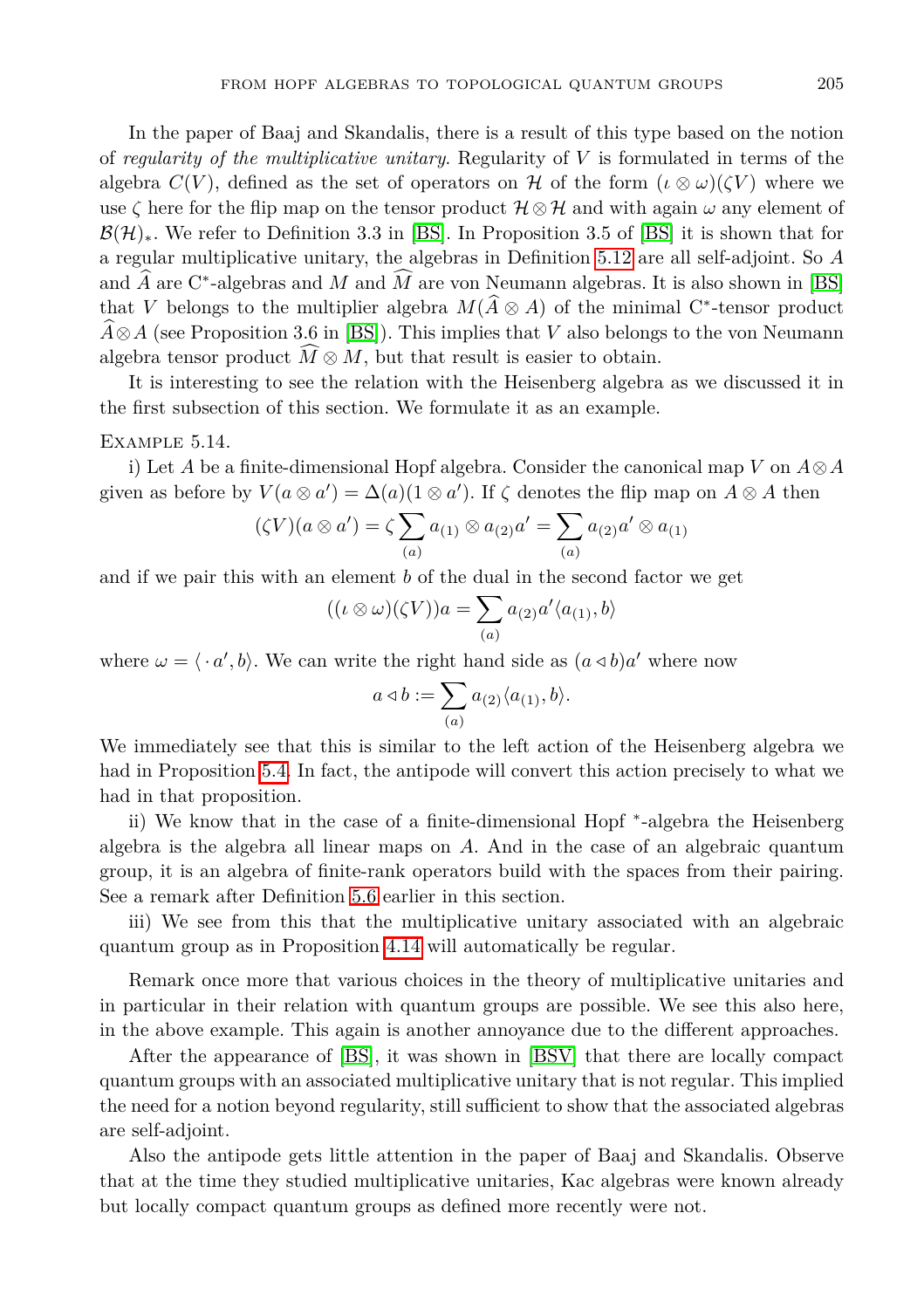In the paper of Baaj and Skandalis, there is a result of this type based on the notion of *regularity of the multiplicative unitary*. Regularity of *V* is formulated in terms of the algebra  $C(V)$ , defined as the set of operators on H of the form  $(\iota \otimes \omega)(\zeta V)$  where we use  $\zeta$  here for the flip map on the tensor product  $\mathcal{H} \otimes \mathcal{H}$  and with again  $\omega$  any element of  $\mathcal{B}(\mathcal{H})_*$ . We refer to Definition 3.3 in [\[BS\]](#page-38-1). In Proposition 3.5 of [BS] it is shown that for a regular multiplicative unitary, the algebras in Definition [5.12](#page-25-0) are all self-adjoint. So *A* and  $\widehat{A}$  are C<sup>\*</sup>-algebras and  $M$  and  $\widehat{M}$  are von Neumann algebras. It is also shown in [\[BS\]](#page-38-1) that *V* belongs to the multiplier algebra  $M(\hat{A} \otimes A)$  of the minimal C<sup>\*</sup>-tensor product  $A \otimes A$  (see Proposition 3.6 in [\[BS\]](#page-38-1)). This implies that *V* also belongs to the von Neumann algebra tensor product  $\tilde{M} \otimes M$ , but that result is easier to obtain.

It is interesting to see the relation with the Heisenberg algebra as we discussed it in the first subsection of this section. We formulate it as an example.

# Example 5.14.

i) Let *A* be a finite-dimensional Hopf algebra. Consider the canonical map *V* on *A*⊗*A* given as before by  $V(a \otimes a') = \Delta(a)(1 \otimes a')$ . If  $\zeta$  denotes the flip map on  $A \otimes A$  then

$$
(\zeta V)(a \otimes a') = \zeta \sum_{(a)} a_{(1)} \otimes a_{(2)} a' = \sum_{(a)} a_{(2)} a' \otimes a_{(1)}
$$

and if we pair this with an element *b* of the dual in the second factor we get

$$
((\iota \otimes \omega)(\zeta V))a = \sum_{(a)} a_{(2)} a' \langle a_{(1)}, b \rangle
$$

where  $\omega = \langle \cdot a', b \rangle$ . We can write the right hand side as  $(a \triangleleft b)a'$  where now

$$
a \triangleleft b := \sum_{(a)} a_{(2)} \langle a_{(1)}, b \rangle.
$$

We immediately see that this is similar to the left action of the Heisenberg algebra we had in Proposition [5.4.](#page-22-2) In fact, the antipode will convert this action precisely to what we had in that proposition.

ii) We know that in the case of a finite-dimensional Hopf <sup>∗</sup> -algebra the Heisenberg algebra is the algebra all linear maps on *A*. And in the case of an algebraic quantum group, it is an algebra of finite-rank operators build with the spaces from their pairing. See a remark after Definition [5.6](#page-22-3) earlier in this section.

iii) We see from this that the multiplicative unitary associated with an algebraic quantum group as in Proposition [4.14](#page-19-1) will automatically be regular.

Remark once more that various choices in the theory of multiplicative unitaries and in particular in their relation with quantum groups are possible. We see this also here, in the above example. This again is another annoyance due to the different approaches.

After the appearance of [\[BS\]](#page-38-1), it was shown in [\[BSV\]](#page-38-2) that there are locally compact quantum groups with an associated multiplicative unitary that is not regular. This implied the need for a notion beyond regularity, still sufficient to show that the associated algebras are self-adjoint.

Also the antipode gets little attention in the paper of Baaj and Skandalis. Observe that at the time they studied multiplicative unitaries, Kac algebras were known already but locally compact quantum groups as defined more recently were not.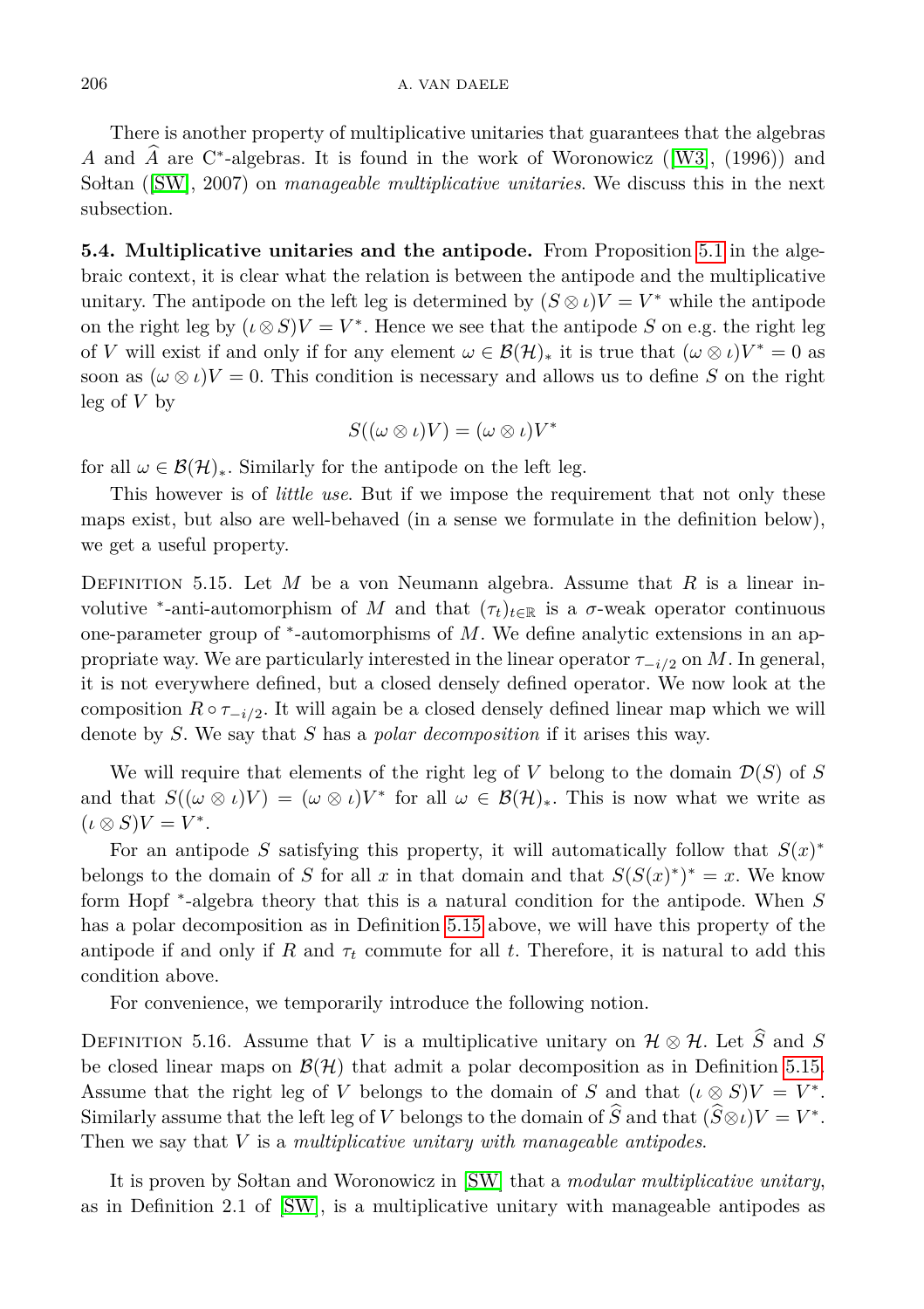#### 206 A. VAN DAELE

There is another property of multiplicative unitaries that guarantees that the algebras *A* and *A*<sup>a</sup> are C<sup>∗</sup>-algebras. It is found in the work of Woronowicz ([\[W3\]](#page-41-3), (1996)) and Soltan ([\[SW\]](#page-40-10), 2007) on *manageable multiplicative unitaries*. We discuss this in the next subsection.

<span id="page-27-0"></span>**5.4. Multiplicative unitaries and the antipode.** From Proposition [5.1](#page-21-0) in the algebraic context, it is clear what the relation is between the antipode and the multiplicative unitary. The antipode on the left leg is determined by  $(S \otimes \iota)V = V^*$  while the antipode on the right leg by  $(\iota \otimes S)V = V^*$ . Hence we see that the antipode *S* on e.g. the right leg of *V* will exist if and only if for any element  $\omega \in \mathcal{B}(\mathcal{H})_*$  it is true that  $(\omega \otimes \iota)V^* = 0$  as soon as  $(\omega \otimes \iota)V = 0$ . This condition is necessary and allows us to define *S* on the right leg of *V* by

$$
S((\omega \otimes \iota)V) = (\omega \otimes \iota)V^*
$$

for all  $\omega \in \mathcal{B}(\mathcal{H})_*$ . Similarly for the antipode on the left leg.

This however is of *little use*. But if we impose the requirement that not only these maps exist, but also are well-behaved (in a sense we formulate in the definition below), we get a useful property.

<span id="page-27-1"></span>Definition 5.15. Let *M* be a von Neumann algebra. Assume that *R* is a linear involutive <sup>\*</sup>-anti-automorphism of *M* and that  $(\tau_t)_{t \in \mathbb{R}}$  is a  $\sigma$ -weak operator continuous one-parameter group of <sup>∗</sup> -automorphisms of *M*. We define analytic extensions in an appropriate way. We are particularly interested in the linear operator  $\tau_{-i/2}$  on *M*. In general, it is not everywhere defined, but a closed densely defined operator. We now look at the composition  $R \circ \tau_{-i/2}$ . It will again be a closed densely defined linear map which we will denote by *S*. We say that *S* has a *polar decomposition* if it arises this way.

We will require that elements of the right leg of *V* belong to the domain  $\mathcal{D}(S)$  of *S* and that  $S((\omega \otimes \iota)V) = (\omega \otimes \iota)V^*$  for all  $\omega \in \mathcal{B}(\mathcal{H})_*$ . This is now what we write as  $(\iota \otimes S)V = V^*$ .

For an antipode *S* satisfying this property, it will automatically follow that  $S(x)^*$ belongs to the domain of *S* for all *x* in that domain and that  $S(S(x)^*)^* = x$ . We know form Hopf <sup>\*</sup>-algebra theory that this is a natural condition for the antipode. When S has a polar decomposition as in Definition [5.15](#page-27-1) above, we will have this property of the antipode if and only if *R* and  $\tau_t$  commute for all *t*. Therefore, it is natural to add this condition above.

For convenience, we temporarily introduce the following notion.

<span id="page-27-2"></span>DEFINITION 5.16. Assume that *V* is a multiplicative unitary on  $\mathcal{H} \otimes \mathcal{H}$ . Let  $\widehat{S}$  and *S* be closed linear maps on  $\mathcal{B}(\mathcal{H})$  that admit a polar decomposition as in Definition [5.15.](#page-27-1) Assume that the right leg of *V* belongs to the domain of *S* and that  $(\iota \otimes S)V = V^*$ . Similarly assume that the left leg of *V* belongs to the domain of  $\widehat{S}$  and that  $(\widehat{S} \otimes \iota)V = V^*$ . Then we say that *V* is a *multiplicative unitary with manageable antipodes*.

It is proven by Soltan and Woronowicz in [\[SW\]](#page-40-10) that a *modular multiplicative unitary*, as in Definition 2.1 of [\[SW\]](#page-40-10), is a multiplicative unitary with manageable antipodes as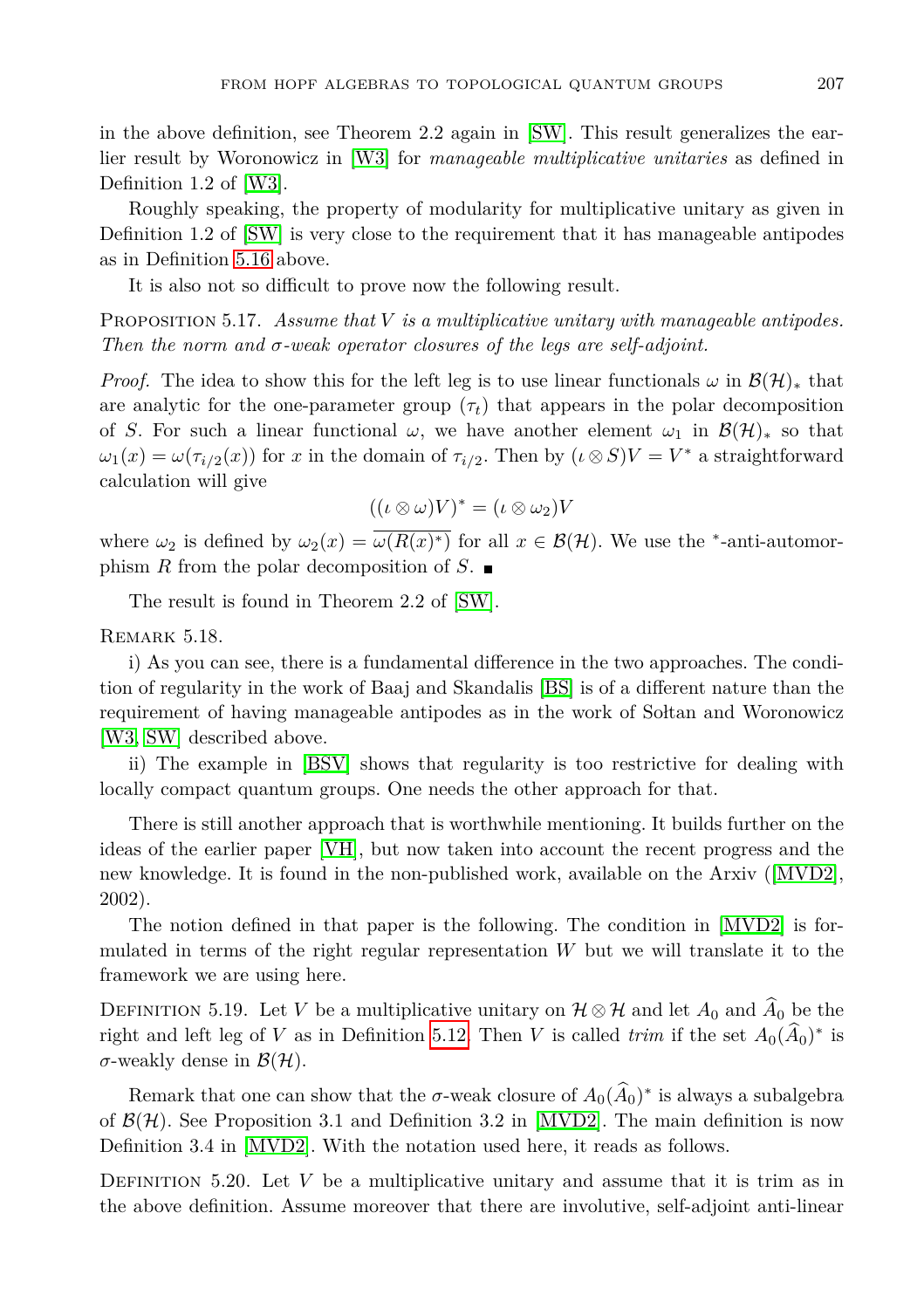in the above definition, see Theorem 2.2 again in [\[SW\]](#page-40-10). This result generalizes the earlier result by Woronowicz in [\[W3\]](#page-41-3) for *manageable multiplicative unitaries* as defined in Definition 1.2 of [\[W3\]](#page-41-3).

Roughly speaking, the property of modularity for multiplicative unitary as given in Definition 1.2 of [\[SW\]](#page-40-10) is very close to the requirement that it has manageable antipodes as in Definition [5.16](#page-27-2) above.

It is also not so difficult to prove now the following result.

<span id="page-28-1"></span>Proposition 5.17. *Assume that V is a multiplicative unitary with manageable antipodes. Then the norm and σ-weak operator closures of the legs are self-adjoint.*

*Proof.* The idea to show this for the left leg is to use linear functionals  $\omega$  in  $\mathcal{B}(\mathcal{H})_*$  that are analytic for the one-parameter group  $(\tau_t)$  that appears in the polar decomposition of *S*. For such a linear functional  $\omega$ , we have another element  $\omega_1$  in  $\mathcal{B}(\mathcal{H})_*$  so that  $\omega_1(x) = \omega(\tau_{i/2}(x))$  for *x* in the domain of  $\tau_{i/2}$ . Then by  $(\iota \otimes S)V = V^*$  a straightforward calculation will give

 $((\iota \otimes \omega)V)^* = (\iota \otimes \omega_2)V$ 

where  $\omega_2$  is defined by  $\omega_2(x) = \overline{\omega(R(x)^*)}$  for all  $x \in \mathcal{B}(\mathcal{H})$ . We use the <sup>\*</sup>-anti-automorphism *R* from the polar decomposition of  $S$ .

The result is found in Theorem 2.2 of [\[SW\]](#page-40-10).

# REMARK 5.18.

i) As you can see, there is a fundamental difference in the two approaches. The condition of regularity in the work of Baaj and Skandalis [\[BS\]](#page-38-1) is of a different nature than the requirement of having manageable antipodes as in the work of Soltan and Woronowicz [\[W3,](#page-41-3) [SW\]](#page-40-10) described above.

ii) The example in [\[BSV\]](#page-38-2) shows that regularity is too restrictive for dealing with locally compact quantum groups. One needs the other approach for that.

There is still another approach that is worthwhile mentioning. It builds further on the ideas of the earlier paper [\[VH\]](#page-41-9), but now taken into account the recent progress and the new knowledge. It is found in the non-published work, available on the Arxiv ([\[MVD2\]](#page-40-21), 2002).

The notion defined in that paper is the following. The condition in [\[MVD2\]](#page-40-21) is formulated in terms of the right regular representation *W* but we will translate it to the framework we are using here.

DEFINITION 5.19. Let *V* be a multiplicative unitary on  $\mathcal{H} \otimes \mathcal{H}$  and let  $A_0$  and  $\widehat{A}_0$  be the right and left leg of *V* as in Definition [5.12.](#page-25-0) Then *V* is called *trim* if the set  $A_0(\widehat{A}_0)^*$  is  $\sigma$ -weakly dense in  $\mathcal{B}(\mathcal{H})$ .

Remark that one can show that the  $\sigma$ -weak closure of  $A_0(\hat{A}_0)^*$  is always a subalgebra of  $\mathcal{B}(\mathcal{H})$ . See Proposition 3.1 and Definition 3.2 in [\[MVD2\]](#page-40-21). The main definition is now Definition 3.4 in [\[MVD2\]](#page-40-21). With the notation used here, it reads as follows.

<span id="page-28-0"></span>DEFINITION 5.20. Let *V* be a multiplicative unitary and assume that it is trim as in the above definition. Assume moreover that there are involutive, self-adjoint anti-linear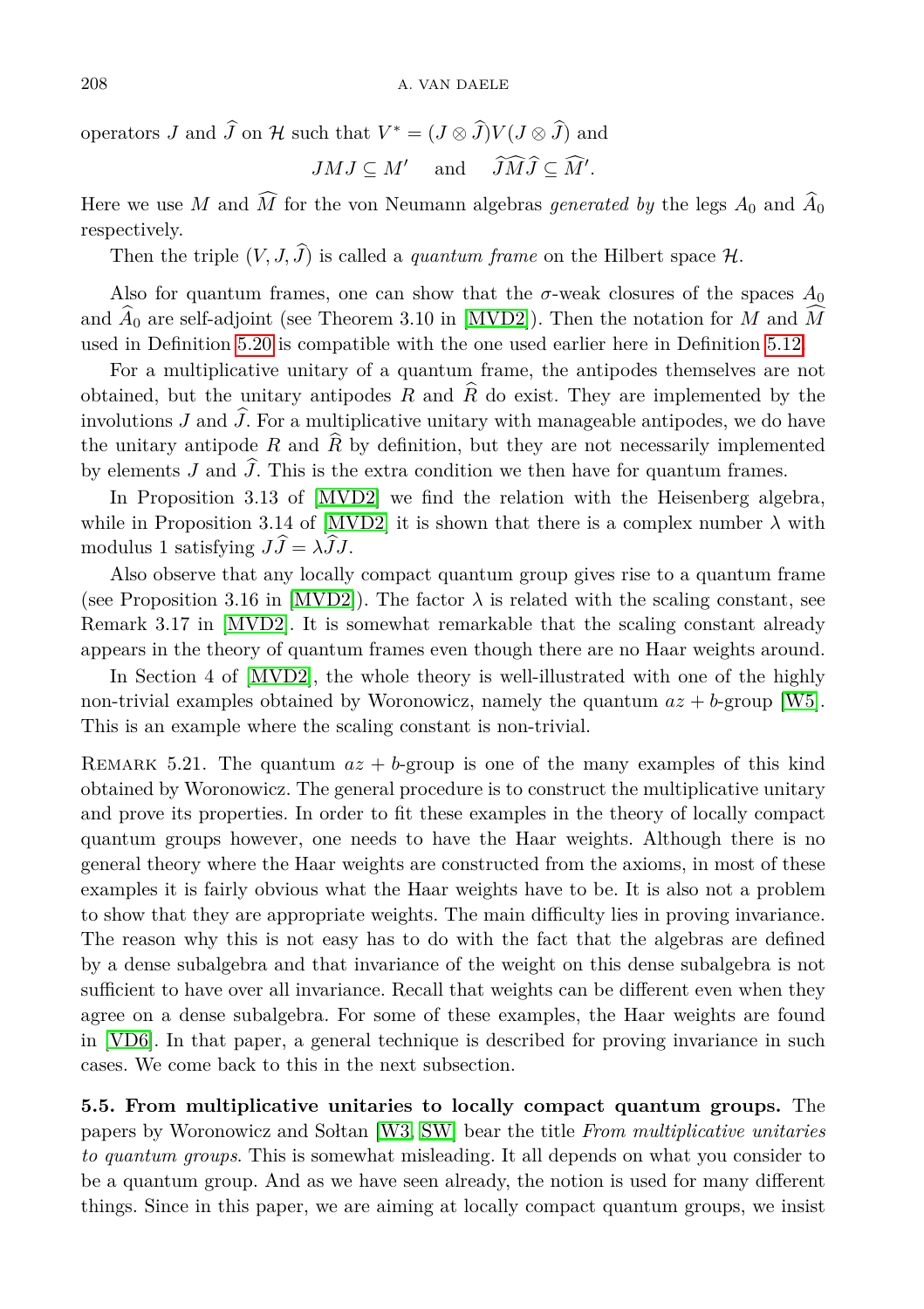operators *J* and  $\hat{J}$  on  $\mathcal{H}$  such that  $V^* = (J \otimes \hat{J})V(J \otimes \hat{J})$  and

$$
JMJ \subseteq M' \quad \text{and} \quad \widehat{J}\widehat{M}\widehat{J} \subseteq \widehat{M}'.
$$

Here we use M and  $\widehat{M}$  for the von Neumann algebras *generated by* the legs  $A_0$  and  $\widehat{A}_0$ respectively.

Then the triple  $(V, J, \hat{J})$  is called a *quantum frame* on the Hilbert space H.

Also for quantum frames, one can show that the  $\sigma$ -weak closures of the spaces  $A_0$ and  $A_0$  are self-adjoint (see Theorem 3.10 in [\[MVD2\]](#page-40-21)). Then the notation for *M* and *M* used in Definition [5.20](#page-28-0) is compatible with the one used earlier here in Definition [5.12.](#page-25-0)

For a multiplicative unitary of a quantum frame, the antipodes themselves are not obtained, but the unitary antipodes  $R$  and  $\widehat{R}$  do exist. They are implemented by the involutions *J* and  $\hat{J}$ . For a multiplicative unitary with manageable antipodes, we do have the unitary antipode  $R$  and  $\hat{R}$  by definition, but they are not necessarily implemented by elements  $J$  and  $J$ . This is the extra condition we then have for quantum frames.

In Proposition 3.13 of [\[MVD2\]](#page-40-21) we find the relation with the Heisenberg algebra, while in Proposition 3.14 of [\[MVD2\]](#page-40-21) it is shown that there is a complex number  $\lambda$  with modulus 1 satisfying  $J\hat{J} = \lambda \hat{J}J$ .

Also observe that any locally compact quantum group gives rise to a quantum frame (see Proposition 3.16 in [\[MVD2\]](#page-40-21)). The factor  $\lambda$  is related with the scaling constant, see Remark 3.17 in [\[MVD2\]](#page-40-21). It is somewhat remarkable that the scaling constant already appears in the theory of quantum frames even though there are no Haar weights around.

In Section 4 of [\[MVD2\]](#page-40-21), the whole theory is well-illustrated with one of the highly non-trivial examples obtained by Woronowicz, namely the quantum  $az + b$ -group [\[W5\]](#page-41-10). This is an example where the scaling constant is non-trivial.

<span id="page-29-0"></span>REMARK 5.21. The quantum  $az + b$ -group is one of the many examples of this kind obtained by Woronowicz. The general procedure is to construct the multiplicative unitary and prove its properties. In order to fit these examples in the theory of locally compact quantum groups however, one needs to have the Haar weights. Although there is no general theory where the Haar weights are constructed from the axioms, in most of these examples it is fairly obvious what the Haar weights have to be. It is also not a problem to show that they are appropriate weights. The main difficulty lies in proving invariance. The reason why this is not easy has to do with the fact that the algebras are defined by a dense subalgebra and that invariance of the weight on this dense subalgebra is not sufficient to have over all invariance. Recall that weights can be different even when they agree on a dense subalgebra. For some of these examples, the Haar weights are found in [\[VD6\]](#page-40-6). In that paper, a general technique is described for proving invariance in such cases. We come back to this in the next subsection.

**5.5. From multiplicative unitaries to locally compact quantum groups.** The papers by Woronowicz and Soltan [\[W3,](#page-41-3) [SW\]](#page-40-10) bear the title *From multiplicative unitaries to quantum groups*. This is somewhat misleading. It all depends on what you consider to be a quantum group. And as we have seen already, the notion is used for many different things. Since in this paper, we are aiming at locally compact quantum groups, we insist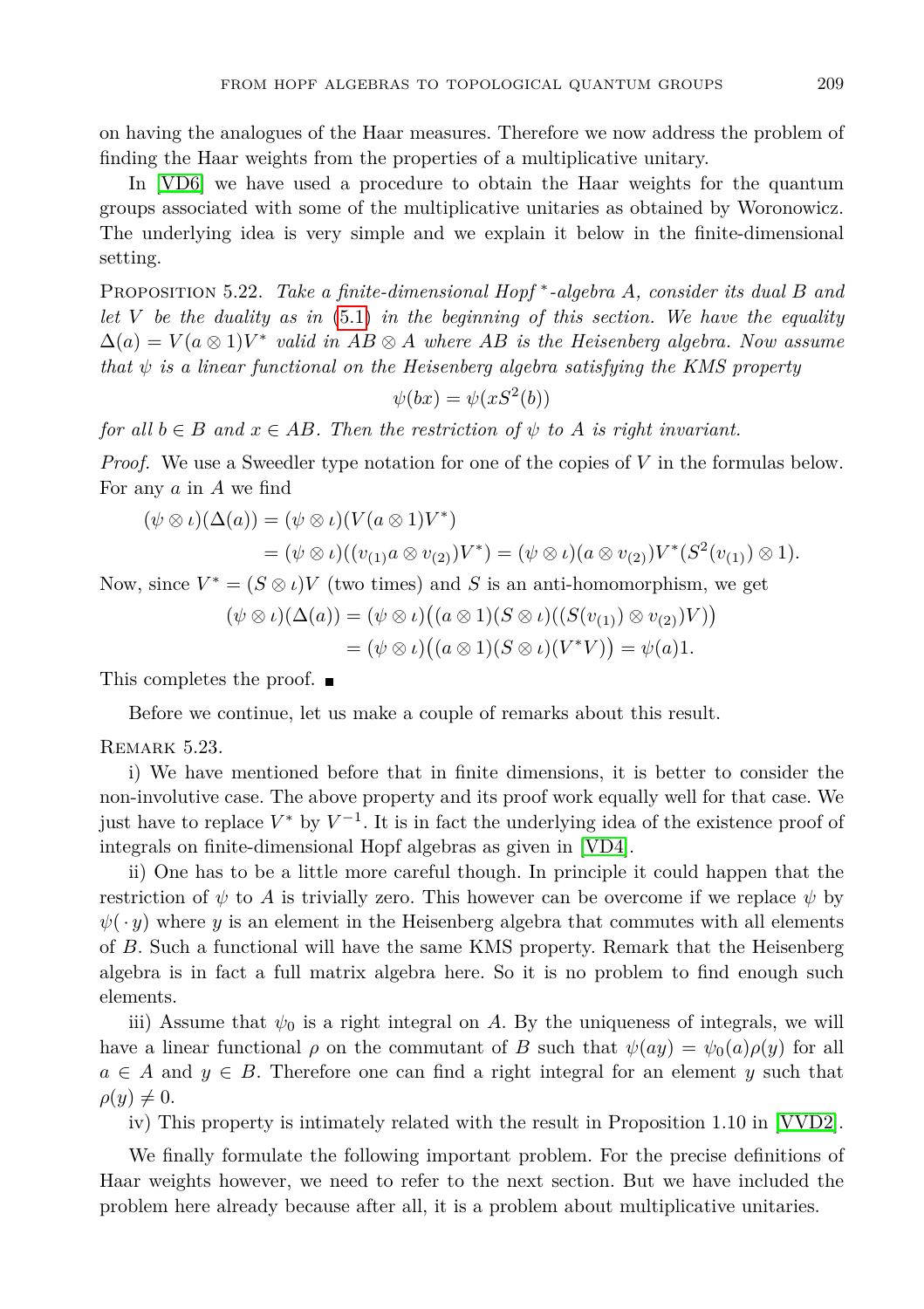on having the analogues of the Haar measures. Therefore we now address the problem of finding the Haar weights from the properties of a multiplicative unitary.

In [\[VD6\]](#page-40-6) we have used a procedure to obtain the Haar weights for the quantum groups associated with some of the multiplicative unitaries as obtained by Woronowicz. The underlying idea is very simple and we explain it below in the finite-dimensional setting.

Proposition 5.22. *Take a finite-dimensional Hopf* <sup>∗</sup> *-algebra A, consider its dual B and let V be the duality as in* [\(5.1\)](#page-21-1) *in the beginning of this section. We have the equality*  $\Delta(a) = V(a \otimes 1)V^*$  *valid in*  $AB \otimes A$  *where*  $AB$  *is the Heisenberg algebra. Now assume that ψ is a linear functional on the Heisenberg algebra satisfying the KMS property*

$$
\psi(bx) = \psi(xS^2(b))
$$

*for all*  $b \in B$  *and*  $x \in AB$ *. Then the restriction of*  $\psi$  *to A is right invariant.* 

*Proof.* We use a Sweedler type notation for one of the copies of V in the formulas below. For any *a* in *A* we find

$$
(\psi \otimes \iota)(\Delta(a)) = (\psi \otimes \iota)(V(a \otimes 1)V^*)
$$
  
=  $(\psi \otimes \iota)((v_{(1)}a \otimes v_{(2)})V^*) = (\psi \otimes \iota)(a \otimes v_{(2)})V^*(S^2(v_{(1)}) \otimes 1).$ 

Now, since  $V^* = (S \otimes \iota)V$  (two times) and *S* is an anti-homomorphism, we get

$$
(\psi \otimes \iota)(\Delta(a)) = (\psi \otimes \iota)((a \otimes 1)(S \otimes \iota)((S(v_{(1)}) \otimes v_{(2)})V))
$$
  
= (\psi \otimes \iota)((a \otimes 1)(S \otimes \iota)(V^\*V)) = \psi(a)1.

This completes the proof. ■

Before we continue, let us make a couple of remarks about this result.

REMARK 5.23.

i) We have mentioned before that in finite dimensions, it is better to consider the non-involutive case. The above property and its proof work equally well for that case. We just have to replace  $V^*$  by  $V^{-1}$ . It is in fact the underlying idea of the existence proof of integrals on finite-dimensional Hopf algebras as given in [\[VD4\]](#page-40-16).

ii) One has to be a little more careful though. In principle it could happen that the restriction of  $\psi$  to A is trivially zero. This however can be overcome if we replace  $\psi$  by  $\psi(\cdot, y)$  where *y* is an element in the Heisenberg algebra that commutes with all elements of *B*. Such a functional will have the same KMS property. Remark that the Heisenberg algebra is in fact a full matrix algebra here. So it is no problem to find enough such elements.

iii) Assume that  $\psi_0$  is a right integral on *A*. By the uniqueness of integrals, we will have a linear functional  $\rho$  on the commutant of *B* such that  $\psi(ay) = \psi_0(a)\rho(y)$  for all  $a \in A$  and  $y \in B$ . Therefore one can find a right integral for an element *y* such that  $\rho(y) \neq 0.$ 

iv) This property is intimately related with the result in Proposition 1.10 in [\[VVD2\]](#page-40-22).

<span id="page-30-0"></span>We finally formulate the following important problem. For the precise definitions of Haar weights however, we need to refer to the next section. But we have included the problem here already because after all, it is a problem about multiplicative unitaries.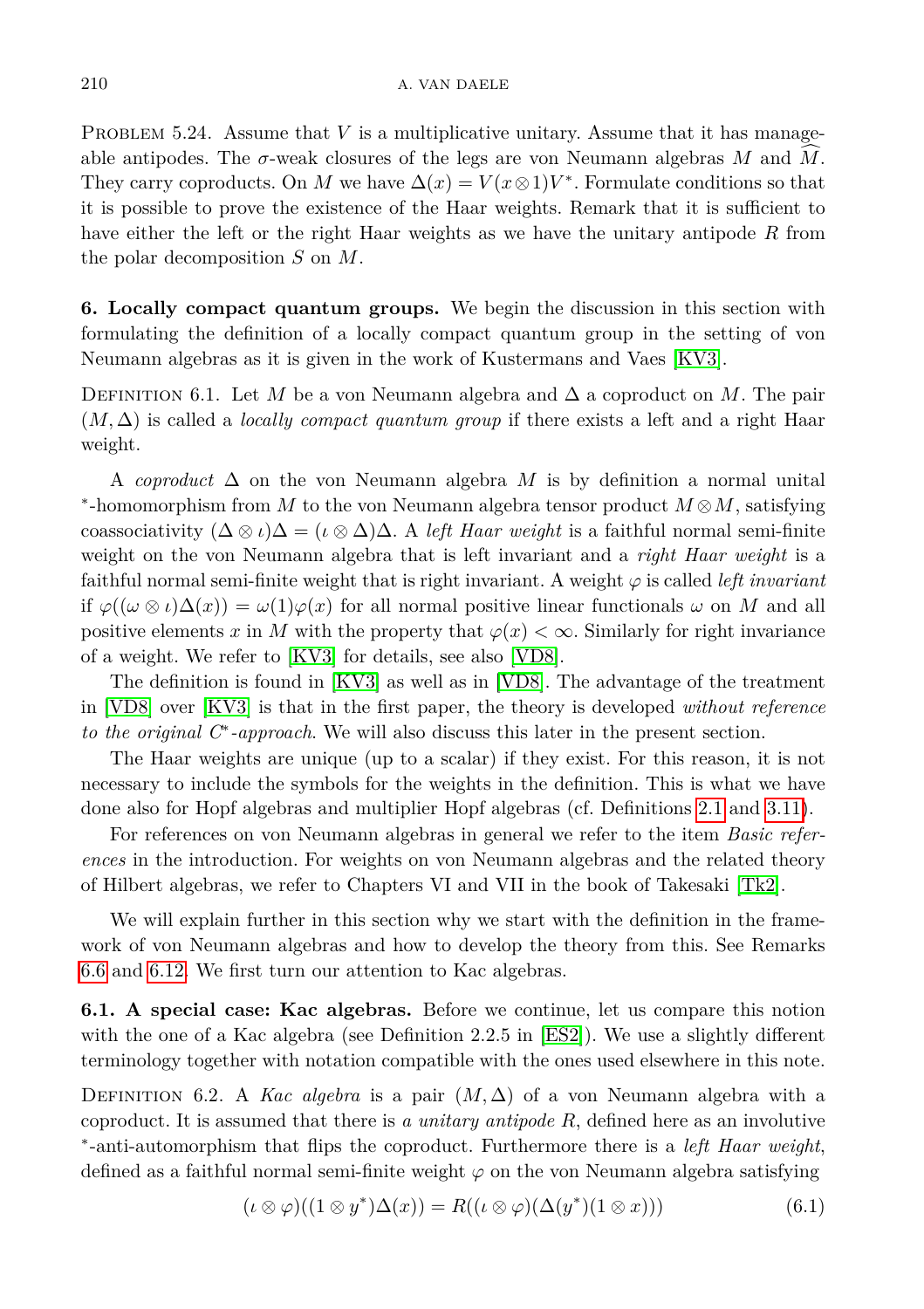PROBLEM 5.24. Assume that *V* is a multiplicative unitary. Assume that it has manageable antipodes. The  $\sigma$ -weak closures of the legs are von Neumann algebras M and M. They carry coproducts. On *M* we have  $\Delta(x) = V(x \otimes 1)V^*$ . Formulate conditions so that it is possible to prove the existence of the Haar weights. Remark that it is sufficient to have either the left or the right Haar weights as we have the unitary antipode *R* from the polar decomposition *S* on *M*.

<span id="page-31-0"></span>**6. Locally compact quantum groups.** We begin the discussion in this section with formulating the definition of a locally compact quantum group in the setting of von Neumann algebras as it is given in the work of Kustermans and Vaes [\[KV3\]](#page-39-9).

<span id="page-31-2"></span>DEFINITION 6.1. Let *M* be a von Neumann algebra and  $\Delta$  a coproduct on *M*. The pair  $(M, \Delta)$  is called a *locally compact quantum group* if there exists a left and a right Haar weight.

A *coproduct* ∆ on the von Neumann algebra *M* is by definition a normal unital ∗ -homomorphism from *M* to the von Neumann algebra tensor product *M* ⊗*M*, satisfying coassociativity  $(\Delta \otimes \iota) \Delta = (\iota \otimes \Delta) \Delta$ . A *left Haar weight* is a faithful normal semi-finite weight on the von Neumann algebra that is left invariant and a *right Haar weight* is a faithful normal semi-finite weight that is right invariant. A weight  $\varphi$  is called *left invariant* if  $\varphi((\omega \otimes \iota)\Delta(x)) = \omega(1)\varphi(x)$  for all normal positive linear functionals  $\omega$  on M and all positive elements *x* in *M* with the property that  $\varphi(x) < \infty$ . Similarly for right invariance of a weight. We refer to [\[KV3\]](#page-39-9) for details, see also [\[VD8\]](#page-41-4).

The definition is found in [\[KV3\]](#page-39-9) as well as in [\[VD8\]](#page-41-4). The advantage of the treatment in [\[VD8\]](#page-41-4) over [\[KV3\]](#page-39-9) is that in the first paper, the theory is developed *without reference to the original C*<sup>∗</sup> *-approach*. We will also discuss this later in the present section.

The Haar weights are unique (up to a scalar) if they exist. For this reason, it is not necessary to include the symbols for the weights in the definition. This is what we have done also for Hopf algebras and multiplier Hopf algebras (cf. Definitions [2.1](#page-5-1) and [3.11\)](#page-12-1).

For references on von Neumann algebras in general we refer to the item *Basic references* in the introduction. For weights on von Neumann algebras and the related theory of Hilbert algebras, we refer to Chapters VI and VII in the book of Takesaki [\[Tk2\]](#page-40-15).

We will explain further in this section why we start with the definition in the framework of von Neumann algebras and how to develop the theory from this. See Remarks [6.6](#page-33-0) and [6.12.](#page-37-1) We first turn our attention to Kac algebras.

**6.1. A special case: Kac algebras.** Before we continue, let us compare this notion with the one of a Kac algebra (see Definition 2.2.5 in [\[ES2\]](#page-39-5)). We use a slightly different terminology together with notation compatible with the ones used elsewhere in this note.

<span id="page-31-1"></span>DEFINITION 6.2. A *Kac algebra* is a pair  $(M, \Delta)$  of a von Neumann algebra with a coproduct. It is assumed that there is *a unitary antipode R*, defined here as an involutive ∗ -anti-automorphism that flips the coproduct. Furthermore there is a *left Haar weight*, defined as a faithful normal semi-finite weight *ϕ* on the von Neumann algebra satisfying

$$
(\iota \otimes \varphi)((1 \otimes y^*)\Delta(x)) = R((\iota \otimes \varphi)(\Delta(y^*)(1 \otimes x))) \tag{6.1}
$$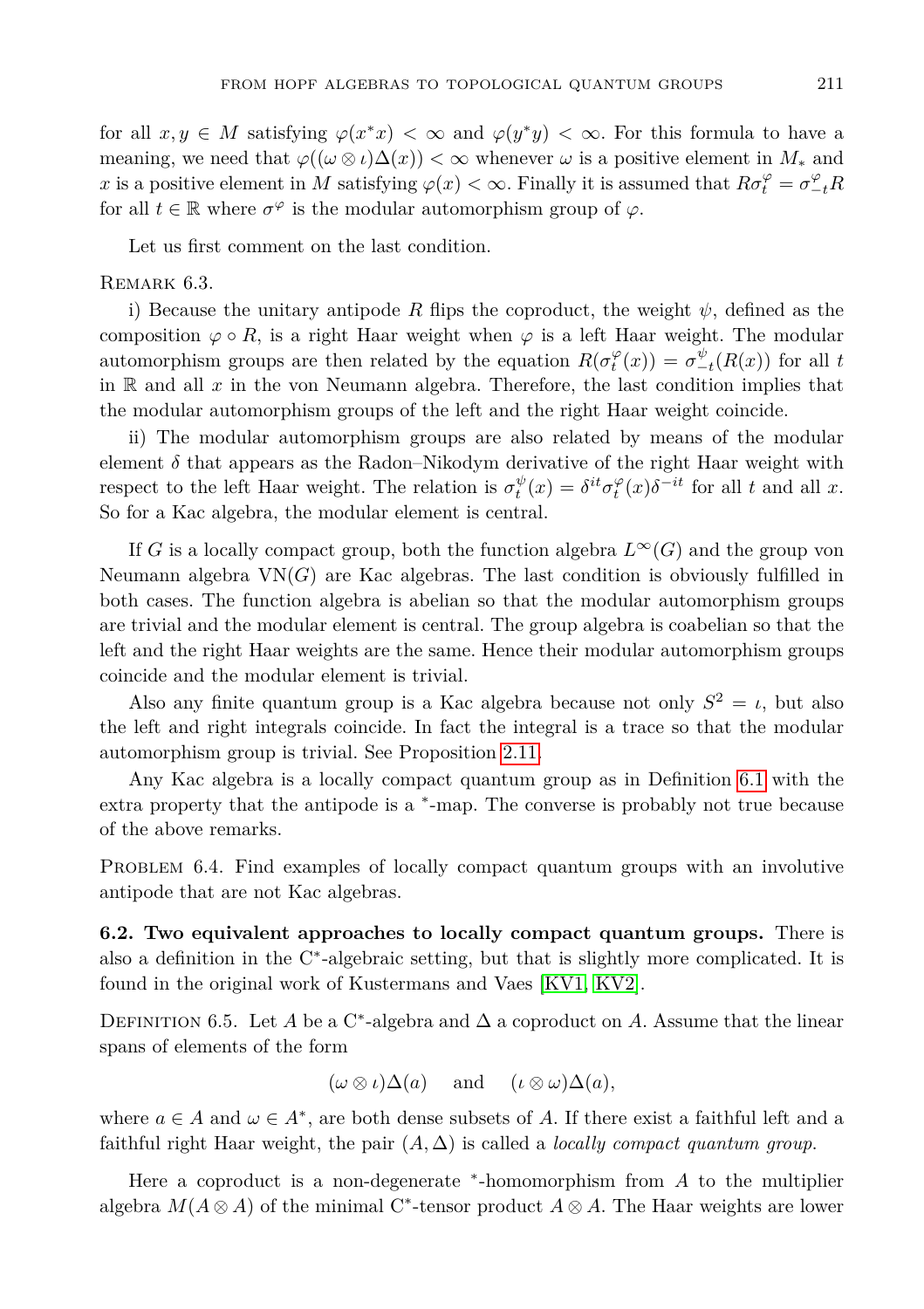for all  $x, y \in M$  satisfying  $\varphi(x^*x) < \infty$  and  $\varphi(y^*y) < \infty$ . For this formula to have a meaning, we need that  $\varphi((\omega \otimes \iota)\Delta(x)) < \infty$  whenever  $\omega$  is a positive element in  $M_*$  and *x* is a positive element in *M* satisfying  $\varphi(x) < \infty$ . Finally it is assumed that  $R\sigma_t^{\varphi} = \sigma_{-t}^{\varphi}R$ for all  $t \in \mathbb{R}$  where  $\sigma^{\varphi}$  is the modular automorphism group of  $\varphi$ .

Let us first comment on the last condition.

REMARK 6.3.

i) Because the unitary antipode R flips the coproduct, the weight  $\psi$ , defined as the composition  $\varphi \circ R$ , is a right Haar weight when  $\varphi$  is a left Haar weight. The modular automorphism groups are then related by the equation  $R(\sigma_t^{\varphi}(x)) = \sigma_{-t}^{\psi}(R(x))$  for all *t* in  $\mathbb R$  and all  $x$  in the von Neumann algebra. Therefore, the last condition implies that the modular automorphism groups of the left and the right Haar weight coincide.

ii) The modular automorphism groups are also related by means of the modular element  $\delta$  that appears as the Radon–Nikodym derivative of the right Haar weight with respect to the left Haar weight. The relation is  $\sigma_t^{\psi}(x) = \delta^{it} \sigma_t^{\varphi}(x) \delta^{-it}$  for all *t* and all *x*. So for a Kac algebra, the modular element is central.

If *G* is a locally compact group, both the function algebra  $L^{\infty}(G)$  and the group von Neumann algebra VN(*G*) are Kac algebras. The last condition is obviously fulfilled in both cases. The function algebra is abelian so that the modular automorphism groups are trivial and the modular element is central. The group algebra is coabelian so that the left and the right Haar weights are the same. Hence their modular automorphism groups coincide and the modular element is trivial.

Also any finite quantum group is a Kac algebra because not only  $S^2 = \iota$ , but also the left and right integrals coincide. In fact the integral is a trace so that the modular automorphism group is trivial. See Proposition [2.11.](#page-8-1)

Any Kac algebra is a locally compact quantum group as in Definition [6.1](#page-31-2) with the extra property that the antipode is a  $*$ -map. The converse is probably not true because of the above remarks.

<span id="page-32-1"></span>PROBLEM 6.4. Find examples of locally compact quantum groups with an involutive antipode that are not Kac algebras.

**6.2. Two equivalent approaches to locally compact quantum groups.** There is also a definition in the C<sup>∗</sup> -algebraic setting, but that is slightly more complicated. It is found in the original work of Kustermans and Vaes [\[KV1,](#page-39-7) [KV2\]](#page-39-8).

<span id="page-32-0"></span>DEFINITION 6.5. Let *A* be a C<sup>\*</sup>-algebra and  $\Delta$  a coproduct on *A*. Assume that the linear spans of elements of the form

$$
(\omega \otimes \iota)\Delta(a)
$$
 and  $(\iota \otimes \omega)\Delta(a)$ ,

where  $a \in A$  and  $\omega \in A^*$ , are both dense subsets of A. If there exist a faithful left and a faithful right Haar weight, the pair  $(A, \Delta)$  is called a *locally compact quantum group*.

Here a coproduct is a non-degenerate <sup>∗</sup> -homomorphism from *A* to the multiplier algebra  $M(A \otimes A)$  of the minimal C<sup>\*</sup>-tensor product  $A \otimes A$ . The Haar weights are lower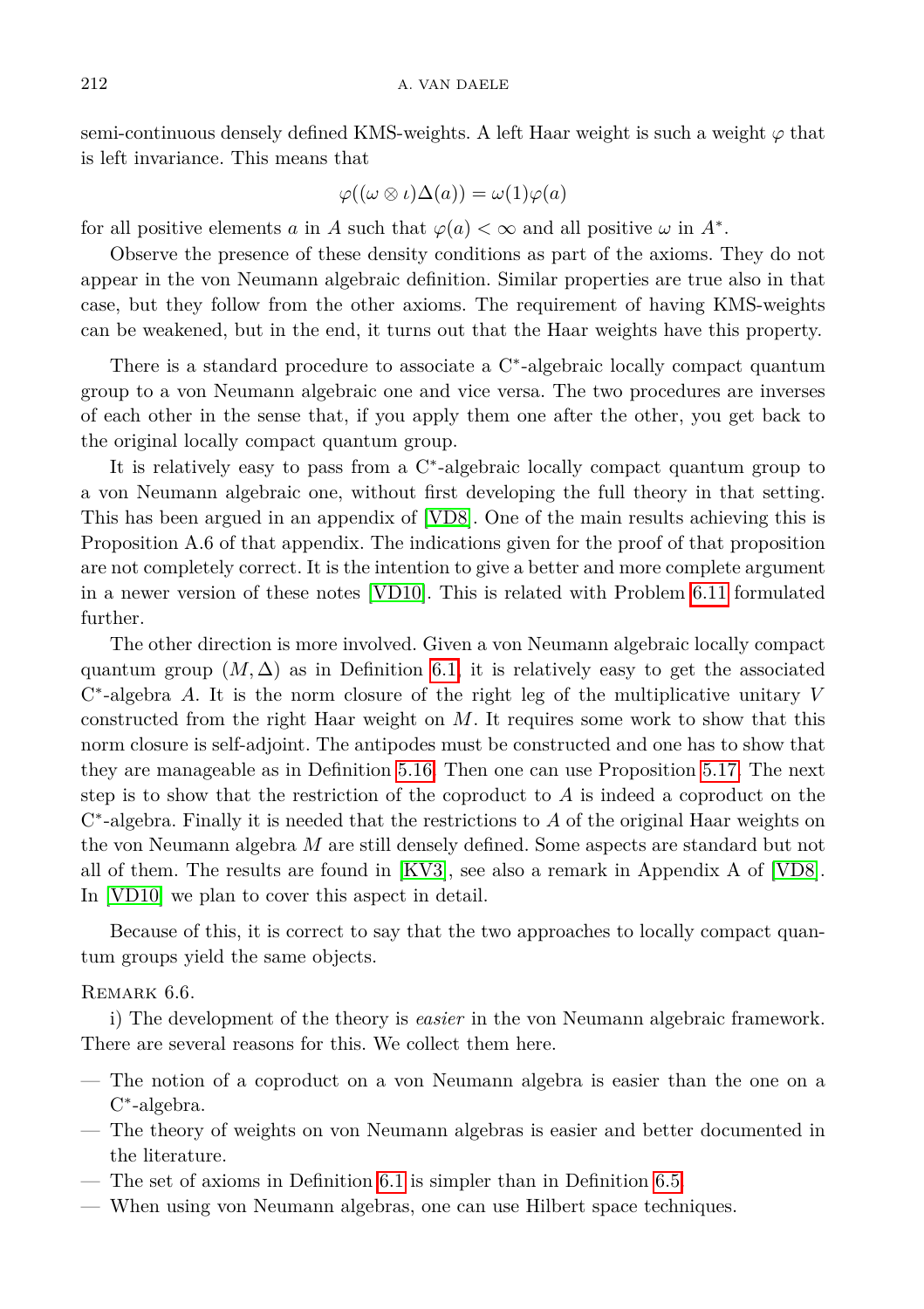semi-continuous densely defined KMS-weights. A left Haar weight is such a weight  $\varphi$  that is left invariance. This means that

$$
\varphi((\omega \otimes \iota)\Delta(a)) = \omega(1)\varphi(a)
$$

for all positive elements *a* in *A* such that  $\varphi(a) < \infty$  and all positive  $\omega$  in  $A^*$ .

Observe the presence of these density conditions as part of the axioms. They do not appear in the von Neumann algebraic definition. Similar properties are true also in that case, but they follow from the other axioms. The requirement of having KMS-weights can be weakened, but in the end, it turns out that the Haar weights have this property.

There is a standard procedure to associate a C<sup>∗</sup>-algebraic locally compact quantum group to a von Neumann algebraic one and vice versa. The two procedures are inverses of each other in the sense that, if you apply them one after the other, you get back to the original locally compact quantum group.

It is relatively easy to pass from a C<sup>∗</sup> -algebraic locally compact quantum group to a von Neumann algebraic one, without first developing the full theory in that setting. This has been argued in an appendix of [\[VD8\]](#page-41-4). One of the main results achieving this is Proposition A.6 of that appendix. The indications given for the proof of that proposition are not completely correct. It is the intention to give a better and more complete argument in a newer version of these notes [\[VD10\]](#page-41-11). This is related with Problem [6.11](#page-36-0) formulated further.

The other direction is more involved. Given a von Neumann algebraic locally compact quantum group  $(M, \Delta)$  as in Definition [6.1,](#page-31-2) it is relatively easy to get the associated C ∗ -algebra *A*. It is the norm closure of the right leg of the multiplicative unitary *V* constructed from the right Haar weight on *M*. It requires some work to show that this norm closure is self-adjoint. The antipodes must be constructed and one has to show that they are manageable as in Definition [5.16.](#page-27-2) Then one can use Proposition [5.17.](#page-28-1) The next step is to show that the restriction of the coproduct to *A* is indeed a coproduct on the C<sup>\*</sup>-algebra. Finally it is needed that the restrictions to *A* of the original Haar weights on the von Neumann algebra *M* are still densely defined. Some aspects are standard but not all of them. The results are found in [\[KV3\]](#page-39-9), see also a remark in Appendix A of [\[VD8\]](#page-41-4). In [\[VD10\]](#page-41-11) we plan to cover this aspect in detail.

Because of this, it is correct to say that the two approaches to locally compact quantum groups yield the same objects.

# <span id="page-33-0"></span>REMARK 6.6.

i) The development of the theory is *easier* in the von Neumann algebraic framework. There are several reasons for this. We collect them here.

- The notion of a coproduct on a von Neumann algebra is easier than the one on a C ∗ -algebra.
- The theory of weights on von Neumann algebras is easier and better documented in the literature.
- The set of axioms in Definition [6.1](#page-31-2) is simpler than in Definition [6.5.](#page-32-0)
- When using von Neumann algebras, one can use Hilbert space techniques.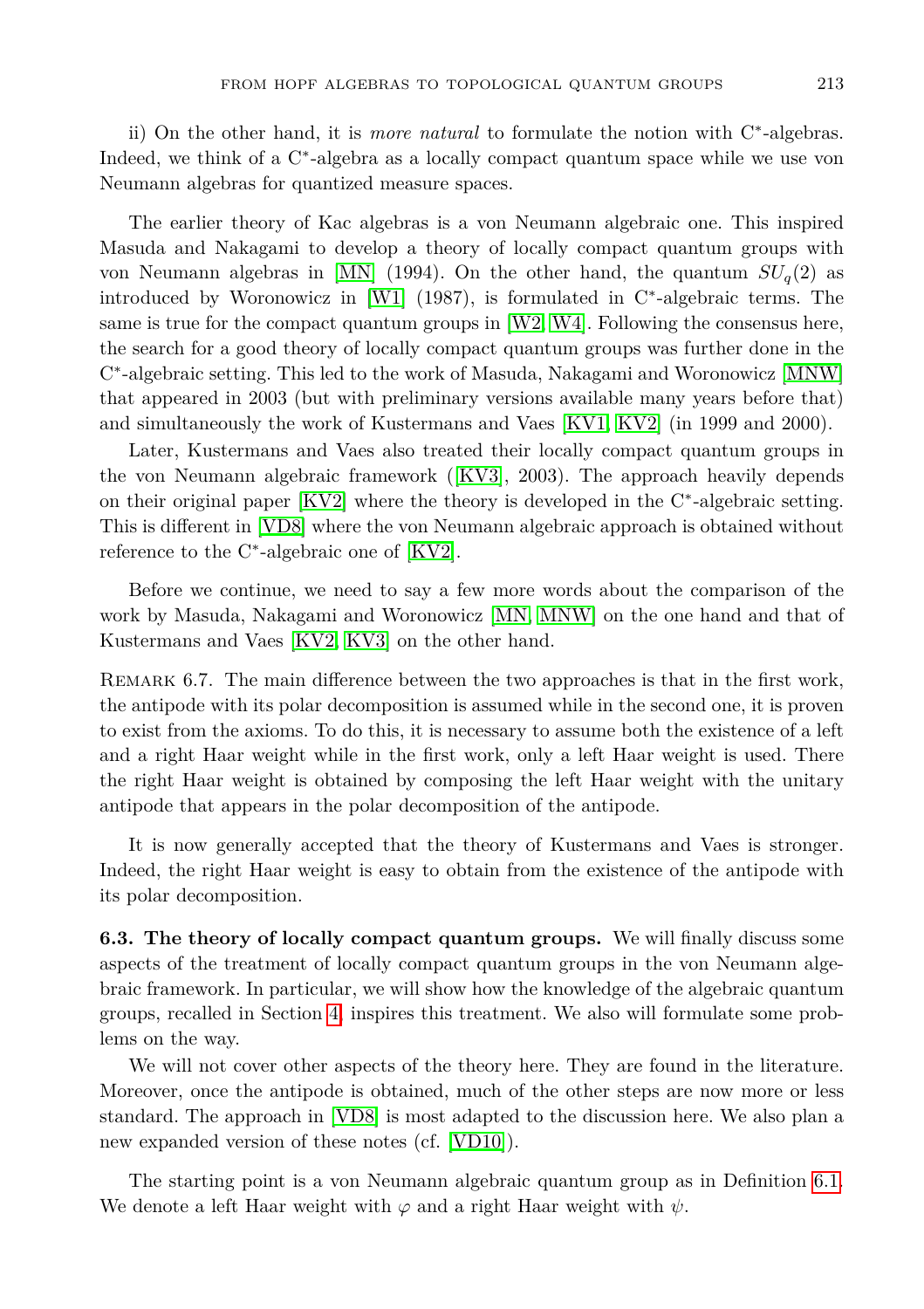ii) On the other hand, it is *more natural* to formulate the notion with C<sup>∗</sup> -algebras. Indeed, we think of a C<sup>∗</sup> -algebra as a locally compact quantum space while we use von Neumann algebras for quantized measure spaces.

The earlier theory of Kac algebras is a von Neumann algebraic one. This inspired Masuda and Nakagami to develop a theory of locally compact quantum groups with von Neumann algebras in [\[MN\]](#page-40-4) (1994). On the other hand, the quantum  $SU_q(2)$  as introduced by Woronowicz in [\[W1\]](#page-41-2) (1987), is formulated in C<sup>∗</sup> -algebraic terms. The same is true for the compact quantum groups in [\[W2,](#page-41-0) [W4\]](#page-41-1). Following the consensus here, the search for a good theory of locally compact quantum groups was further done in the C ∗ -algebraic setting. This led to the work of Masuda, Nakagami and Woronowicz [\[MNW\]](#page-40-5) that appeared in 2003 (but with preliminary versions available many years before that) and simultaneously the work of Kustermans and Vaes [\[KV1,](#page-39-7) [KV2\]](#page-39-8) (in 1999 and 2000).

Later, Kustermans and Vaes also treated their locally compact quantum groups in the von Neumann algebraic framework ([\[KV3\]](#page-39-9), 2003). The approach heavily depends on their original paper [\[KV2\]](#page-39-8) where the theory is developed in the C<sup>∗</sup> -algebraic setting. This is different in [\[VD8\]](#page-41-4) where the von Neumann algebraic approach is obtained without reference to the C<sup>∗</sup> -algebraic one of [\[KV2\]](#page-39-8).

Before we continue, we need to say a few more words about the comparison of the work by Masuda, Nakagami and Woronowicz [\[MN,](#page-40-4) [MNW\]](#page-40-5) on the one hand and that of Kustermans and Vaes [\[KV2,](#page-39-8) [KV3\]](#page-39-9) on the other hand.

Remark 6.7. The main difference between the two approaches is that in the first work, the antipode with its polar decomposition is assumed while in the second one, it is proven to exist from the axioms. To do this, it is necessary to assume both the existence of a left and a right Haar weight while in the first work, only a left Haar weight is used. There the right Haar weight is obtained by composing the left Haar weight with the unitary antipode that appears in the polar decomposition of the antipode.

It is now generally accepted that the theory of Kustermans and Vaes is stronger. Indeed, the right Haar weight is easy to obtain from the existence of the antipode with its polar decomposition.

**6.3. The theory of locally compact quantum groups.** We will finally discuss some aspects of the treatment of locally compact quantum groups in the von Neumann algebraic framework. In particular, we will show how the knowledge of the algebraic quantum groups, recalled in Section [4,](#page-14-0) inspires this treatment. We also will formulate some problems on the way.

We will not cover other aspects of the theory here. They are found in the literature. Moreover, once the antipode is obtained, much of the other steps are now more or less standard. The approach in [\[VD8\]](#page-41-4) is most adapted to the discussion here. We also plan a new expanded version of these notes (cf. [\[VD10\]](#page-41-11)).

The starting point is a von Neumann algebraic quantum group as in Definition [6.1.](#page-31-2) We denote a left Haar weight with  $\varphi$  and a right Haar weight with  $\psi$ .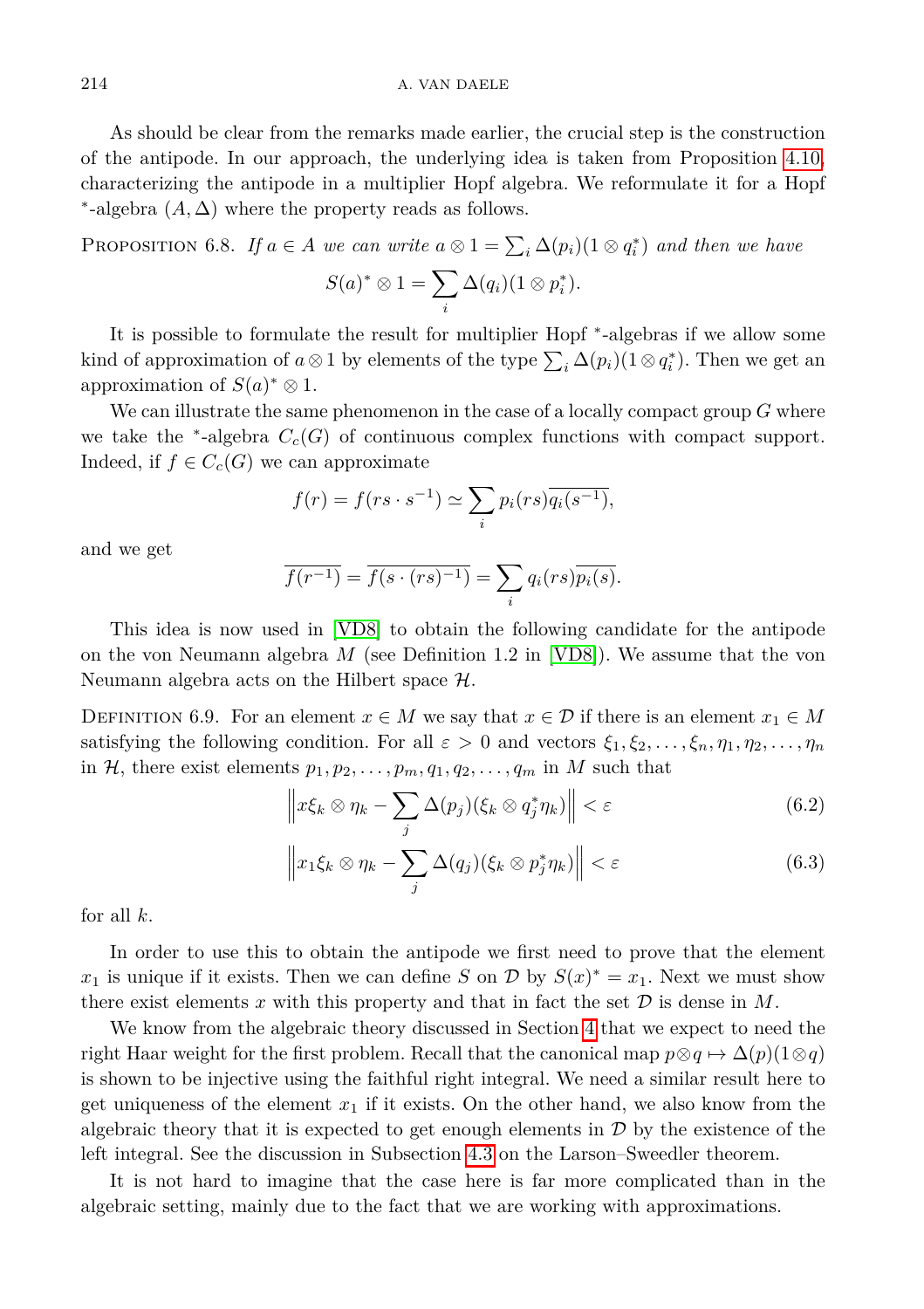#### 214 A. VAN DAELE

As should be clear from the remarks made earlier, the crucial step is the construction of the antipode. In our approach, the underlying idea is taken from Proposition [4.10,](#page-18-0) characterizing the antipode in a multiplier Hopf algebra. We reformulate it for a Hopf \*-algebra  $(A, \Delta)$  where the property reads as follows.

PROPOSITION 6.8. *If*  $a \in A$  *we can write*  $a \otimes 1 = \sum_i \Delta(p_i)(1 \otimes q_i^*)$  *and then we have* 

$$
S(a)^* \otimes 1 = \sum_i \Delta(q_i) (1 \otimes p_i^*).
$$

It is possible to formulate the result for multiplier Hopf <sup>∗</sup> -algebras if we allow some kind of approximation of  $a \otimes 1$  by elements of the type  $\sum_i \Delta(p_i)(1 \otimes q_i^*)$ . Then we get an approximation of  $S(a)^* \otimes 1$ .

We can illustrate the same phenomenon in the case of a locally compact group *G* where we take the <sup>∗</sup> -algebra *Cc*(*G*) of continuous complex functions with compact support. Indeed, if  $f \in C_c(G)$  we can approximate

$$
f(r) = f(rs \cdot s^{-1}) \simeq \sum_{i} p_i(rs) \overline{q_i(s^{-1})},
$$

and we get

$$
\overline{f(r^{-1})} = \overline{f(s \cdot (rs)^{-1})} = \sum_{i} q_i(rs) \overline{p_i(s)}.
$$

This idea is now used in [\[VD8\]](#page-41-4) to obtain the following candidate for the antipode on the von Neumann algebra *M* (see Definition 1.2 in [\[VD8\]](#page-41-4)). We assume that the von Neumann algebra acts on the Hilbert space H.

<span id="page-35-0"></span>DEFINITION 6.9. For an element  $x \in M$  we say that  $x \in D$  if there is an element  $x_1 \in M$ satisfying the following condition. For all  $\varepsilon > 0$  and vectors  $\xi_1, \xi_2, \ldots, \xi_n, \eta_1, \eta_2, \ldots, \eta_n$ in H, there exist elements  $p_1, p_2, \ldots, p_m, q_1, q_2, \ldots, q_m$  in M such that

$$
\left\|x\xi_k \otimes \eta_k - \sum_j \Delta(p_j)(\xi_k \otimes q_j^* \eta_k)\right\| < \varepsilon \tag{6.2}
$$

$$
\left\|x_1\xi_k\otimes\eta_k-\sum_j\Delta(q_j)(\xi_k\otimes p_j^*\eta_k)\right\|<\varepsilon\tag{6.3}
$$

for all *k*.

In order to use this to obtain the antipode we first need to prove that the element *x*<sub>1</sub> is unique if it exists. Then we can define *S* on *D* by  $S(x)^* = x_1$ . Next we must show there exist elements x with this property and that in fact the set  $D$  is dense in  $M$ .

We know from the algebraic theory discussed in Section [4](#page-14-0) that we expect to need the right Haar weight for the first problem. Recall that the canonical map  $p \otimes q \mapsto \Delta(p)(1 \otimes q)$ is shown to be injective using the faithful right integral. We need a similar result here to get uniqueness of the element  $x_1$  if it exists. On the other hand, we also know from the algebraic theory that it is expected to get enough elements in  $\mathcal{D}$  by the existence of the left integral. See the discussion in Subsection [4.3](#page-16-1) on the Larson–Sweedler theorem.

It is not hard to imagine that the case here is far more complicated than in the algebraic setting, mainly due to the fact that we are working with approximations.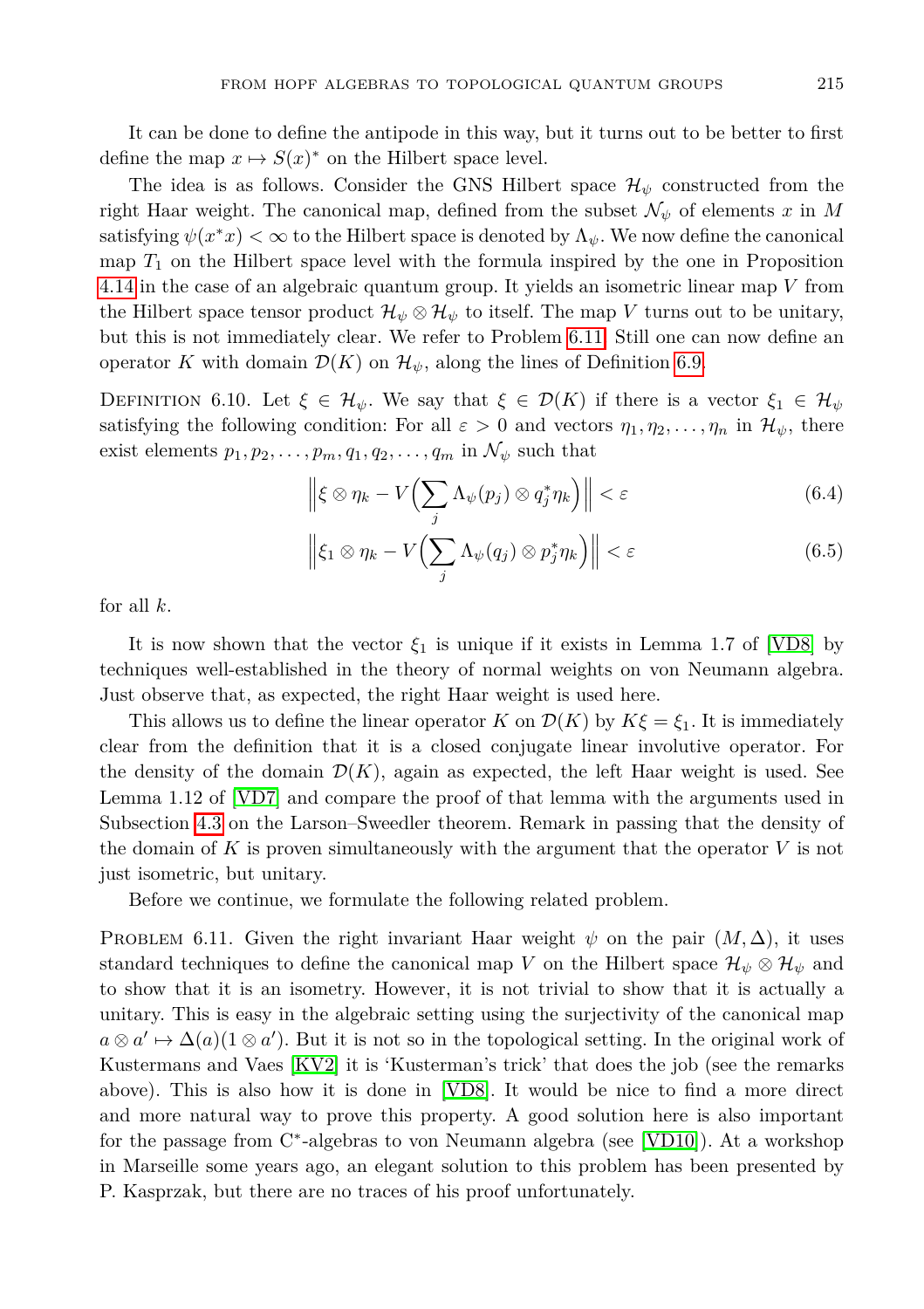It can be done to define the antipode in this way, but it turns out to be better to first define the map  $x \mapsto S(x)^*$  on the Hilbert space level.

The idea is as follows. Consider the GNS Hilbert space  $\mathcal{H}_{\psi}$  constructed from the right Haar weight. The canonical map, defined from the subset  $\mathcal{N}_{\psi}$  of elements *x* in M satisfying  $\psi(x^*x) < \infty$  to the Hilbert space is denoted by  $\Lambda_{\psi}$ . We now define the canonical map *T*<sup>1</sup> on the Hilbert space level with the formula inspired by the one in Proposition [4.14](#page-19-1) in the case of an algebraic quantum group. It yields an isometric linear map *V* from the Hilbert space tensor product  $\mathcal{H}_{\psi} \otimes \mathcal{H}_{\psi}$  to itself. The map *V* turns out to be unitary, but this is not immediately clear. We refer to Problem [6.11.](#page-36-0) Still one can now define an operator *K* with domain  $\mathcal{D}(K)$  on  $\mathcal{H}_{\psi}$ , along the lines of Definition [6.9.](#page-35-0)

DEFINITION 6.10. Let  $\xi \in \mathcal{H}_{\psi}$ . We say that  $\xi \in \mathcal{D}(K)$  if there is a vector  $\xi_1 \in \mathcal{H}_{\psi}$ satisfying the following condition: For all  $\varepsilon > 0$  and vectors  $\eta_1, \eta_2, \ldots, \eta_n$  in  $\mathcal{H}_{\psi}$ , there exist elements  $p_1, p_2, \ldots, p_m, q_1, q_2, \ldots, q_m$  in  $\mathcal{N}_{\psi}$  such that

$$
\left\| \xi \otimes \eta_k - V\left(\sum_j \Lambda_{\psi}(p_j) \otimes q_j^* \eta_k\right) \right\| < \varepsilon \tag{6.4}
$$

$$
\left\| \xi_1 \otimes \eta_k - V \Big( \sum_j \Lambda_{\psi}(q_j) \otimes p_j^* \eta_k \Big) \right\| < \varepsilon \tag{6.5}
$$

for all *k*.

It is now shown that the vector  $\xi_1$  is unique if it exists in Lemma 1.7 of [\[VD8\]](#page-41-4) by techniques well-established in the theory of normal weights on von Neumann algebra. Just observe that, as expected, the right Haar weight is used here.

This allows us to define the linear operator *K* on  $\mathcal{D}(K)$  by  $K\xi = \xi_1$ . It is immediately clear from the definition that it is a closed conjugate linear involutive operator. For the density of the domain  $\mathcal{D}(K)$ , again as expected, the left Haar weight is used. See Lemma 1.12 of [\[VD7\]](#page-41-5) and compare the proof of that lemma with the arguments used in Subsection [4.3](#page-16-1) on the Larson–Sweedler theorem. Remark in passing that the density of the domain of *K* is proven simultaneously with the argument that the operator *V* is not just isometric, but unitary.

Before we continue, we formulate the following related problem.

<span id="page-36-0"></span>PROBLEM 6.11. Given the right invariant Haar weight  $\psi$  on the pair  $(M, \Delta)$ , it uses standard techniques to define the canonical map *V* on the Hilbert space  $\mathcal{H}_{\psi} \otimes \mathcal{H}_{\psi}$  and to show that it is an isometry. However, it is not trivial to show that it is actually a unitary. This is easy in the algebraic setting using the surjectivity of the canonical map  $a \otimes a' \mapsto \Delta(a)$  (1  $\otimes a'$ ). But it is not so in the topological setting. In the original work of Kustermans and Vaes [\[KV2\]](#page-39-8) it is 'Kusterman's trick' that does the job (see the remarks above). This is also how it is done in [\[VD8\]](#page-41-4). It would be nice to find a more direct and more natural way to prove this property. A good solution here is also important for the passage from C<sup>∗</sup>-algebras to von Neumann algebra (see [\[VD10\]](#page-41-11)). At a workshop in Marseille some years ago, an elegant solution to this problem has been presented by P. Kasprzak, but there are no traces of his proof unfortunately.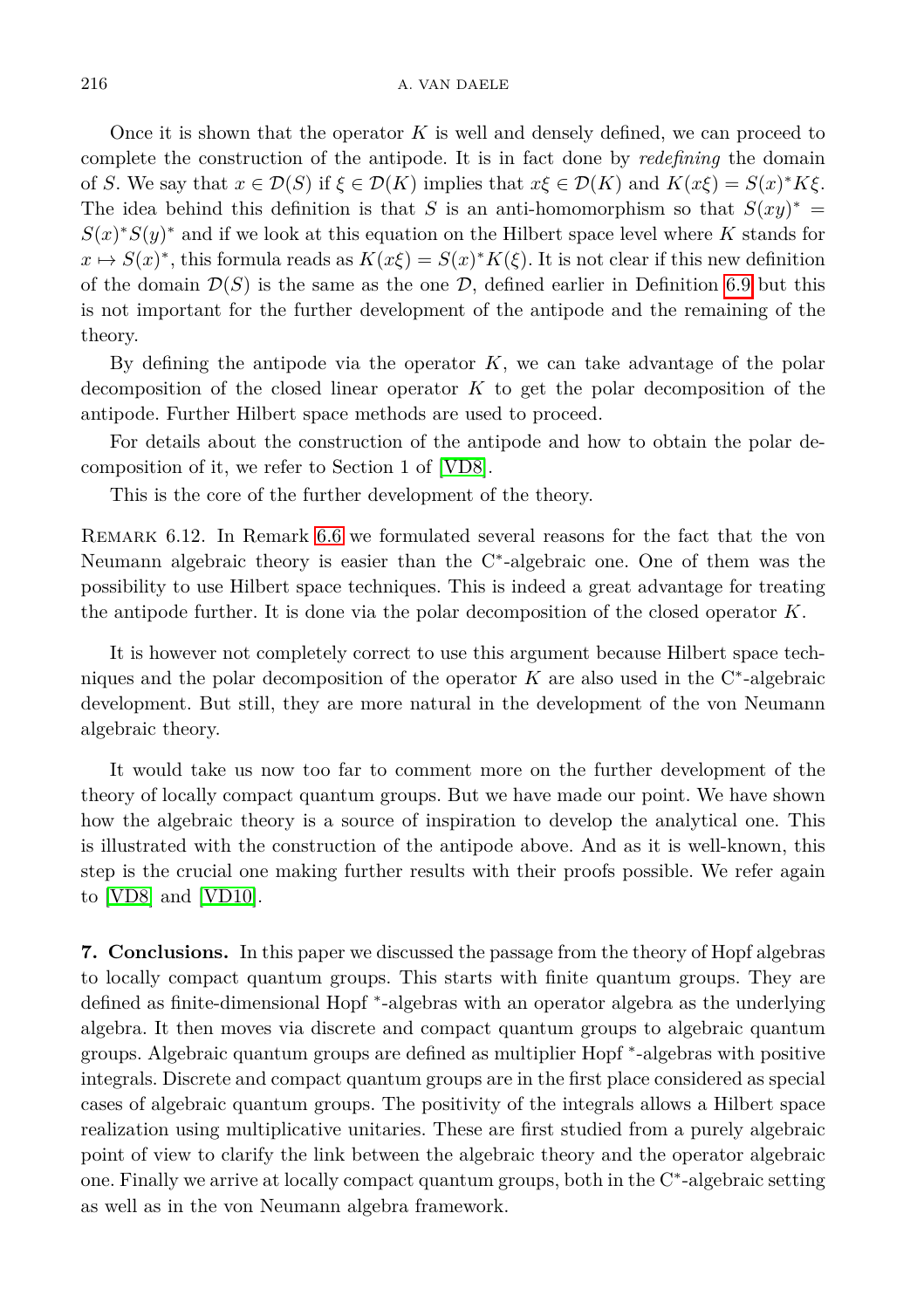#### 216 A. VAN DAELE

Once it is shown that the operator *K* is well and densely defined, we can proceed to complete the construction of the antipode. It is in fact done by *redefining* the domain of *S*. We say that  $x \in \mathcal{D}(S)$  if  $\xi \in \mathcal{D}(K)$  implies that  $x\xi \in \mathcal{D}(K)$  and  $K(x\xi) = S(x)^*K\xi$ . The idea behind this definition is that *S* is an anti-homomorphism so that  $S(xy)^* =$  $S(x)^*S(y)^*$  and if we look at this equation on the Hilbert space level where *K* stands for  $x \mapsto S(x)^*$ , this formula reads as  $K(x\xi) = S(x)^* K(\xi)$ . It is not clear if this new definition of the domain  $\mathcal{D}(S)$  is the same as the one  $\mathcal{D}$ , defined earlier in Definition [6.9](#page-35-0) but this is not important for the further development of the antipode and the remaining of the theory.

By defining the antipode via the operator *K*, we can take advantage of the polar decomposition of the closed linear operator *K* to get the polar decomposition of the antipode. Further Hilbert space methods are used to proceed.

For details about the construction of the antipode and how to obtain the polar decomposition of it, we refer to Section 1 of [\[VD8\]](#page-41-4).

This is the core of the further development of the theory.

<span id="page-37-1"></span>Remark 6.12. In Remark [6.6](#page-33-0) we formulated several reasons for the fact that the von Neumann algebraic theory is easier than the C<sup>∗</sup>-algebraic one. One of them was the possibility to use Hilbert space techniques. This is indeed a great advantage for treating the antipode further. It is done via the polar decomposition of the closed operator *K*.

It is however not completely correct to use this argument because Hilbert space techniques and the polar decomposition of the operator *K* are also used in the C<sup>∗</sup> -algebraic development. But still, they are more natural in the development of the von Neumann algebraic theory.

It would take us now too far to comment more on the further development of the theory of locally compact quantum groups. But we have made our point. We have shown how the algebraic theory is a source of inspiration to develop the analytical one. This is illustrated with the construction of the antipode above. And as it is well-known, this step is the crucial one making further results with their proofs possible. We refer again to [\[VD8\]](#page-41-4) and [\[VD10\]](#page-41-11).

<span id="page-37-0"></span>**7. Conclusions.** In this paper we discussed the passage from the theory of Hopf algebras to locally compact quantum groups. This starts with finite quantum groups. They are defined as finite-dimensional Hopf <sup>∗</sup> -algebras with an operator algebra as the underlying algebra. It then moves via discrete and compact quantum groups to algebraic quantum groups. Algebraic quantum groups are defined as multiplier Hopf <sup>∗</sup> -algebras with positive integrals. Discrete and compact quantum groups are in the first place considered as special cases of algebraic quantum groups. The positivity of the integrals allows a Hilbert space realization using multiplicative unitaries. These are first studied from a purely algebraic point of view to clarify the link between the algebraic theory and the operator algebraic one. Finally we arrive at locally compact quantum groups, both in the C<sup>∗</sup> -algebraic setting as well as in the von Neumann algebra framework.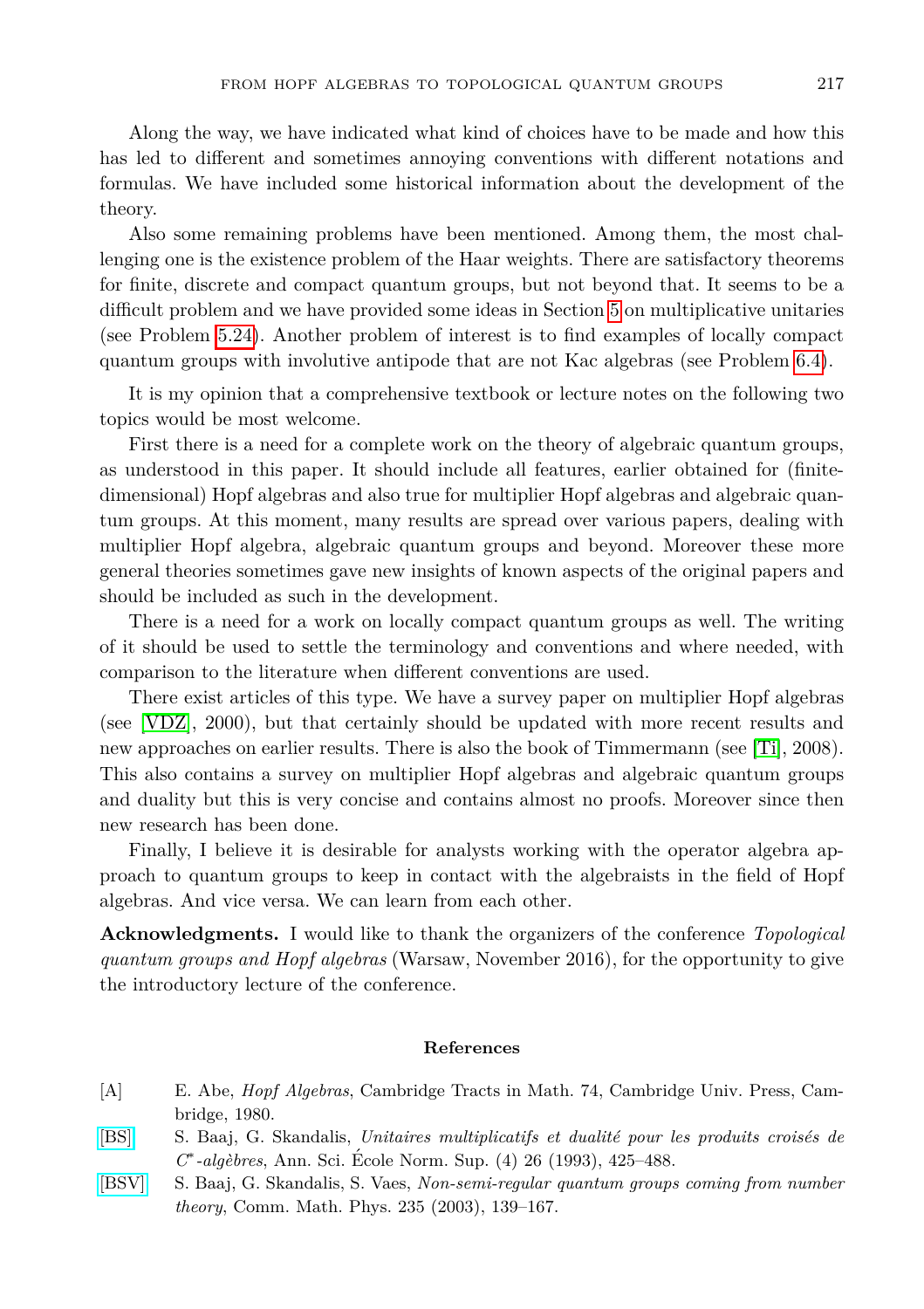Along the way, we have indicated what kind of choices have to be made and how this has led to different and sometimes annoying conventions with different notations and formulas. We have included some historical information about the development of the theory.

Also some remaining problems have been mentioned. Among them, the most challenging one is the existence problem of the Haar weights. There are satisfactory theorems for finite, discrete and compact quantum groups, but not beyond that. It seems to be a difficult problem and we have provided some ideas in Section [5](#page-20-0) on multiplicative unitaries (see Problem [5.24\)](#page-30-0). Another problem of interest is to find examples of locally compact quantum groups with involutive antipode that are not Kac algebras (see Problem [6.4\)](#page-32-1).

It is my opinion that a comprehensive textbook or lecture notes on the following two topics would be most welcome.

First there is a need for a complete work on the theory of algebraic quantum groups, as understood in this paper. It should include all features, earlier obtained for (finitedimensional) Hopf algebras and also true for multiplier Hopf algebras and algebraic quantum groups. At this moment, many results are spread over various papers, dealing with multiplier Hopf algebra, algebraic quantum groups and beyond. Moreover these more general theories sometimes gave new insights of known aspects of the original papers and should be included as such in the development.

There is a need for a work on locally compact quantum groups as well. The writing of it should be used to settle the terminology and conventions and where needed, with comparison to the literature when different conventions are used.

There exist articles of this type. We have a survey paper on multiplier Hopf algebras (see [\[VDZ\]](#page-41-12), 2000), but that certainly should be updated with more recent results and new approaches on earlier results. There is also the book of Timmermann (see [\[Ti\]](#page-40-7), 2008). This also contains a survey on multiplier Hopf algebras and algebraic quantum groups and duality but this is very concise and contains almost no proofs. Moreover since then new research has been done.

Finally, I believe it is desirable for analysts working with the operator algebra approach to quantum groups to keep in contact with the algebraists in the field of Hopf algebras. And vice versa. We can learn from each other.

**Acknowledgments.** I would like to thank the organizers of the conference *Topological quantum groups and Hopf algebras* (Warsaw, November 2016), for the opportunity to give the introductory lecture of the conference.

## **References**

- <span id="page-38-0"></span>[A] E. Abe, *Hopf Algebras*, Cambridge Tracts in Math. 74, Cambridge Univ. Press, Cambridge, 1980.
- <span id="page-38-1"></span>[\[BS\]](http://dx.doi.org/10.24033/asens.1677) S. Baaj, G. Skandalis, *Unitaires multiplicatifs et dualité pour les produits croisés de C*<sup>\*</sup>-algèbres, Ann. Sci. École Norm. Sup. (4) 26 (1993), 425–488.
- <span id="page-38-2"></span>[\[BSV\]](http://dx.doi.org/10.1007/s00220-002-0780-6) S. Baaj, G. Skandalis, S. Vaes, *Non-semi-regular quantum groups coming from number theory*, Comm. Math. Phys. 235 (2003), 139–167.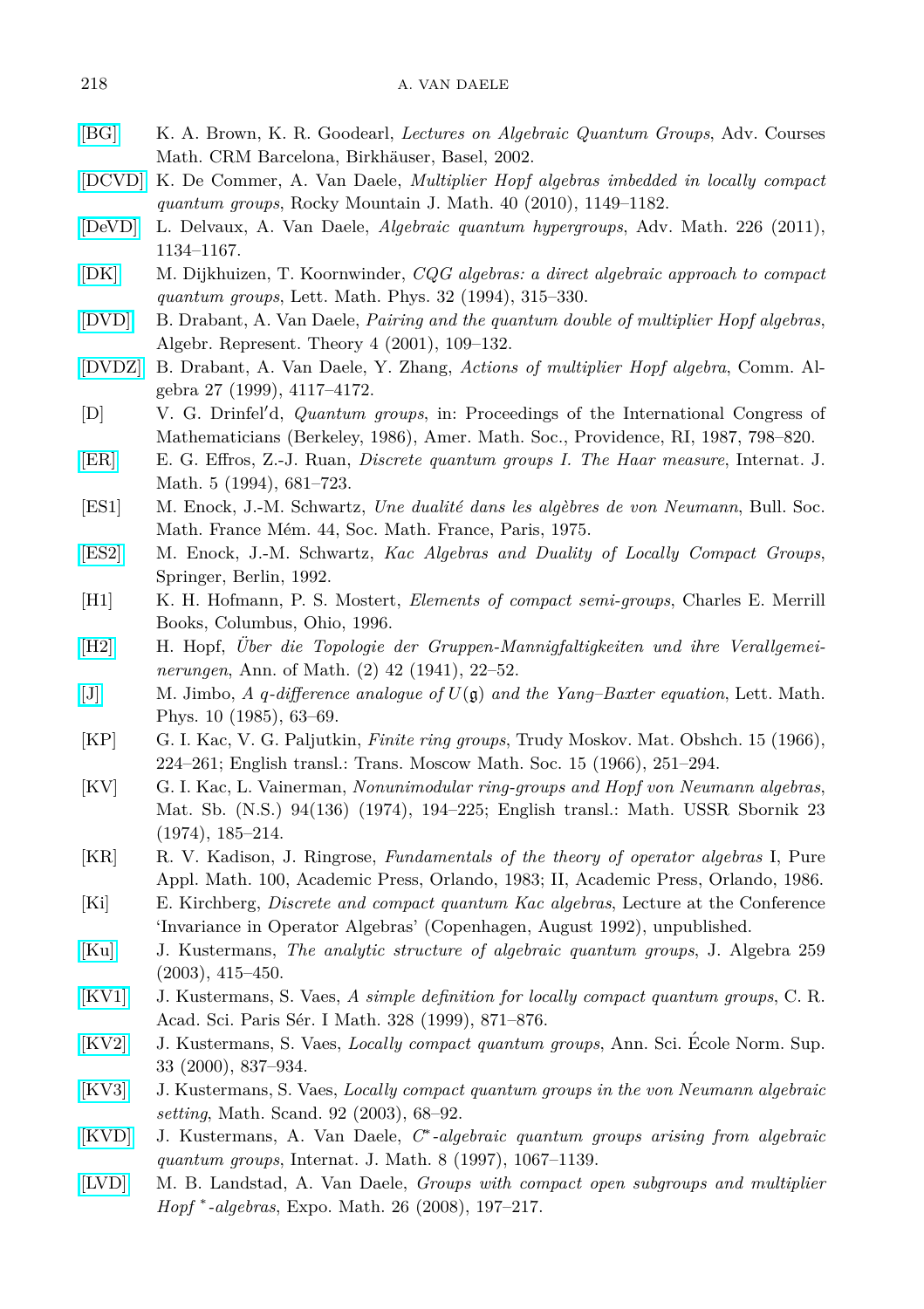#### 218 A. VAN DAELE

- <span id="page-39-16"></span>[\[BG\]](http://dx.doi.org/10.1007/978-3-0348-8205-7) K. A. Brown, K. R. Goodearl, *Lectures on Algebraic Quantum Groups*, Adv. Courses Math. CRM Barcelona, Birkhäuser, Basel, 2002.
- <span id="page-39-19"></span>[\[DCVD\]](http://dx.doi.org/10.1216/RMJ-2010-40-4-1149) K. De Commer, A. Van Daele, *Multiplier Hopf algebras imbedded in locally compact quantum groups*, Rocky Mountain J. Math. 40 (2010), 1149–1182.
- <span id="page-39-21"></span>[\[DeVD\]](http://dx.doi.org/10.1016/j.aim.2010.07.015) L. Delvaux, A. Van Daele, *Algebraic quantum hypergroups*, Adv. Math. 226 (2011), 1134–1167.
- <span id="page-39-15"></span>[\[DK\]](http://dx.doi.org/10.1007/BF00761142) M. Dijkhuizen, T. Koornwinder, *CQG algebras: a direct algebraic approach to compact quantum groups*, Lett. Math. Phys. 32 (1994), 315–330.
- <span id="page-39-12"></span>[\[DVD\]](http://dx.doi.org/10.1023/A:1011470032416) B. Drabant, A. Van Daele, *Pairing and the quantum double of multiplier Hopf algebras*, Algebr. Represent. Theory 4 (2001), 109–132.
- <span id="page-39-22"></span>[\[DVDZ\]](http://dx.doi.org/10.1080/00927879908826688) B. Drabant, A. Van Daele, Y. Zhang, *Actions of multiplier Hopf algebra*, Comm. Algebra 27 (1999), 4117–4172.
- <span id="page-39-1"></span>[D] V. G. Drinfel'd, *Quantum groups*, in: Proceedings of the International Congress of Mathematicians (Berkeley, 1986), Amer. Math. Soc., Providence, RI, 1987, 798–820.
- <span id="page-39-11"></span>[\[ER\]](http://dx.doi.org/10.1142/S0129167X94000358) E. G. Effros, Z.-J. Ruan, *Discrete quantum groups I. The Haar measure*, Internat. J. Math. 5 (1994), 681–723.
- <span id="page-39-4"></span>[ES1] M. Enock, J.-M. Schwartz, *Une dualité dans les algèbres de von Neumann*, Bull. Soc. Math. France Mém. 44, Soc. Math. France, Paris, 1975.
- <span id="page-39-5"></span>[\[ES2\]](http://dx.doi.org/10.1007/978-3-662-02813-1) M. Enock, J.-M. Schwartz, *Kac Algebras and Duality of Locally Compact Groups*, Springer, Berlin, 1992.
- <span id="page-39-14"></span>[H1] K. H. Hofmann, P. S. Mostert, *Elements of compact semi-groups*, Charles E. Merrill Books, Columbus, Ohio, 1996.
- <span id="page-39-0"></span>[\[H2\]](http://dx.doi.org/10.2307/1968985) H. Hopf, *Uber die Topologie der Gruppen-Mannigfaltigkeiten und ihre Verallgemei- ¨ nerungen*, Ann. of Math. (2) 42 (1941), 22–52.
- <span id="page-39-2"></span>[\[J\]](http://dx.doi.org/10.1007/BF00704588) M. Jimbo, *A q-difference analogue of U*(g) *and the Yang–Baxter equation*, Lett. Math. Phys. 10 (1985), 63–69.
- <span id="page-39-6"></span>[KP] G. I. Kac, V. G. Paljutkin, *Finite ring groups*, Trudy Moskov. Mat. Obshch. 15 (1966), 224–261; English transl.: Trans. Moscow Math. Soc. 15 (1966), 251–294.
- <span id="page-39-3"></span>[KV] G. I. Kac, L. Vainerman, *Nonunimodular ring-groups and Hopf von Neumann algebras*, Mat. Sb. (N.S.) 94(136) (1974), 194–225; English transl.: Math. USSR Sbornik 23 (1974), 185–214.
- <span id="page-39-13"></span>[KR] R. V. Kadison, J. Ringrose, *Fundamentals of the theory of operator algebras* I, Pure Appl. Math. 100, Academic Press, Orlando, 1983; II, Academic Press, Orlando, 1986.
- <span id="page-39-10"></span>[Ki] E. Kirchberg, *Discrete and compact quantum Kac algebras*, Lecture at the Conference 'Invariance in Operator Algebras' (Copenhagen, August 1992), unpublished.
- <span id="page-39-20"></span>[\[Ku\]](http://dx.doi.org/10.1016/S0021-8693(02)00570-7) J. Kustermans, *The analytic structure of algebraic quantum groups*, J. Algebra 259 (2003), 415–450.
- <span id="page-39-7"></span>[\[KV1\]](http://dx.doi.org/10.1016/S0764-4442(99)80288-2) J. Kustermans, S. Vaes, *A simple definition for locally compact quantum groups*, C. R. Acad. Sci. Paris Sér. I Math. 328 (1999), 871–876.
- <span id="page-39-8"></span>[\[KV2\]](http://dx.doi.org/10.1016/S0012-9593(00)01055-7) J. Kustermans, S. Vaes, *Locally compact quantum groups*, Ann. Sci. Ecole Norm. Sup. ´ 33 (2000), 837–934.
- <span id="page-39-9"></span>[\[KV3\]](http://dx.doi.org/10.7146/math.scand.a-14394) J. Kustermans, S. Vaes, *Locally compact quantum groups in the von Neumann algebraic setting*, Math. Scand. 92 (2003), 68–92.
- <span id="page-39-18"></span>[\[KVD\]](http://dx.doi.org/10.1142/S0129167X97000500) J. Kustermans, A. Van Daele, *C* ∗ *-algebraic quantum groups arising from algebraic quantum groups*, Internat. J. Math. 8 (1997), 1067–1139.
- <span id="page-39-17"></span>[\[LVD\]](http://dx.doi.org/10.1016/j.exmath.2007.10.004) M. B. Landstad, A. Van Daele, *Groups with compact open subgroups and multiplier Hopf* <sup>∗</sup> *-algebras*, Expo. Math. 26 (2008), 197–217.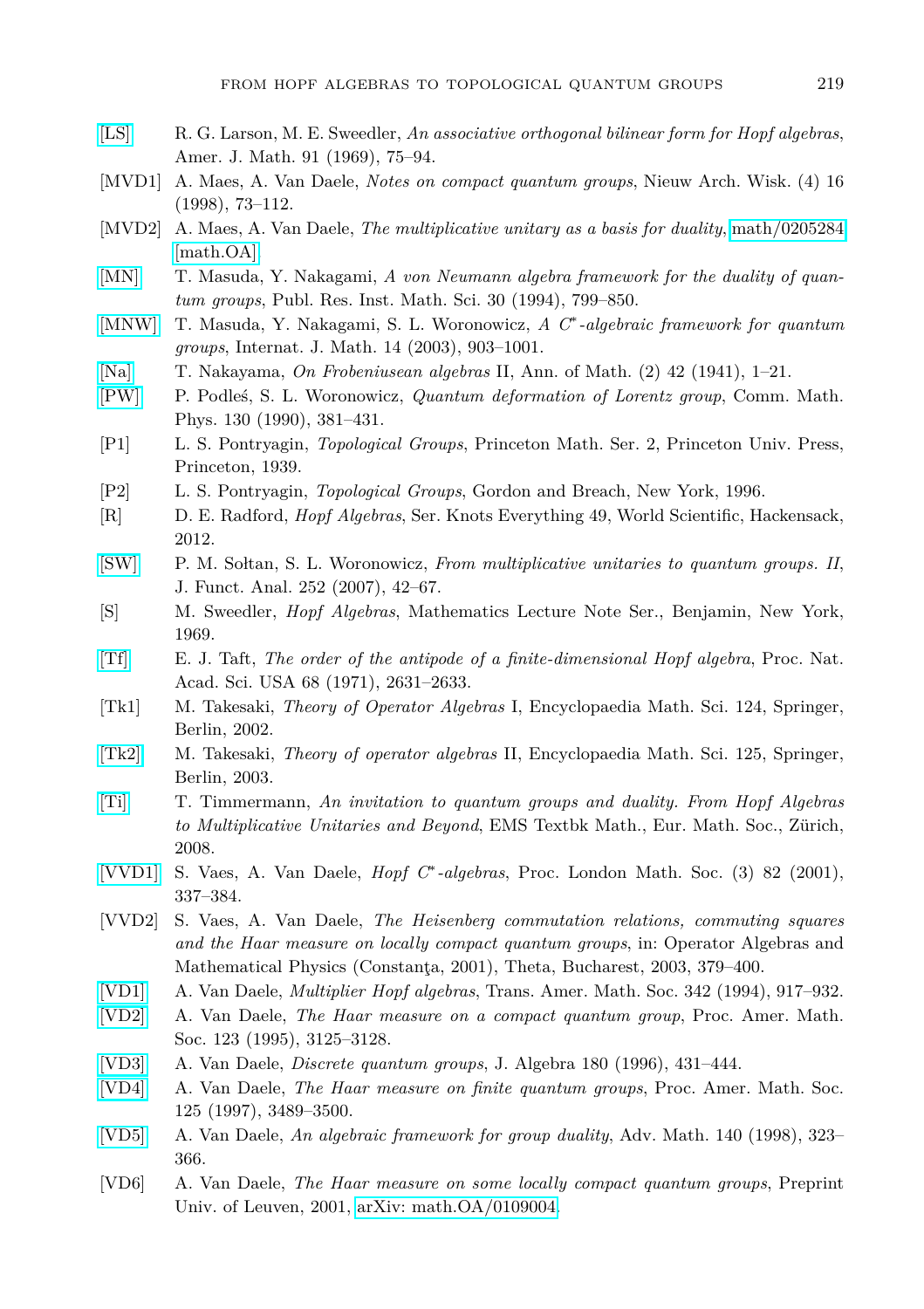- <span id="page-40-19"></span>[\[LS\]](http://dx.doi.org/10.2307/2373270) R. G. Larson, M. E. Sweedler, *An associative orthogonal bilinear form for Hopf algebras*, Amer. J. Math. 91 (1969), 75–94.
- <span id="page-40-11"></span>[MVD1] A. Maes, A. Van Daele, *Notes on compact quantum groups*, Nieuw Arch. Wisk. (4) 16 (1998), 73–112.
- <span id="page-40-21"></span>[MVD2] A. Maes, A. Van Daele, *The multiplicative unitary as a basis for duality*, [math/0205284](http://arxiv.org/abs/math/0205284) [\[math.OA\].](http://arxiv.org/abs/math/0205284)
- <span id="page-40-4"></span>[\[MN\]](http://dx.doi.org/10.2977/prims/1195165585) T. Masuda, Y. Nakagami, *A von Neumann algebra framework for the duality of quantum groups*, Publ. Res. Inst. Math. Sci. 30 (1994), 799–850.
- <span id="page-40-5"></span>[\[MNW\]](http://dx.doi.org/10.1142/S0129167X03002071) T. Masuda, Y. Nakagami, S. L. Woronowicz, *A C*<sup>∗</sup> *-algebraic framework for quantum groups*, Internat. J. Math. 14 (2003), 903–1001.
- <span id="page-40-18"></span>[\[Na\]](http://dx.doi.org/10.2307/1968984) T. Nakayama, *On Frobeniusean algebras* II, Ann. of Math. (2) 42 (1941), 1–21.
- <span id="page-40-8"></span>[\[PW\]](http://dx.doi.org/10.1007/BF02473358) P. Podle´s, S. L. Woronowicz, *Quantum deformation of Lorentz group*, Comm. Math. Phys. 130 (1990), 381–431.
- <span id="page-40-2"></span>[P1] L. S. Pontryagin, *Topological Groups*, Princeton Math. Ser. 2, Princeton Univ. Press, Princeton, 1939.
- [P2] L. S. Pontryagin, *Topological Groups*, Gordon and Breach, New York, 1996.
- <span id="page-40-1"></span>[R] D. E. Radford, *Hopf Algebras*, Ser. Knots Everything 49, World Scientific, Hackensack, 2012.
- <span id="page-40-10"></span>[\[SW\]](http://dx.doi.org/10.1016/j.jfa.2007.07.006) P. M. Soltan, S. L. Woronowicz, *From multiplicative unitaries to quantum groups. II*, J. Funct. Anal. 252 (2007), 42–67.
- <span id="page-40-0"></span>[S] M. Sweedler, *Hopf Algebras*, Mathematics Lecture Note Ser., Benjamin, New York, 1969.
- <span id="page-40-3"></span>[\[Tf\]](http://dx.doi.org/10.1073/pnas.68.11.2631) E. J. Taft, *The order of the antipode of a finite-dimensional Hopf algebra*, Proc. Nat. Acad. Sci. USA 68 (1971), 2631–2633.
- <span id="page-40-14"></span>[Tk1] M. Takesaki, *Theory of Operator Algebras* I, Encyclopaedia Math. Sci. 124, Springer, Berlin, 2002.
- <span id="page-40-15"></span>[\[Tk2\]](http://dx.doi.org/10.1007/978-3-662-10451-4) M. Takesaki, *Theory of operator algebras* II, Encyclopaedia Math. Sci. 125, Springer, Berlin, 2003.
- <span id="page-40-7"></span>[\[Ti\]](http://dx.doi.org/10.4171/043) T. Timmermann, *An invitation to quantum groups and duality. From Hopf Algebras to Multiplicative Unitaries and Beyond*, EMS Textbk Math., Eur. Math. Soc., Zürich, 2008.
- <span id="page-40-20"></span>[\[VVD1\]](http://dx.doi.org/10.1112/S002461150101276X) S. Vaes, A. Van Daele, *Hopf C*<sup>∗</sup> *-algebras*, Proc. London Math. Soc. (3) 82 (2001), 337–384.
- <span id="page-40-22"></span>[VVD2] S. Vaes, A. Van Daele, *The Heisenberg commutation relations, commuting squares and the Haar measure on locally compact quantum groups*, in: Operator Algebras and Mathematical Physics (Constanta, 2001), Theta, Bucharest, 2003, 379-400.
- <span id="page-40-12"></span>[\[VD1\]](http://dx.doi.org/10.2307/2154659) A. Van Daele, *Multiplier Hopf algebras*, Trans. Amer. Math. Soc. 342 (1994), 917–932.
- <span id="page-40-17"></span>[\[VD2\]](http://dx.doi.org/10.2307/2160670) A. Van Daele, *The Haar measure on a compact quantum group*, Proc. Amer. Math. Soc. 123 (1995), 3125–3128.
- <span id="page-40-9"></span>[\[VD3\]](http://dx.doi.org/10.1006/jabr.1996.0075) A. Van Daele, *Discrete quantum groups*, J. Algebra 180 (1996), 431–444.
- <span id="page-40-16"></span>[\[VD4\]](http://dx.doi.org/10.1090/S0002-9939-97-04037-9) A. Van Daele, *The Haar measure on finite quantum groups*, Proc. Amer. Math. Soc. 125 (1997), 3489–3500.
- <span id="page-40-13"></span>[\[VD5\]](http://dx.doi.org/10.1006/aima.1998.1775) A. Van Daele, *An algebraic framework for group duality*, Adv. Math. 140 (1998), 323– 366.
- <span id="page-40-6"></span>[VD6] A. Van Daele, *The Haar measure on some locally compact quantum groups*, Preprint Univ. of Leuven, 2001, [arXiv: math.OA/0109004.](http://arxiv.org/abs/math.OA/0109004)